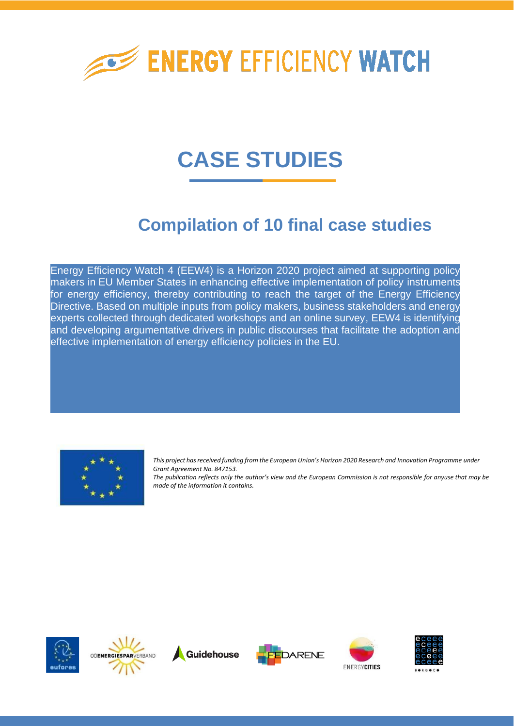

# **CASE STUDIES**

# **Compilation of 10 final case studies**

Energy Efficiency Watch 4 (EEW4) is a Horizon 2020 project aimed at supporting policy makers in EU Member States in enhancing effective implementation of policy instruments for energy efficiency, thereby contributing to reach the target of the Energy Efficiency Directive. Based on multiple inputs from policy makers, business stakeholders and energy experts collected through dedicated workshops and an online survey, EEW4 is identifying and developing argumentative drivers in public discourses that facilitate the adoption and effective implementation of energy efficiency policies in the EU.



*This project hasreceived funding from the European Union's Horizon 2020 Research and Innovation Programme under Grant Agreement No. 847153.* 

The publication reflects only the author's view and the European Commission is not responsible for anyuse that may be *made of the information it contains.*











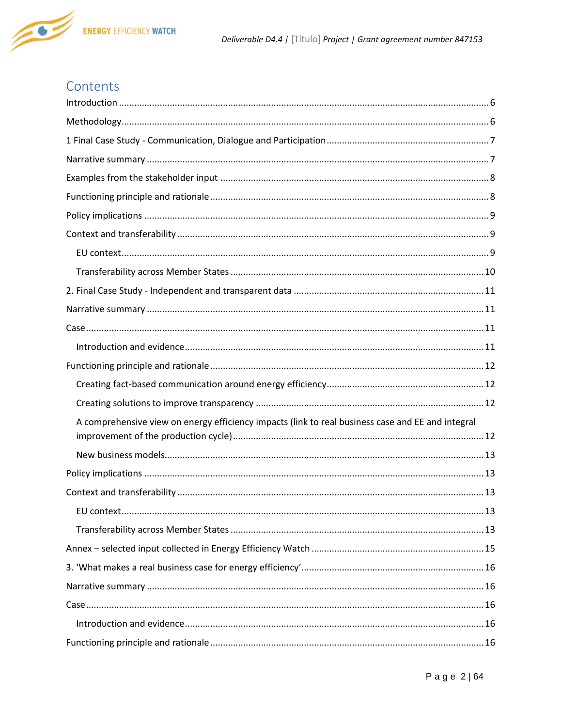# Contents

**College Strategy** 

| A comprehensive view on energy efficiency impacts (link to real business case and EE and integral |  |
|---------------------------------------------------------------------------------------------------|--|
|                                                                                                   |  |
|                                                                                                   |  |
|                                                                                                   |  |
|                                                                                                   |  |
|                                                                                                   |  |
|                                                                                                   |  |
|                                                                                                   |  |
|                                                                                                   |  |
|                                                                                                   |  |
|                                                                                                   |  |
|                                                                                                   |  |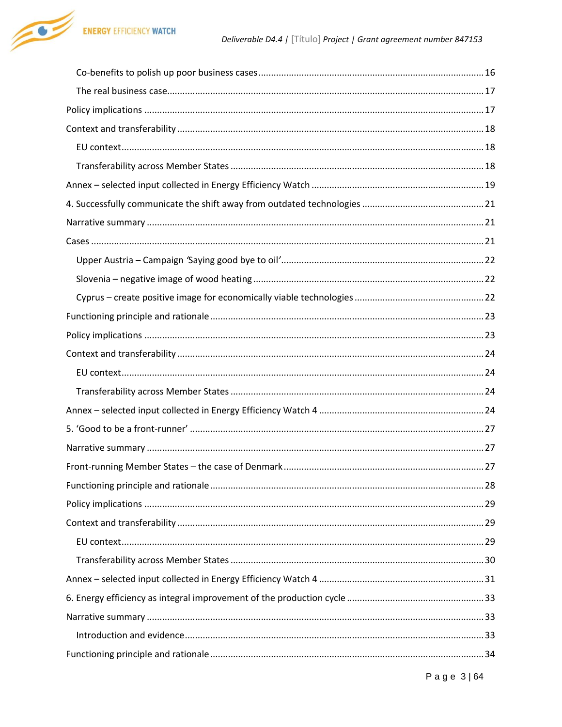FOR

Page  $3|64$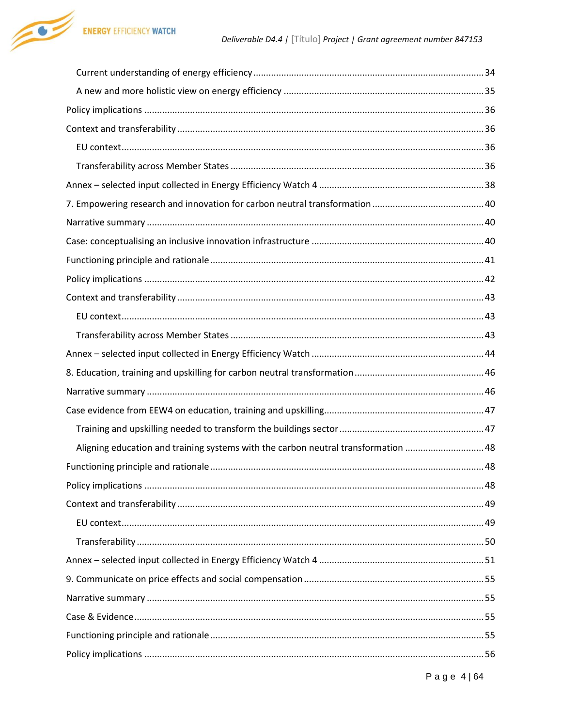| Aligning education and training systems with the carbon neutral transformation  48 |  |
|------------------------------------------------------------------------------------|--|
|                                                                                    |  |
|                                                                                    |  |
|                                                                                    |  |
|                                                                                    |  |
|                                                                                    |  |
|                                                                                    |  |
|                                                                                    |  |
|                                                                                    |  |
|                                                                                    |  |
|                                                                                    |  |
|                                                                                    |  |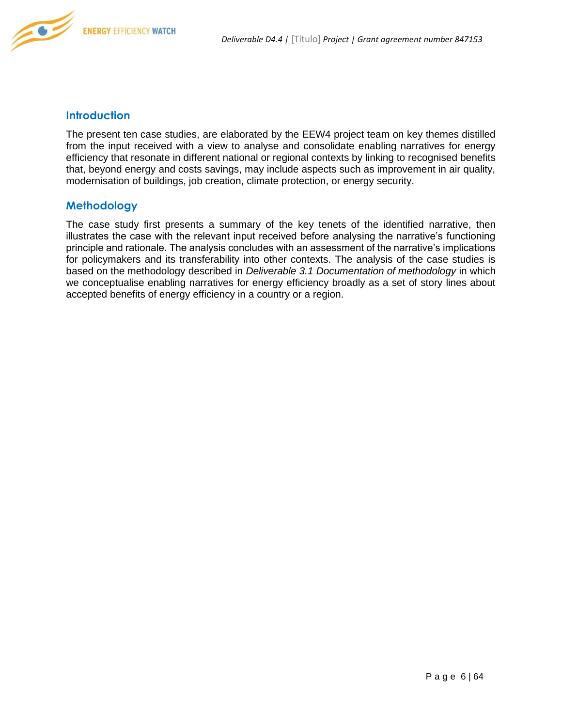

# <span id="page-5-0"></span>**Introduction**

The present ten case studies, are elaborated by the EEW4 project team on key themes distilled from the input received with a view to analyse and consolidate enabling narratives for energy efficiency that resonate in different national or regional contexts by linking to recognised benefits that, beyond energy and costs savings, may include aspects such as improvement in air quality, modernisation of buildings, job creation, climate protection, or energy security.

#### <span id="page-5-1"></span>**Methodology**

The case study first presents a summary of the key tenets of the identified narrative, then illustrates the case with the relevant input received before analysing the narrative's functioning principle and rationale. The analysis concludes with an assessment of the narrative's implications for policymakers and its transferability into other contexts. The analysis of the case studies is based on the methodology described in *Deliverable 3.1 Documentation of methodology* in which we conceptualise enabling narratives for energy efficiency broadly as a set of story lines about accepted benefits of energy efficiency in a country or a region.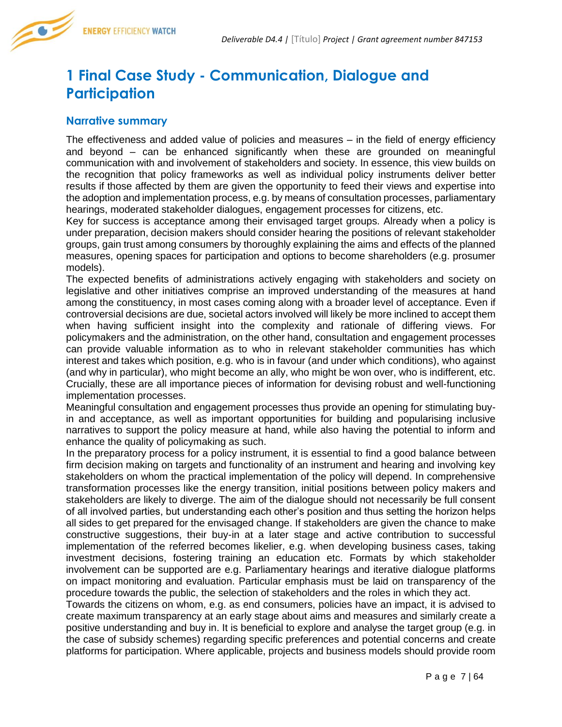

# <span id="page-6-0"></span>**1 Final Case Study - Communication, Dialogue and Participation**

### <span id="page-6-1"></span>**Narrative summary**

The effectiveness and added value of policies and measures – in the field of energy efficiency and beyond – can be enhanced significantly when these are grounded on meaningful communication with and involvement of stakeholders and society. In essence, this view builds on the recognition that policy frameworks as well as individual policy instruments deliver better results if those affected by them are given the opportunity to feed their views and expertise into the adoption and implementation process, e.g. by means of consultation processes, parliamentary hearings, moderated stakeholder dialogues, engagement processes for citizens, etc.

Key for success is acceptance among their envisaged target groups. Already when a policy is under preparation, decision makers should consider hearing the positions of relevant stakeholder groups, gain trust among consumers by thoroughly explaining the aims and effects of the planned measures, opening spaces for participation and options to become shareholders (e.g. prosumer models).

The expected benefits of administrations actively engaging with stakeholders and society on legislative and other initiatives comprise an improved understanding of the measures at hand among the constituency, in most cases coming along with a broader level of acceptance. Even if controversial decisions are due, societal actors involved will likely be more inclined to accept them when having sufficient insight into the complexity and rationale of differing views. For policymakers and the administration, on the other hand, consultation and engagement processes can provide valuable information as to who in relevant stakeholder communities has which interest and takes which position, e.g. who is in favour (and under which conditions), who against (and why in particular), who might become an ally, who might be won over, who is indifferent, etc. Crucially, these are all importance pieces of information for devising robust and well-functioning implementation processes.

Meaningful consultation and engagement processes thus provide an opening for stimulating buyin and acceptance, as well as important opportunities for building and popularising inclusive narratives to support the policy measure at hand, while also having the potential to inform and enhance the quality of policymaking as such.

In the preparatory process for a policy instrument, it is essential to find a good balance between firm decision making on targets and functionality of an instrument and hearing and involving key stakeholders on whom the practical implementation of the policy will depend. In comprehensive transformation processes like the energy transition, initial positions between policy makers and stakeholders are likely to diverge. The aim of the dialogue should not necessarily be full consent of all involved parties, but understanding each other's position and thus setting the horizon helps all sides to get prepared for the envisaged change. If stakeholders are given the chance to make constructive suggestions, their buy-in at a later stage and active contribution to successful implementation of the referred becomes likelier, e.g. when developing business cases, taking investment decisions, fostering training an education etc. Formats by which stakeholder involvement can be supported are e.g. Parliamentary hearings and iterative dialogue platforms on impact monitoring and evaluation. Particular emphasis must be laid on transparency of the procedure towards the public, the selection of stakeholders and the roles in which they act.

Towards the citizens on whom, e.g. as end consumers, policies have an impact, it is advised to create maximum transparency at an early stage about aims and measures and similarly create a positive understanding and buy in. It is beneficial to explore and analyse the target group (e.g. in the case of subsidy schemes) regarding specific preferences and potential concerns and create platforms for participation. Where applicable, projects and business models should provide room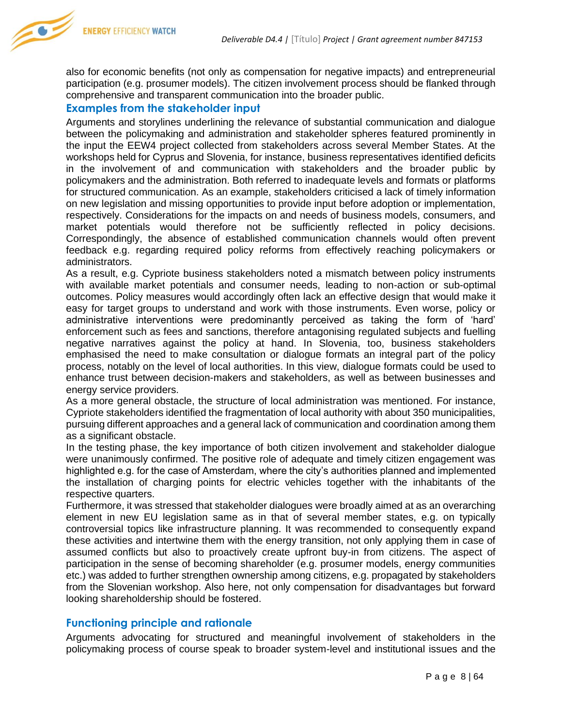

also for economic benefits (not only as compensation for negative impacts) and entrepreneurial participation (e.g. prosumer models). The citizen involvement process should be flanked through comprehensive and transparent communication into the broader public.

# <span id="page-7-0"></span>**Examples from the stakeholder input**

Arguments and storylines underlining the relevance of substantial communication and dialogue between the policymaking and administration and stakeholder spheres featured prominently in the input the EEW4 project collected from stakeholders across several Member States. At the workshops held for Cyprus and Slovenia, for instance, business representatives identified deficits in the involvement of and communication with stakeholders and the broader public by policymakers and the administration. Both referred to inadequate levels and formats or platforms for structured communication. As an example, stakeholders criticised a lack of timely information on new legislation and missing opportunities to provide input before adoption or implementation, respectively. Considerations for the impacts on and needs of business models, consumers, and market potentials would therefore not be sufficiently reflected in policy decisions. Correspondingly, the absence of established communication channels would often prevent feedback e.g. regarding required policy reforms from effectively reaching policymakers or administrators.

As a result, e.g. Cypriote business stakeholders noted a mismatch between policy instruments with available market potentials and consumer needs, leading to non-action or sub-optimal outcomes. Policy measures would accordingly often lack an effective design that would make it easy for target groups to understand and work with those instruments. Even worse, policy or administrative interventions were predominantly perceived as taking the form of 'hard' enforcement such as fees and sanctions, therefore antagonising regulated subjects and fuelling negative narratives against the policy at hand. In Slovenia, too, business stakeholders emphasised the need to make consultation or dialogue formats an integral part of the policy process, notably on the level of local authorities. In this view, dialogue formats could be used to enhance trust between decision-makers and stakeholders, as well as between businesses and energy service providers.

As a more general obstacle, the structure of local administration was mentioned. For instance, Cypriote stakeholders identified the fragmentation of local authority with about 350 municipalities, pursuing different approaches and a general lack of communication and coordination among them as a significant obstacle.

In the testing phase, the key importance of both citizen involvement and stakeholder dialogue were unanimously confirmed. The positive role of adequate and timely citizen engagement was highlighted e.g. for the case of Amsterdam, where the city's authorities planned and implemented the installation of charging points for electric vehicles together with the inhabitants of the respective quarters.

Furthermore, it was stressed that stakeholder dialogues were broadly aimed at as an overarching element in new EU legislation same as in that of several member states, e.g. on typically controversial topics like infrastructure planning. It was recommended to consequently expand these activities and intertwine them with the energy transition, not only applying them in case of assumed conflicts but also to proactively create upfront buy-in from citizens. The aspect of participation in the sense of becoming shareholder (e.g. prosumer models, energy communities etc.) was added to further strengthen ownership among citizens, e.g. propagated by stakeholders from the Slovenian workshop. Also here, not only compensation for disadvantages but forward looking shareholdership should be fostered.

# <span id="page-7-1"></span>**Functioning principle and rationale**

Arguments advocating for structured and meaningful involvement of stakeholders in the policymaking process of course speak to broader system-level and institutional issues and the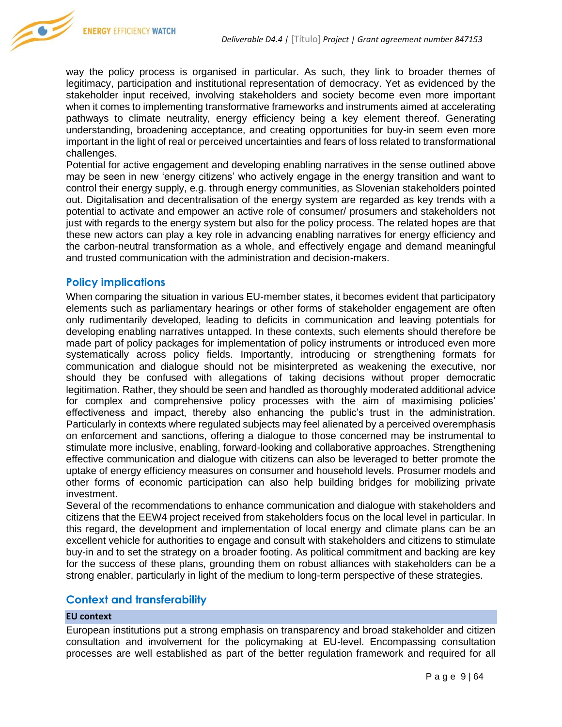

Potential for active engagement and developing enabling narratives in the sense outlined above may be seen in new 'energy citizens' who actively engage in the energy transition and want to control their energy supply, e.g. through energy communities, as Slovenian stakeholders pointed out. Digitalisation and decentralisation of the energy system are regarded as key trends with a potential to activate and empower an active role of consumer/ prosumers and stakeholders not just with regards to the energy system but also for the policy process. The related hopes are that these new actors can play a key role in advancing enabling narratives for energy efficiency and the carbon-neutral transformation as a whole, and effectively engage and demand meaningful and trusted communication with the administration and decision-makers.

### <span id="page-8-0"></span>**Policy implications**

When comparing the situation in various EU-member states, it becomes evident that participatory elements such as parliamentary hearings or other forms of stakeholder engagement are often only rudimentarily developed, leading to deficits in communication and leaving potentials for developing enabling narratives untapped. In these contexts, such elements should therefore be made part of policy packages for implementation of policy instruments or introduced even more systematically across policy fields. Importantly, introducing or strengthening formats for communication and dialogue should not be misinterpreted as weakening the executive, nor should they be confused with allegations of taking decisions without proper democratic legitimation. Rather, they should be seen and handled as thoroughly moderated additional advice for complex and comprehensive policy processes with the aim of maximising policies' effectiveness and impact, thereby also enhancing the public's trust in the administration. Particularly in contexts where regulated subjects may feel alienated by a perceived overemphasis on enforcement and sanctions, offering a dialogue to those concerned may be instrumental to stimulate more inclusive, enabling, forward-looking and collaborative approaches. Strengthening effective communication and dialogue with citizens can also be leveraged to better promote the uptake of energy efficiency measures on consumer and household levels. Prosumer models and other forms of economic participation can also help building bridges for mobilizing private investment.

Several of the recommendations to enhance communication and dialogue with stakeholders and citizens that the EEW4 project received from stakeholders focus on the local level in particular. In this regard, the development and implementation of local energy and climate plans can be an excellent vehicle for authorities to engage and consult with stakeholders and citizens to stimulate buy-in and to set the strategy on a broader footing. As political commitment and backing are key for the success of these plans, grounding them on robust alliances with stakeholders can be a strong enabler, particularly in light of the medium to long-term perspective of these strategies.

# <span id="page-8-1"></span>**Context and transferability**

#### <span id="page-8-2"></span>**EU context**

European institutions put a strong emphasis on transparency and broad stakeholder and citizen consultation and involvement for the policymaking at EU-level. Encompassing consultation processes are well established as part of the better regulation framework and required for all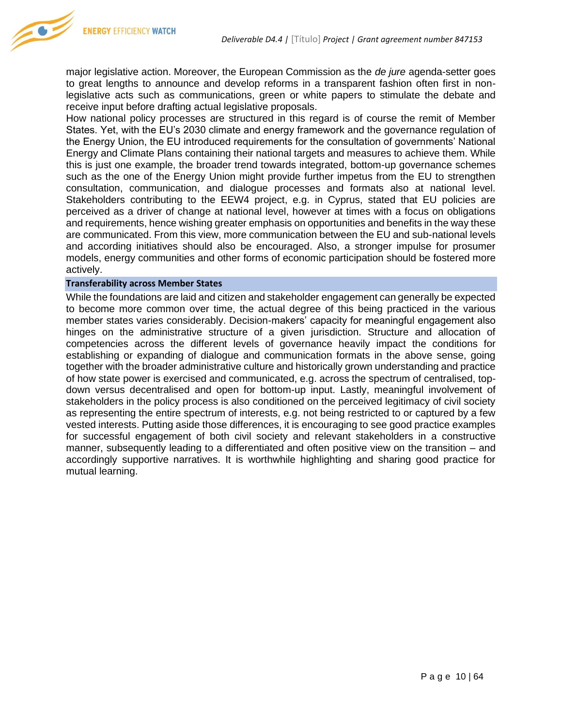

major legislative action. Moreover, the European Commission as the *de jure* agenda-setter goes to great lengths to announce and develop reforms in a transparent fashion often first in nonlegislative acts such as communications, green or white papers to stimulate the debate and receive input before drafting actual legislative proposals.

How national policy processes are structured in this regard is of course the remit of Member States. Yet, with the EU's 2030 climate and energy framework and the governance regulation of the Energy Union, the EU introduced requirements for the consultation of governments' National Energy and Climate Plans containing their national targets and measures to achieve them. While this is just one example, the broader trend towards integrated, bottom-up governance schemes such as the one of the Energy Union might provide further impetus from the EU to strengthen consultation, communication, and dialogue processes and formats also at national level. Stakeholders contributing to the EEW4 project, e.g. in Cyprus, stated that EU policies are perceived as a driver of change at national level, however at times with a focus on obligations and requirements, hence wishing greater emphasis on opportunities and benefits in the way these are communicated. From this view, more communication between the EU and sub-national levels and according initiatives should also be encouraged. Also, a stronger impulse for prosumer models, energy communities and other forms of economic participation should be fostered more actively.

# <span id="page-9-0"></span>**Transferability across Member States**

While the foundations are laid and citizen and stakeholder engagement can generally be expected to become more common over time, the actual degree of this being practiced in the various member states varies considerably. Decision-makers' capacity for meaningful engagement also hinges on the administrative structure of a given jurisdiction. Structure and allocation of competencies across the different levels of governance heavily impact the conditions for establishing or expanding of dialogue and communication formats in the above sense, going together with the broader administrative culture and historically grown understanding and practice of how state power is exercised and communicated, e.g. across the spectrum of centralised, topdown versus decentralised and open for bottom-up input. Lastly, meaningful involvement of stakeholders in the policy process is also conditioned on the perceived legitimacy of civil society as representing the entire spectrum of interests, e.g. not being restricted to or captured by a few vested interests. Putting aside those differences, it is encouraging to see good practice examples for successful engagement of both civil society and relevant stakeholders in a constructive manner, subsequently leading to a differentiated and often positive view on the transition – and accordingly supportive narratives. It is worthwhile highlighting and sharing good practice for mutual learning.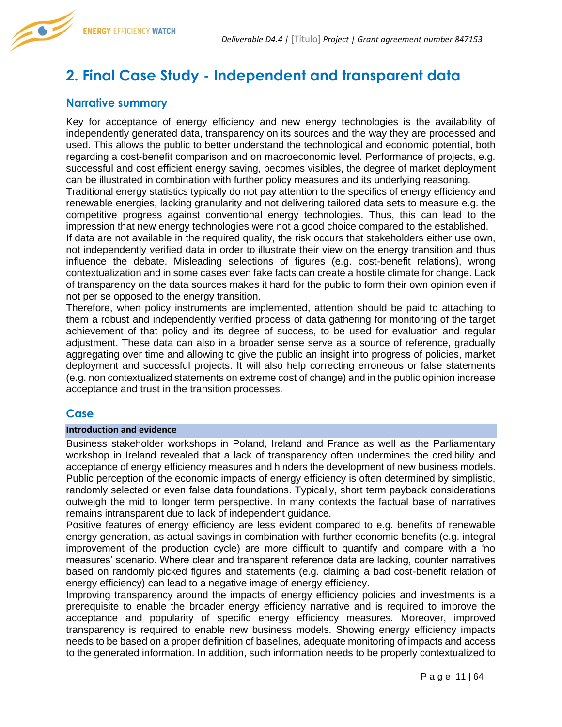

# <span id="page-10-0"></span>**2. Final Case Study - Independent and transparent data**

# <span id="page-10-1"></span>**Narrative summary**

Key for acceptance of energy efficiency and new energy technologies is the availability of independently generated data, transparency on its sources and the way they are processed and used. This allows the public to better understand the technological and economic potential, both regarding a cost-benefit comparison and on macroeconomic level. Performance of projects, e.g. successful and cost efficient energy saving, becomes visibles, the degree of market deployment can be illustrated in combination with further policy measures and its underlying reasoning.

Traditional energy statistics typically do not pay attention to the specifics of energy efficiency and renewable energies, lacking granularity and not delivering tailored data sets to measure e.g. the competitive progress against conventional energy technologies. Thus, this can lead to the impression that new energy technologies were not a good choice compared to the established.

If data are not available in the required quality, the risk occurs that stakeholders either use own, not independently verified data in order to illustrate their view on the energy transition and thus influence the debate. Misleading selections of figures (e.g. cost-benefit relations), wrong contextualization and in some cases even fake facts can create a hostile climate for change. Lack of transparency on the data sources makes it hard for the public to form their own opinion even if not per se opposed to the energy transition.

Therefore, when policy instruments are implemented, attention should be paid to attaching to them a robust and independently verified process of data gathering for monitoring of the target achievement of that policy and its degree of success, to be used for evaluation and regular adjustment. These data can also in a broader sense serve as a source of reference, gradually aggregating over time and allowing to give the public an insight into progress of policies, market deployment and successful projects. It will also help correcting erroneous or false statements (e.g. non contextualized statements on extreme cost of change) and in the public opinion increase acceptance and trust in the transition processes.

#### <span id="page-10-2"></span>**Case**

#### <span id="page-10-3"></span>**Introduction and evidence**

Business stakeholder workshops in Poland, Ireland and France as well as the Parliamentary workshop in Ireland revealed that a lack of transparency often undermines the credibility and acceptance of energy efficiency measures and hinders the development of new business models. Public perception of the economic impacts of energy efficiency is often determined by simplistic, randomly selected or even false data foundations. Typically, short term payback considerations outweigh the mid to longer term perspective. In many contexts the factual base of narratives remains intransparent due to lack of independent guidance.

Positive features of energy efficiency are less evident compared to e.g. benefits of renewable energy generation, as actual savings in combination with further economic benefits (e.g. integral improvement of the production cycle) are more difficult to quantify and compare with a 'no measures' scenario. Where clear and transparent reference data are lacking, counter narratives based on randomly picked figures and statements (e.g. claiming a bad cost-benefit relation of energy efficiency) can lead to a negative image of energy efficiency.

Improving transparency around the impacts of energy efficiency policies and investments is a prerequisite to enable the broader energy efficiency narrative and is required to improve the acceptance and popularity of specific energy efficiency measures. Moreover, improved transparency is required to enable new business models. Showing energy efficiency impacts needs to be based on a proper definition of baselines, adequate monitoring of impacts and access to the generated information. In addition, such information needs to be properly contextualized to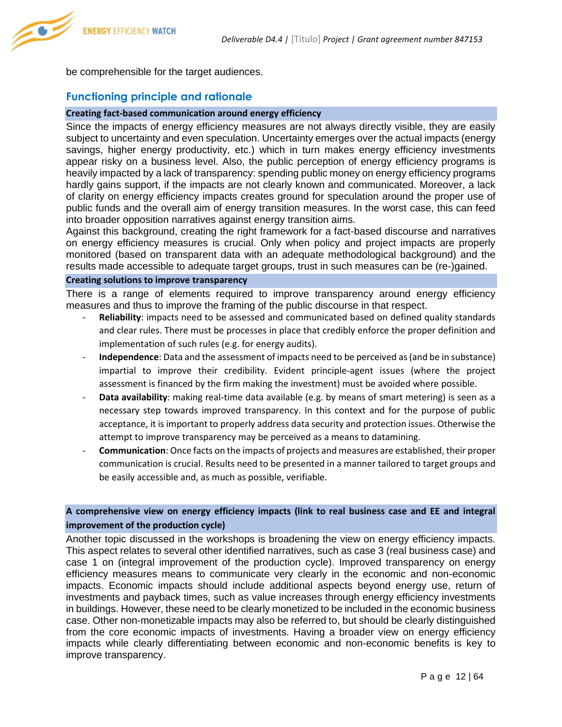

be comprehensible for the target audiences.

# <span id="page-11-0"></span>**Functioning principle and rationale**

#### <span id="page-11-1"></span>**Creating fact-based communication around energy efficiency**

Since the impacts of energy efficiency measures are not always directly visible, they are easily subject to uncertainty and even speculation. Uncertainty emerges over the actual impacts (energy savings, higher energy productivity, etc.) which in turn makes energy efficiency investments appear risky on a business level. Also, the public perception of energy efficiency programs is heavily impacted by a lack of transparency: spending public money on energy efficiency programs hardly gains support, if the impacts are not clearly known and communicated. Moreover, a lack of clarity on energy efficiency impacts creates ground for speculation around the proper use of public funds and the overall aim of energy transition measures. In the worst case, this can feed into broader opposition narratives against energy transition aims.

Against this background, creating the right framework for a fact-based discourse and narratives on energy efficiency measures is crucial. Only when policy and project impacts are properly monitored (based on transparent data with an adequate methodological background) and the results made accessible to adequate target groups, trust in such measures can be (re-)gained.

#### <span id="page-11-2"></span>**Creating solutions to improve transparency**

There is a range of elements required to improve transparency around energy efficiency measures and thus to improve the framing of the public discourse in that respect.

- Reliability: impacts need to be assessed and communicated based on defined quality standards and clear rules. There must be processes in place that credibly enforce the proper definition and implementation of such rules (e.g. for energy audits).
- **Independence**: Data and the assessment of impacts need to be perceived as (and be in substance) impartial to improve their credibility. Evident principle-agent issues (where the project assessment is financed by the firm making the investment) must be avoided where possible.
- Data availability: making real-time data available (e.g. by means of smart metering) is seen as a necessary step towards improved transparency. In this context and for the purpose of public acceptance, it is important to properly address data security and protection issues. Otherwise the attempt to improve transparency may be perceived as a means to datamining.
- **Communication**: Once facts on the impacts of projects and measures are established, their proper communication is crucial. Results need to be presented in a manner tailored to target groups and be easily accessible and, as much as possible, verifiable.

#### <span id="page-11-3"></span>**A comprehensive view on energy efficiency impacts (link to real business case and EE and integral improvement of the production cycle)**

Another topic discussed in the workshops is broadening the view on energy efficiency impacts. This aspect relates to several other identified narratives, such as case 3 (real business case) and case 1 on (integral improvement of the production cycle). Improved transparency on energy efficiency measures means to communicate very clearly in the economic and non-economic impacts. Economic impacts should include additional aspects beyond energy use, return of investments and payback times, such as value increases through energy efficiency investments in buildings. However, these need to be clearly monetized to be included in the economic business case. Other non-monetizable impacts may also be referred to, but should be clearly distinguished from the core economic impacts of investments. Having a broader view on energy efficiency impacts while clearly differentiating between economic and non-economic benefits is key to improve transparency.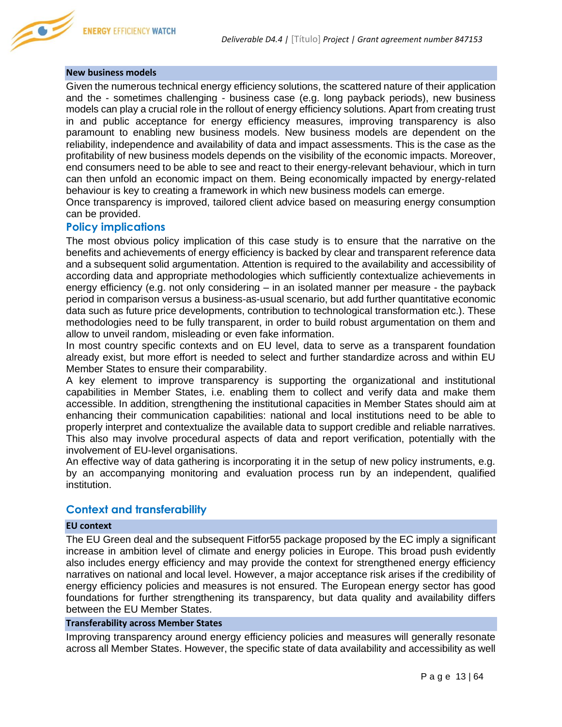

#### <span id="page-12-0"></span>**New business models**

Given the numerous technical energy efficiency solutions, the scattered nature of their application and the - sometimes challenging - business case (e.g. long payback periods), new business models can play a crucial role in the rollout of energy efficiency solutions. Apart from creating trust in and public acceptance for energy efficiency measures, improving transparency is also paramount to enabling new business models. New business models are dependent on the reliability, independence and availability of data and impact assessments. This is the case as the profitability of new business models depends on the visibility of the economic impacts. Moreover, end consumers need to be able to see and react to their energy-relevant behaviour, which in turn can then unfold an economic impact on them. Being economically impacted by energy-related behaviour is key to creating a framework in which new business models can emerge.

Once transparency is improved, tailored client advice based on measuring energy consumption can be provided.

#### <span id="page-12-1"></span>**Policy implications**

The most obvious policy implication of this case study is to ensure that the narrative on the benefits and achievements of energy efficiency is backed by clear and transparent reference data and a subsequent solid argumentation. Attention is required to the availability and accessibility of according data and appropriate methodologies which sufficiently contextualize achievements in energy efficiency (e.g. not only considering – in an isolated manner per measure - the payback period in comparison versus a business-as-usual scenario, but add further quantitative economic data such as future price developments, contribution to technological transformation etc.). These methodologies need to be fully transparent, in order to build robust argumentation on them and allow to unveil random, misleading or even fake information.

In most country specific contexts and on EU level, data to serve as a transparent foundation already exist, but more effort is needed to select and further standardize across and within EU Member States to ensure their comparability.

A key element to improve transparency is supporting the organizational and institutional capabilities in Member States, i.e. enabling them to collect and verify data and make them accessible. In addition, strengthening the institutional capacities in Member States should aim at enhancing their communication capabilities: national and local institutions need to be able to properly interpret and contextualize the available data to support credible and reliable narratives. This also may involve procedural aspects of data and report verification, potentially with the involvement of EU-level organisations.

An effective way of data gathering is incorporating it in the setup of new policy instruments, e.g. by an accompanying monitoring and evaluation process run by an independent, qualified institution.

#### <span id="page-12-2"></span>**Context and transferability**

#### <span id="page-12-3"></span>**EU context**

The EU Green deal and the subsequent Fitfor55 package proposed by the EC imply a significant increase in ambition level of climate and energy policies in Europe. This broad push evidently also includes energy efficiency and may provide the context for strengthened energy efficiency narratives on national and local level. However, a major acceptance risk arises if the credibility of energy efficiency policies and measures is not ensured. The European energy sector has good foundations for further strengthening its transparency, but data quality and availability differs between the EU Member States.

#### <span id="page-12-4"></span>**Transferability across Member States**

Improving transparency around energy efficiency policies and measures will generally resonate across all Member States. However, the specific state of data availability and accessibility as well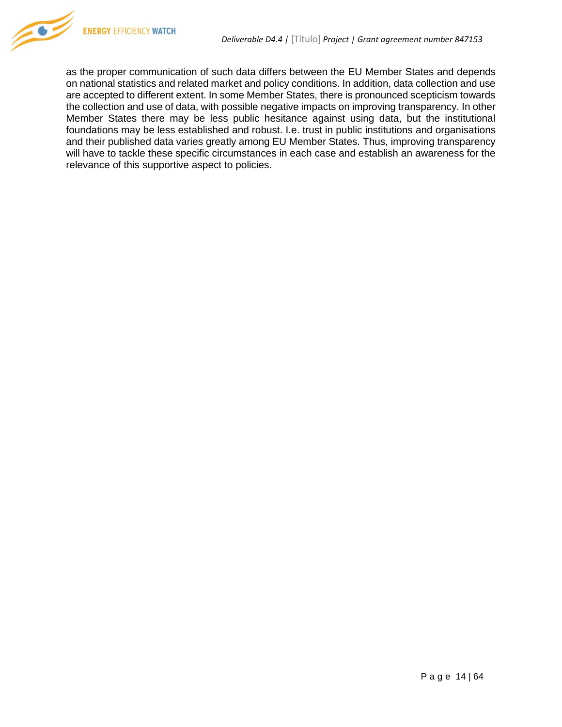

as the proper communication of such data differs between the EU Member States and depends on national statistics and related market and policy conditions. In addition, data collection and use are accepted to different extent. In some Member States, there is pronounced scepticism towards the collection and use of data, with possible negative impacts on improving transparency. In other Member States there may be less public hesitance against using data, but the institutional foundations may be less established and robust. I.e. trust in public institutions and organisations and their published data varies greatly among EU Member States. Thus, improving transparency will have to tackle these specific circumstances in each case and establish an awareness for the relevance of this supportive aspect to policies.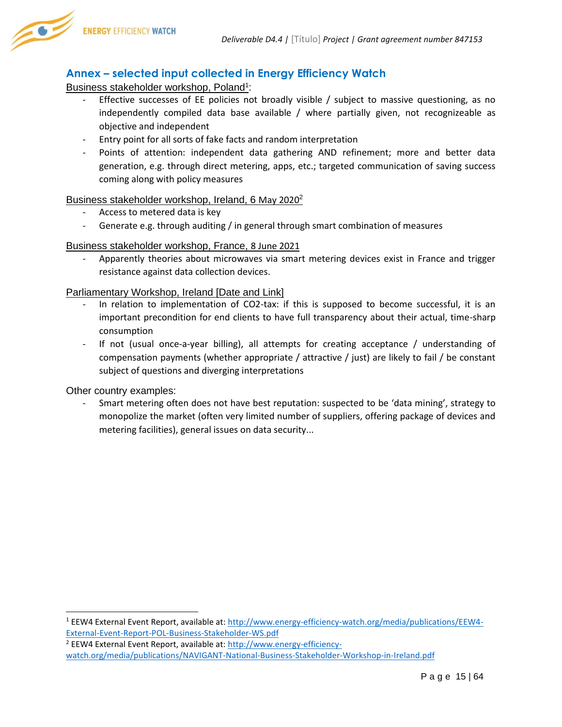

# <span id="page-14-0"></span>**Annex – selected input collected in Energy Efficiency Watch**

Business stakeholder workshop, Poland<sup>1</sup>:

- Effective successes of EE policies not broadly visible / subject to massive questioning, as no independently compiled data base available / where partially given, not recognizeable as objective and independent
- Entry point for all sorts of fake facts and random interpretation
- Points of attention: independent data gathering AND refinement; more and better data generation, e.g. through direct metering, apps, etc.; targeted communication of saving success coming along with policy measures

Business stakeholder workshop, Ireland, 6 May 2020<sup>2</sup>

- Access to metered data is key
- Generate e.g. through auditing / in general through smart combination of measures

Business stakeholder workshop, France, 8 June 2021

- Apparently theories about microwaves via smart metering devices exist in France and trigger resistance against data collection devices.

Parliamentary Workshop, Ireland [Date and Link]

- In relation to implementation of CO2-tax: if this is supposed to become successful, it is an important precondition for end clients to have full transparency about their actual, time-sharp consumption
- If not (usual once-a-year billing), all attempts for creating acceptance / understanding of compensation payments (whether appropriate / attractive / just) are likely to fail / be constant subject of questions and diverging interpretations

Other country examples:

Smart metering often does not have best reputation: suspected to be 'data mining', strategy to monopolize the market (often very limited number of suppliers, offering package of devices and metering facilities), general issues on data security...

<sup>1</sup> EEW4 External Event Report, available at: [http://www.energy-efficiency-watch.org/media/publications/EEW4-](http://www.energy-efficiency-watch.org/media/publications/EEW4-External-Event-Report-POL-Business-Stakeholder-WS.pdf) [External-Event-Report-POL-Business-Stakeholder-WS.pdf](http://www.energy-efficiency-watch.org/media/publications/EEW4-External-Event-Report-POL-Business-Stakeholder-WS.pdf)

<sup>2</sup> EEW4 External Event Report, available at: [http://www.energy-efficiency-](http://www.energy-efficiency-watch.org/media/publications/NAVIGANT-National-Business-Stakeholder-Workshop-in-Ireland.pdf)

[watch.org/media/publications/NAVIGANT-National-Business-Stakeholder-Workshop-in-Ireland.pdf](http://www.energy-efficiency-watch.org/media/publications/NAVIGANT-National-Business-Stakeholder-Workshop-in-Ireland.pdf)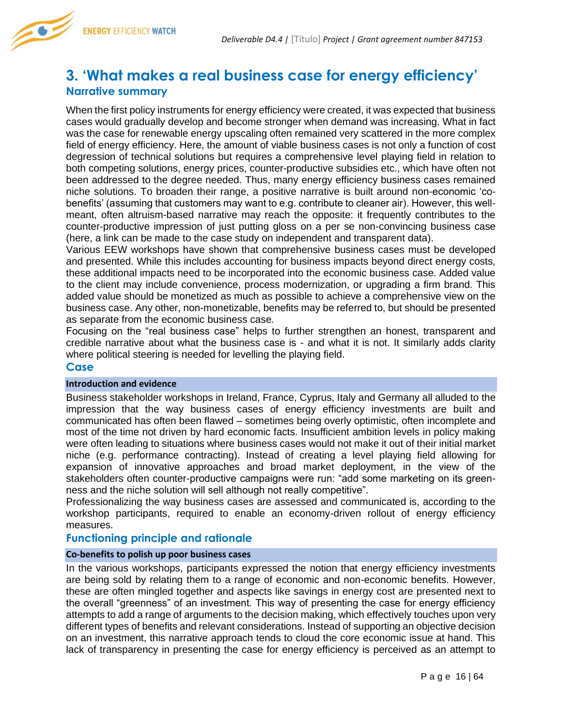

# <span id="page-15-1"></span><span id="page-15-0"></span>**3. 'What makes a real business case for energy efficiency' Narrative summary**

When the first policy instruments for energy efficiency were created, it was expected that business cases would gradually develop and become stronger when demand was increasing. What in fact was the case for renewable energy upscaling often remained very scattered in the more complex field of energy efficiency. Here, the amount of viable business cases is not only a function of cost degression of technical solutions but requires a comprehensive level playing field in relation to both competing solutions, energy prices, counter-productive subsidies etc., which have often not been addressed to the degree needed. Thus, many energy efficiency business cases remained niche solutions. To broaden their range, a positive narrative is built around non-economic 'cobenefits' (assuming that customers may want to e.g. contribute to cleaner air). However, this wellmeant, often altruism-based narrative may reach the opposite: it frequently contributes to the counter-productive impression of just putting gloss on a per se non-convincing business case (here, a link can be made to the case study on independent and transparent data).

Various EEW workshops have shown that comprehensive business cases must be developed and presented. While this includes accounting for business impacts beyond direct energy costs, these additional impacts need to be incorporated into the economic business case. Added value to the client may include convenience, process modernization, or upgrading a firm brand. This added value should be monetized as much as possible to achieve a comprehensive view on the business case. Any other, non-monetizable, benefits may be referred to, but should be presented as separate from the economic business case.

Focusing on the "real business case" helps to further strengthen an honest, transparent and credible narrative about what the business case is - and what it is not. It similarly adds clarity where political steering is needed for levelling the playing field.

#### <span id="page-15-2"></span>**Case**

#### <span id="page-15-3"></span>**Introduction and evidence**

Business stakeholder workshops in Ireland, France, Cyprus, Italy and Germany all alluded to the impression that the way business cases of energy efficiency investments are built and communicated has often been flawed – sometimes being overly optimistic, often incomplete and most of the time not driven by hard economic facts. Insufficient ambition levels in policy making were often leading to situations where business cases would not make it out of their initial market niche (e.g. performance contracting). Instead of creating a level playing field allowing for expansion of innovative approaches and broad market deployment, in the view of the stakeholders often counter-productive campaigns were run: "add some marketing on its greenness and the niche solution will sell although not really competitive".

Professionalizing the way business cases are assessed and communicated is, according to the workshop participants, required to enable an economy-driven rollout of energy efficiency measures.

#### <span id="page-15-4"></span>**Functioning principle and rationale**

#### <span id="page-15-5"></span>**Co-benefits to polish up poor business cases**

In the various workshops, participants expressed the notion that energy efficiency investments are being sold by relating them to a range of economic and non-economic benefits. However, these are often mingled together and aspects like savings in energy cost are presented next to the overall "greenness" of an investment. This way of presenting the case for energy efficiency attempts to add a range of arguments to the decision making, which effectively touches upon very different types of benefits and relevant considerations. Instead of supporting an objective decision on an investment, this narrative approach tends to cloud the core economic issue at hand. This lack of transparency in presenting the case for energy efficiency is perceived as an attempt to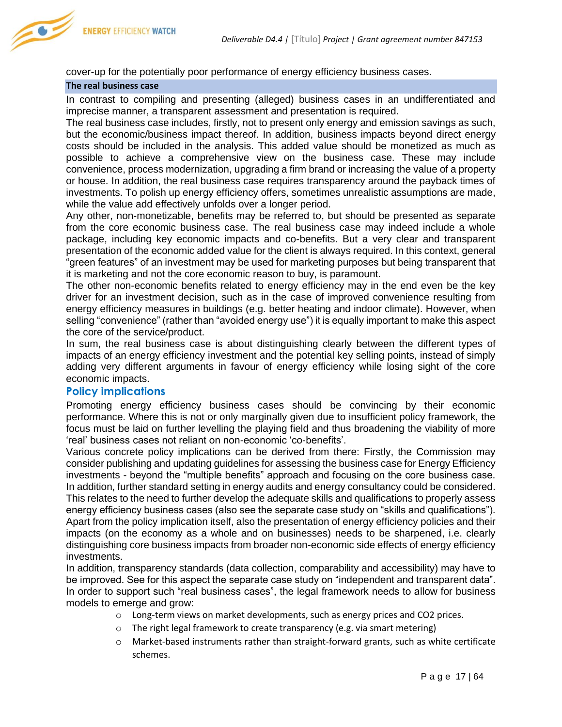

cover-up for the potentially poor performance of energy efficiency business cases.

#### <span id="page-16-0"></span>**The real business case**

In contrast to compiling and presenting (alleged) business cases in an undifferentiated and imprecise manner, a transparent assessment and presentation is required.

The real business case includes, firstly, not to present only energy and emission savings as such, but the economic/business impact thereof. In addition, business impacts beyond direct energy costs should be included in the analysis. This added value should be monetized as much as possible to achieve a comprehensive view on the business case. These may include convenience, process modernization, upgrading a firm brand or increasing the value of a property or house. In addition, the real business case requires transparency around the payback times of investments. To polish up energy efficiency offers, sometimes unrealistic assumptions are made, while the value add effectively unfolds over a longer period.

Any other, non-monetizable, benefits may be referred to, but should be presented as separate from the core economic business case. The real business case may indeed include a whole package, including key economic impacts and co-benefits. But a very clear and transparent presentation of the economic added value for the client is always required. In this context, general "green features" of an investment may be used for marketing purposes but being transparent that it is marketing and not the core economic reason to buy, is paramount.

The other non-economic benefits related to energy efficiency may in the end even be the key driver for an investment decision, such as in the case of improved convenience resulting from energy efficiency measures in buildings (e.g. better heating and indoor climate). However, when selling "convenience" (rather than "avoided energy use") it is equally important to make this aspect the core of the service/product.

In sum, the real business case is about distinguishing clearly between the different types of impacts of an energy efficiency investment and the potential key selling points, instead of simply adding very different arguments in favour of energy efficiency while losing sight of the core economic impacts.

#### <span id="page-16-1"></span>**Policy implications**

Promoting energy efficiency business cases should be convincing by their economic performance. Where this is not or only marginally given due to insufficient policy framework, the focus must be laid on further levelling the playing field and thus broadening the viability of more 'real' business cases not reliant on non-economic 'co-benefits'.

Various concrete policy implications can be derived from there: Firstly, the Commission may consider publishing and updating guidelines for assessing the business case for Energy Efficiency investments - beyond the "multiple benefits" approach and focusing on the core business case. In addition, further standard setting in energy audits and energy consultancy could be considered. This relates to the need to further develop the adequate skills and qualifications to properly assess energy efficiency business cases (also see the separate case study on "skills and qualifications"). Apart from the policy implication itself, also the presentation of energy efficiency policies and their impacts (on the economy as a whole and on businesses) needs to be sharpened, i.e. clearly distinguishing core business impacts from broader non-economic side effects of energy efficiency investments.

In addition, transparency standards (data collection, comparability and accessibility) may have to be improved. See for this aspect the separate case study on "independent and transparent data". In order to support such "real business cases", the legal framework needs to allow for business models to emerge and grow:

- o Long-term views on market developments, such as energy prices and CO2 prices.
- $\circ$  The right legal framework to create transparency (e.g. via smart metering)
- $\circ$  Market-based instruments rather than straight-forward grants, such as white certificate schemes.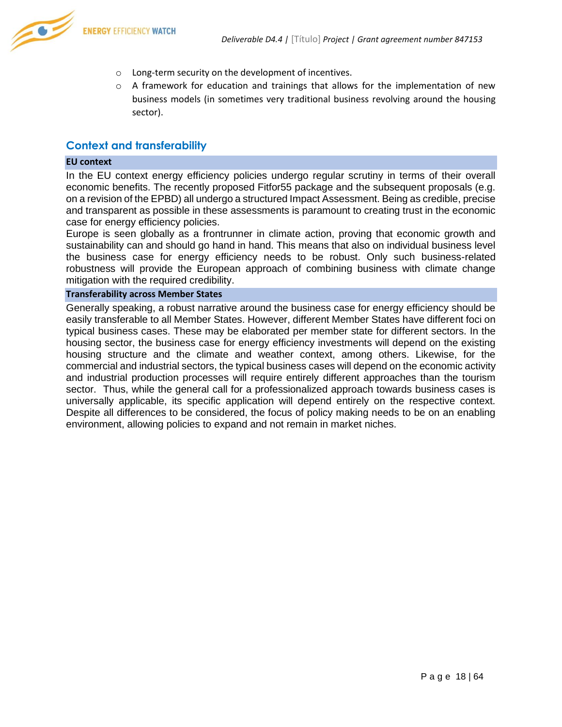

- o Long-term security on the development of incentives.
- o A framework for education and trainings that allows for the implementation of new business models (in sometimes very traditional business revolving around the housing sector).

# <span id="page-17-0"></span>**Context and transferability**

#### <span id="page-17-1"></span>**EU context**

In the EU context energy efficiency policies undergo regular scrutiny in terms of their overall economic benefits. The recently proposed Fitfor55 package and the subsequent proposals (e.g. on a revision of the EPBD) all undergo a structured Impact Assessment. Being as credible, precise and transparent as possible in these assessments is paramount to creating trust in the economic case for energy efficiency policies.

Europe is seen globally as a frontrunner in climate action, proving that economic growth and sustainability can and should go hand in hand. This means that also on individual business level the business case for energy efficiency needs to be robust. Only such business-related robustness will provide the European approach of combining business with climate change mitigation with the required credibility.

#### <span id="page-17-2"></span>**Transferability across Member States**

Generally speaking, a robust narrative around the business case for energy efficiency should be easily transferable to all Member States. However, different Member States have different foci on typical business cases. These may be elaborated per member state for different sectors. In the housing sector, the business case for energy efficiency investments will depend on the existing housing structure and the climate and weather context, among others. Likewise, for the commercial and industrial sectors, the typical business cases will depend on the economic activity and industrial production processes will require entirely different approaches than the tourism sector. Thus, while the general call for a professionalized approach towards business cases is universally applicable, its specific application will depend entirely on the respective context. Despite all differences to be considered, the focus of policy making needs to be on an enabling environment, allowing policies to expand and not remain in market niches.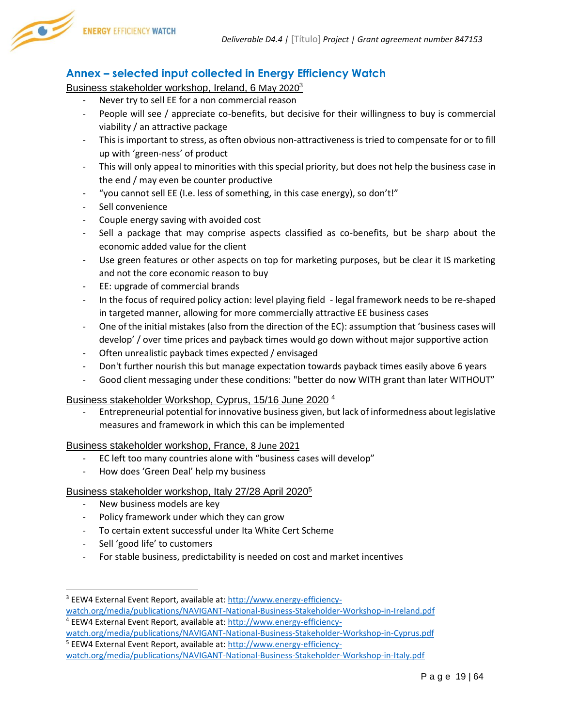

# <span id="page-18-0"></span>**Annex – selected input collected in Energy Efficiency Watch**

#### Business stakeholder workshop, Ireland, 6 May 2020<sup>3</sup>

- Never try to sell EE for a non commercial reason
- People will see / appreciate co-benefits, but decisive for their willingness to buy is commercial viability / an attractive package
- This is important to stress, as often obvious non-attractiveness is tried to compensate for or to fill up with 'green-ness' of product
- This will only appeal to minorities with this special priority, but does not help the business case in the end / may even be counter productive
- "you cannot sell EE (I.e. less of something, in this case energy), so don't!"
- Sell convenience
- Couple energy saving with avoided cost
- Sell a package that may comprise aspects classified as co-benefits, but be sharp about the economic added value for the client
- Use green features or other aspects on top for marketing purposes, but be clear it IS marketing and not the core economic reason to buy
- EE: upgrade of commercial brands
- In the focus of required policy action: level playing field legal framework needs to be re-shaped in targeted manner, allowing for more commercially attractive EE business cases
- One of the initial mistakes (also from the direction of the EC): assumption that 'business cases will develop' / over time prices and payback times would go down without major supportive action
- Often unrealistic payback times expected / envisaged
- Don't further nourish this but manage expectation towards payback times easily above 6 years
- Good client messaging under these conditions: "better do now WITH grant than later WITHOUT"

#### Business stakeholder Workshop, Cyprus, 15/16 June 2020 <sup>4</sup>

- Entrepreneurial potential for innovative business given, but lack of informedness about legislative measures and framework in which this can be implemented

#### Business stakeholder workshop, France, 8 June 2021

- EC left too many countries alone with "business cases will develop"
- How does 'Green Deal' help my business

#### Business stakeholder workshop, Italy 27/28 April 2020<sup>5</sup>

- New business models are key
- Policy framework under which they can grow
- To certain extent successful under Ita White Cert Scheme
- Sell 'good life' to customers
- For stable business, predictability is needed on cost and market incentives

[watch.org/media/publications/NAVIGANT-National-Business-Stakeholder-Workshop-in-Cyprus.pdf](http://www.energy-efficiency-watch.org/media/publications/NAVIGANT-National-Business-Stakeholder-Workshop-in-Cyprus.pdf)

<sup>&</sup>lt;sup>3</sup> EEW4 External Event Report, available at: [http://www.energy-efficiency](http://www.energy-efficiency-watch.org/media/publications/NAVIGANT-National-Business-Stakeholder-Workshop-in-Ireland.pdf)[watch.org/media/publications/NAVIGANT-National-Business-Stakeholder-Workshop-in-Ireland.pdf](http://www.energy-efficiency-watch.org/media/publications/NAVIGANT-National-Business-Stakeholder-Workshop-in-Ireland.pdf) <sup>4</sup> EEW4 External Event Report, available at: [http://www.energy-efficiency-](http://www.energy-efficiency-watch.org/media/publications/NAVIGANT-National-Business-Stakeholder-Workshop-in-Cyprus.pdf)

<sup>5</sup> EEW4 External Event Report, available at: [http://www.energy-efficiency-](http://www.energy-efficiency-watch.org/media/publications/NAVIGANT-National-Business-Stakeholder-Workshop-in-Italy.pdf)

[watch.org/media/publications/NAVIGANT-National-Business-Stakeholder-Workshop-in-Italy.pdf](http://www.energy-efficiency-watch.org/media/publications/NAVIGANT-National-Business-Stakeholder-Workshop-in-Italy.pdf)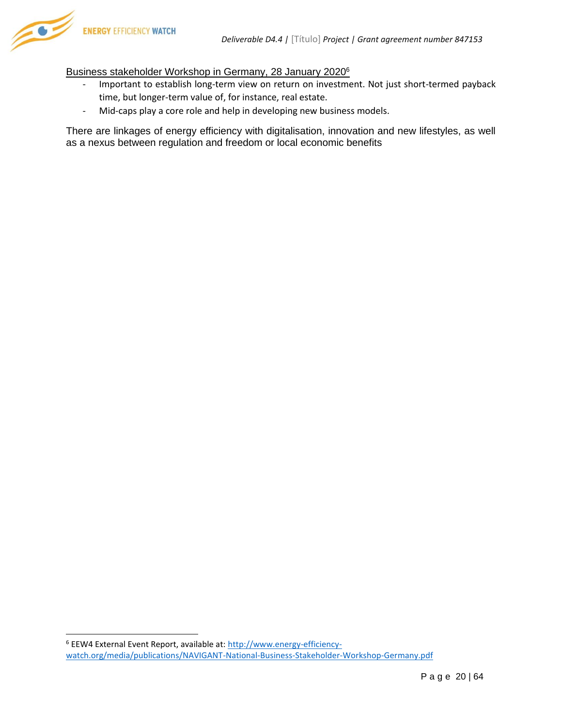

Business stakeholder Workshop in Germany, 28 January 2020<sup>6</sup>

- Important to establish long-term view on return on investment. Not just short-termed payback time, but longer-term value of, for instance, real estate.
- Mid-caps play a core role and help in developing new business models.

There are linkages of energy efficiency with digitalisation, innovation and new lifestyles, as well as a nexus between regulation and freedom or local economic benefits

<sup>6</sup> EEW4 External Event Report, available at: [http://www.energy-efficiency](http://www.energy-efficiency-watch.org/media/publications/NAVIGANT-National-Business-Stakeholder-Workshop-Germany.pdf)[watch.org/media/publications/NAVIGANT-National-Business-Stakeholder-Workshop-Germany.pdf](http://www.energy-efficiency-watch.org/media/publications/NAVIGANT-National-Business-Stakeholder-Workshop-Germany.pdf)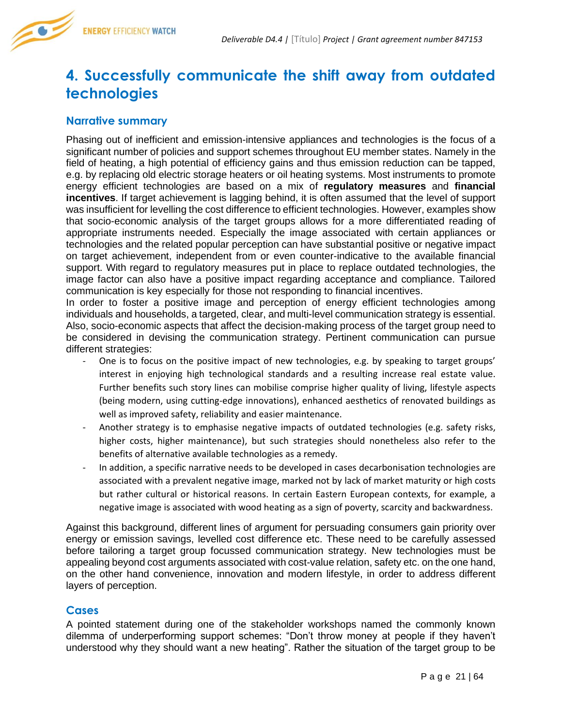

# <span id="page-20-0"></span>**4. Successfully communicate the shift away from outdated technologies**

# <span id="page-20-1"></span>**Narrative summary**

Phasing out of inefficient and emission-intensive appliances and technologies is the focus of a significant number of policies and support schemes throughout EU member states. Namely in the field of heating, a high potential of efficiency gains and thus emission reduction can be tapped, e.g. by replacing old electric storage heaters or oil heating systems. Most instruments to promote energy efficient technologies are based on a mix of **regulatory measures** and **financial incentives**. If target achievement is lagging behind, it is often assumed that the level of support was insufficient for levelling the cost difference to efficient technologies. However, examples show that socio-economic analysis of the target groups allows for a more differentiated reading of appropriate instruments needed. Especially the image associated with certain appliances or technologies and the related popular perception can have substantial positive or negative impact on target achievement, independent from or even counter-indicative to the available financial support. With regard to regulatory measures put in place to replace outdated technologies, the image factor can also have a positive impact regarding acceptance and compliance. Tailored communication is key especially for those not responding to financial incentives.

In order to foster a positive image and perception of energy efficient technologies among individuals and households, a targeted, clear, and multi-level communication strategy is essential. Also, socio-economic aspects that affect the decision-making process of the target group need to be considered in devising the communication strategy. Pertinent communication can pursue different strategies:

- One is to focus on the positive impact of new technologies, e.g. by speaking to target groups' interest in enjoying high technological standards and a resulting increase real estate value. Further benefits such story lines can mobilise comprise higher quality of living, lifestyle aspects (being modern, using cutting-edge innovations), enhanced aesthetics of renovated buildings as well as improved safety, reliability and easier maintenance.
- Another strategy is to emphasise negative impacts of outdated technologies (e.g. safety risks, higher costs, higher maintenance), but such strategies should nonetheless also refer to the benefits of alternative available technologies as a remedy.
- In addition, a specific narrative needs to be developed in cases decarbonisation technologies are associated with a prevalent negative image, marked not by lack of market maturity or high costs but rather cultural or historical reasons. In certain Eastern European contexts, for example, a negative image is associated with wood heating as a sign of poverty, scarcity and backwardness.

Against this background, different lines of argument for persuading consumers gain priority over energy or emission savings, levelled cost difference etc. These need to be carefully assessed before tailoring a target group focussed communication strategy. New technologies must be appealing beyond cost arguments associated with cost-value relation, safety etc. on the one hand, on the other hand convenience, innovation and modern lifestyle, in order to address different layers of perception.

# <span id="page-20-2"></span>**Cases**

A pointed statement during one of the stakeholder workshops named the commonly known dilemma of underperforming support schemes: "Don't throw money at people if they haven't understood why they should want a new heating". Rather the situation of the target group to be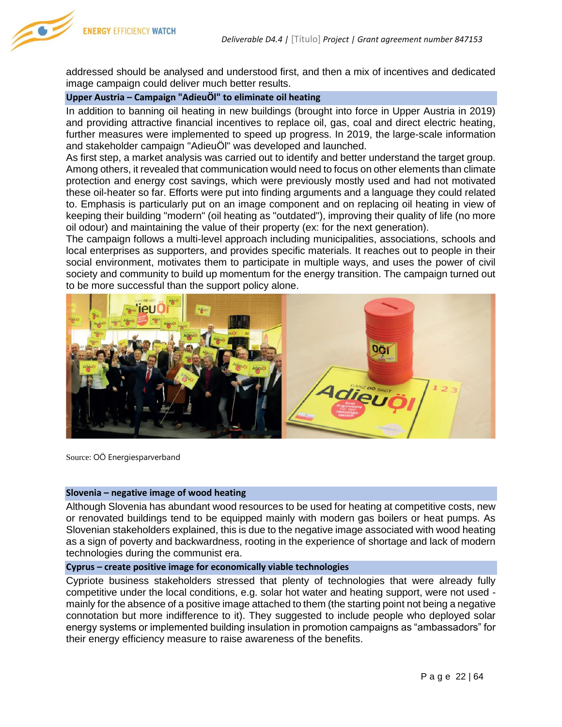

addressed should be analysed and understood first, and then a mix of incentives and dedicated image campaign could deliver much better results.

# <span id="page-21-0"></span>**Upper Austria – Campaign "AdieuÖl" to eliminate oil heating**

In addition to banning oil heating in new buildings (brought into force in Upper Austria in 2019) and providing attractive financial incentives to replace oil, gas, coal and direct electric heating, further measures were implemented to speed up progress. In 2019, the large-scale information and stakeholder campaign "AdieuÖl" was developed and launched.

As first step, a market analysis was carried out to identify and better understand the target group. Among others, it revealed that communication would need to focus on other elements than climate protection and energy cost savings, which were previously mostly used and had not motivated these oil-heater so far. Efforts were put into finding arguments and a language they could related to. Emphasis is particularly put on an image component and on replacing oil heating in view of keeping their building "modern" (oil heating as "outdated"), improving their quality of life (no more oil odour) and maintaining the value of their property (ex: for the next generation).

The campaign follows a multi-level approach including municipalities, associations, schools and local enterprises as supporters, and provides specific materials. It reaches out to people in their social environment, motivates them to participate in multiple ways, and uses the power of civil society and community to build up momentum for the energy transition. The campaign turned out to be more successful than the support policy alone.



Source: OÖ Energiesparverband

#### <span id="page-21-1"></span>**Slovenia – negative image of wood heating**

Although Slovenia has abundant wood resources to be used for heating at competitive costs, new or renovated buildings tend to be equipped mainly with modern gas boilers or heat pumps. As Slovenian stakeholders explained, this is due to the negative image associated with wood heating as a sign of poverty and backwardness, rooting in the experience of shortage and lack of modern technologies during the communist era.

# <span id="page-21-2"></span>**Cyprus – create positive image for economically viable technologies**

Cypriote business stakeholders stressed that plenty of technologies that were already fully competitive under the local conditions, e.g. solar hot water and heating support, were not used mainly for the absence of a positive image attached to them (the starting point not being a negative connotation but more indifference to it). They suggested to include people who deployed solar energy systems or implemented building insulation in promotion campaigns as "ambassadors" for their energy efficiency measure to raise awareness of the benefits.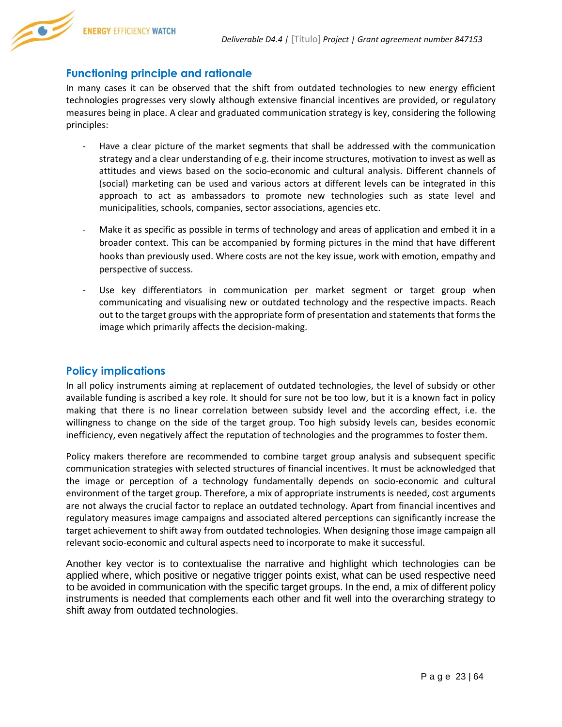

# <span id="page-22-0"></span>**Functioning principle and rationale**

In many cases it can be observed that the shift from outdated technologies to new energy efficient technologies progresses very slowly although extensive financial incentives are provided, or regulatory measures being in place. A clear and graduated communication strategy is key, considering the following principles:

- Have a clear picture of the market segments that shall be addressed with the communication strategy and a clear understanding of e.g. their income structures, motivation to invest as well as attitudes and views based on the socio-economic and cultural analysis. Different channels of (social) marketing can be used and various actors at different levels can be integrated in this approach to act as ambassadors to promote new technologies such as state level and municipalities, schools, companies, sector associations, agencies etc.
- Make it as specific as possible in terms of technology and areas of application and embed it in a broader context. This can be accompanied by forming pictures in the mind that have different hooks than previously used. Where costs are not the key issue, work with emotion, empathy and perspective of success.
- Use key differentiators in communication per market segment or target group when communicating and visualising new or outdated technology and the respective impacts. Reach out to the target groups with the appropriate form of presentation and statements that forms the image which primarily affects the decision-making.

# <span id="page-22-1"></span>**Policy implications**

In all policy instruments aiming at replacement of outdated technologies, the level of subsidy or other available funding is ascribed a key role. It should for sure not be too low, but it is a known fact in policy making that there is no linear correlation between subsidy level and the according effect, i.e. the willingness to change on the side of the target group. Too high subsidy levels can, besides economic inefficiency, even negatively affect the reputation of technologies and the programmes to foster them.

Policy makers therefore are recommended to combine target group analysis and subsequent specific communication strategies with selected structures of financial incentives. It must be acknowledged that the image or perception of a technology fundamentally depends on socio-economic and cultural environment of the target group. Therefore, a mix of appropriate instruments is needed, cost arguments are not always the crucial factor to replace an outdated technology. Apart from financial incentives and regulatory measures image campaigns and associated altered perceptions can significantly increase the target achievement to shift away from outdated technologies. When designing those image campaign all relevant socio-economic and cultural aspects need to incorporate to make it successful.

Another key vector is to contextualise the narrative and highlight which technologies can be applied where, which positive or negative trigger points exist, what can be used respective need to be avoided in communication with the specific target groups. In the end, a mix of different policy instruments is needed that complements each other and fit well into the overarching strategy to shift away from outdated technologies.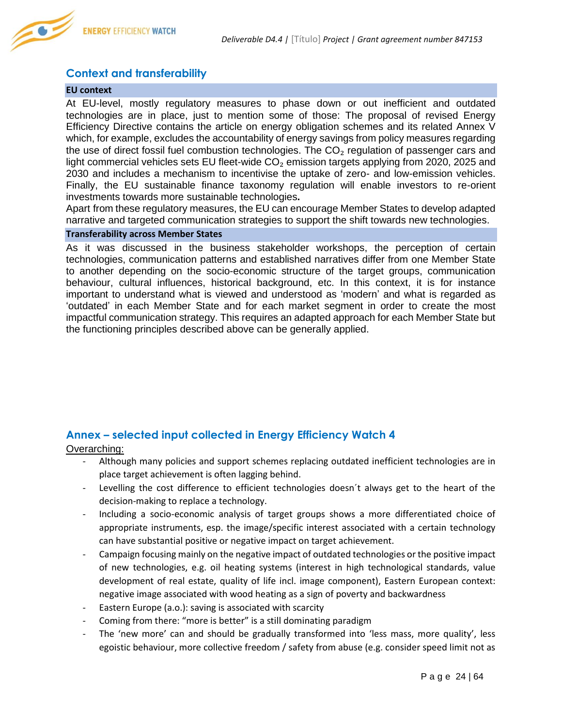

# <span id="page-23-0"></span>**Context and transferability**

#### <span id="page-23-1"></span>**EU context**

At EU-level, mostly regulatory measures to phase down or out inefficient and outdated technologies are in place, just to mention some of those: The proposal of revised Energy Efficiency Directive contains the article on energy obligation schemes and its related Annex V which, for example, excludes the accountability of energy savings from policy measures regarding the use of direct fossil fuel combustion technologies. The  $CO<sub>2</sub>$  regulation of passenger cars and light commercial vehicles sets EU fleet-wide  $CO<sub>2</sub>$  emission targets applying from 2020, 2025 and 2030 and includes a mechanism to incentivise the uptake of zero- and low-emission vehicles. Finally, the EU sustainable finance taxonomy regulation will enable investors to re-orient investments towards more sustainable technologies**.** 

Apart from these regulatory measures, the EU can encourage Member States to develop adapted narrative and targeted communication strategies to support the shift towards new technologies.

#### <span id="page-23-2"></span>**Transferability across Member States**

As it was discussed in the business stakeholder workshops, the perception of certain technologies, communication patterns and established narratives differ from one Member State to another depending on the socio-economic structure of the target groups, communication behaviour, cultural influences, historical background, etc. In this context, it is for instance important to understand what is viewed and understood as 'modern' and what is regarded as 'outdated' in each Member State and for each market segment in order to create the most impactful communication strategy. This requires an adapted approach for each Member State but the functioning principles described above can be generally applied.

# <span id="page-23-3"></span>**Annex – selected input collected in Energy Efficiency Watch 4**

#### Overarching:

- Although many policies and support schemes replacing outdated inefficient technologies are in place target achievement is often lagging behind.
- Levelling the cost difference to efficient technologies doesn't always get to the heart of the decision-making to replace a technology.
- Including a socio-economic analysis of target groups shows a more differentiated choice of appropriate instruments, esp. the image/specific interest associated with a certain technology can have substantial positive or negative impact on target achievement.
- Campaign focusing mainly on the negative impact of outdated technologies or the positive impact of new technologies, e.g. oil heating systems (interest in high technological standards, value development of real estate, quality of life incl. image component), Eastern European context: negative image associated with wood heating as a sign of poverty and backwardness
- Eastern Europe (a.o.): saving is associated with scarcity
- Coming from there: "more is better" is a still dominating paradigm
- The 'new more' can and should be gradually transformed into 'less mass, more quality', less egoistic behaviour, more collective freedom / safety from abuse (e.g. consider speed limit not as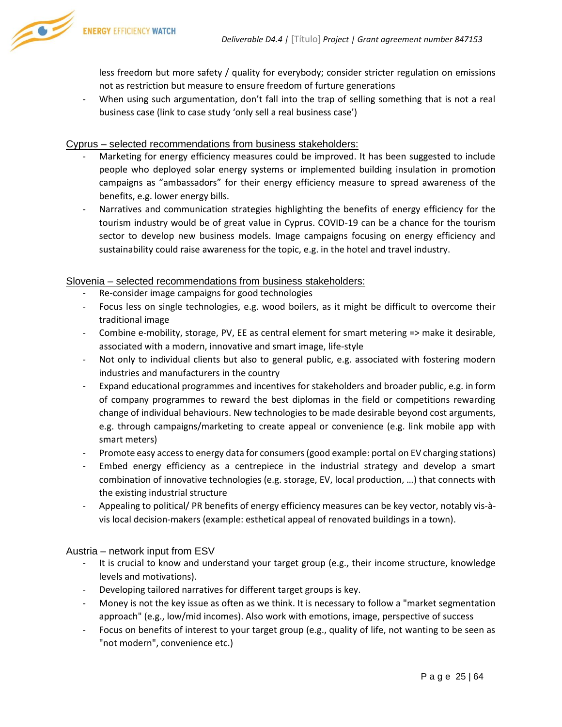

less freedom but more safety / quality for everybody; consider stricter regulation on emissions not as restriction but measure to ensure freedom of furture generations

When using such argumentation, don't fall into the trap of selling something that is not a real business case (link to case study 'only sell a real business case')

#### Cyprus – selected recommendations from business stakeholders:

- Marketing for energy efficiency measures could be improved. It has been suggested to include people who deployed solar energy systems or implemented building insulation in promotion campaigns as "ambassadors" for their energy efficiency measure to spread awareness of the benefits, e.g. lower energy bills.
- Narratives and communication strategies highlighting the benefits of energy efficiency for the tourism industry would be of great value in Cyprus. COVID-19 can be a chance for the tourism sector to develop new business models. Image campaigns focusing on energy efficiency and sustainability could raise awareness for the topic, e.g. in the hotel and travel industry.

#### Slovenia – selected recommendations from business stakeholders:

- Re-consider image campaigns for good technologies
- Focus less on single technologies, e.g. wood boilers, as it might be difficult to overcome their traditional image
- Combine e-mobility, storage, PV, EE as central element for smart metering => make it desirable, associated with a modern, innovative and smart image, life-style
- Not only to individual clients but also to general public, e.g. associated with fostering modern industries and manufacturers in the country
- Expand educational programmes and incentives for stakeholders and broader public, e.g. in form of company programmes to reward the best diplomas in the field or competitions rewarding change of individual behaviours. New technologies to be made desirable beyond cost arguments, e.g. through campaigns/marketing to create appeal or convenience (e.g. link mobile app with smart meters)
- Promote easy access to energy data for consumers (good example: portal on EV charging stations)
- Embed energy efficiency as a centrepiece in the industrial strategy and develop a smart combination of innovative technologies (e.g. storage, EV, local production, …) that connects with the existing industrial structure
- Appealing to political/ PR benefits of energy efficiency measures can be key vector, notably vis-àvis local decision-makers (example: esthetical appeal of renovated buildings in a town).

Austria – network input from ESV

- It is crucial to know and understand your target group (e.g., their income structure, knowledge levels and motivations).
- Developing tailored narratives for different target groups is key.
- Money is not the key issue as often as we think. It is necessary to follow a "market segmentation" approach" (e.g., low/mid incomes). Also work with emotions, image, perspective of success
- Focus on benefits of interest to your target group (e.g., quality of life, not wanting to be seen as "not modern", convenience etc.)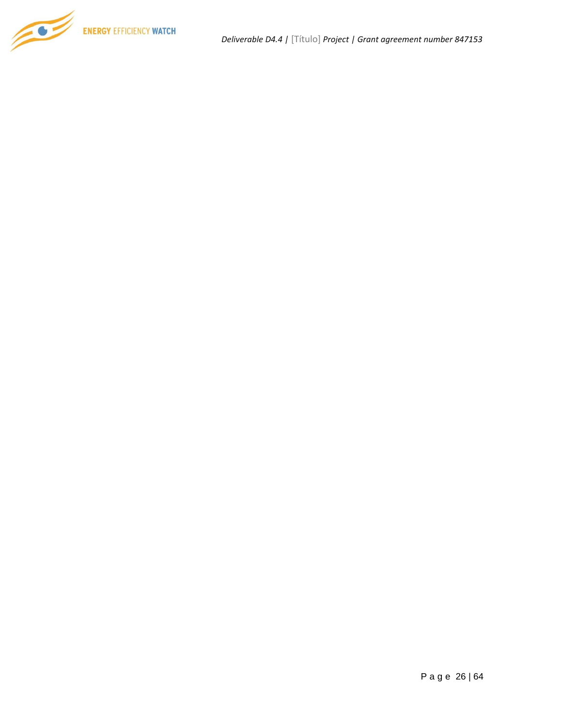

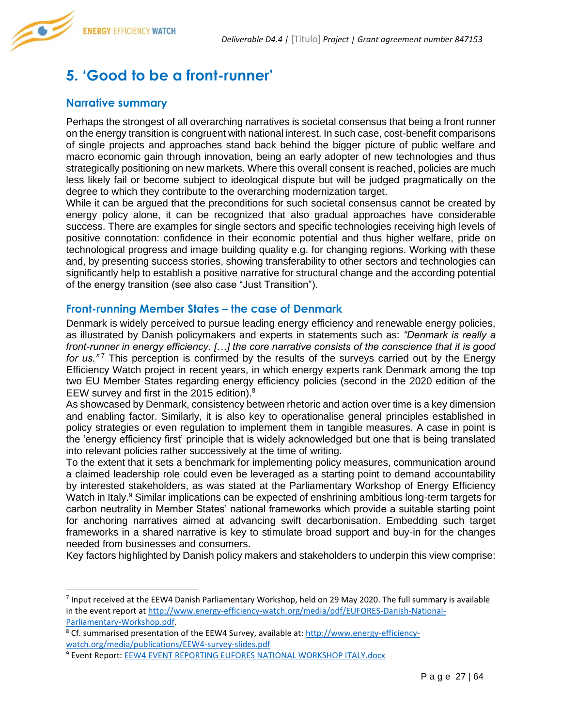

# <span id="page-26-0"></span>**5. 'Good to be a front-runner'**

# <span id="page-26-1"></span>**Narrative summary**

Perhaps the strongest of all overarching narratives is societal consensus that being a front runner on the energy transition is congruent with national interest. In such case, cost-benefit comparisons of single projects and approaches stand back behind the bigger picture of public welfare and macro economic gain through innovation, being an early adopter of new technologies and thus strategically positioning on new markets. Where this overall consent is reached, policies are much less likely fail or become subject to ideological dispute but will be judged pragmatically on the degree to which they contribute to the overarching modernization target.

While it can be argued that the preconditions for such societal consensus cannot be created by energy policy alone, it can be recognized that also gradual approaches have considerable success. There are examples for single sectors and specific technologies receiving high levels of positive connotation: confidence in their economic potential and thus higher welfare, pride on technological progress and image building quality e.g. for changing regions. Working with these and, by presenting success stories, showing transferability to other sectors and technologies can significantly help to establish a positive narrative for structural change and the according potential of the energy transition (see also case "Just Transition").

# <span id="page-26-2"></span>**Front-running Member States – the case of Denmark**

Denmark is widely perceived to pursue leading energy efficiency and renewable energy policies, as illustrated by Danish policymakers and experts in statements such as: *"Denmark is really a front-runner in energy efficiency. […] the core narrative consists of the conscience that it is good for us."* <sup>7</sup> This perception is confirmed by the results of the surveys carried out by the Energy Efficiency Watch project in recent years, in which energy experts rank Denmark among the top two EU Member States regarding energy efficiency policies (second in the 2020 edition of the EEW survey and first in the 2015 edition).<sup>8</sup>

As showcased by Denmark, consistency between rhetoric and action over time is a key dimension and enabling factor. Similarly, it is also key to operationalise general principles established in policy strategies or even regulation to implement them in tangible measures. A case in point is the 'energy efficiency first' principle that is widely acknowledged but one that is being translated into relevant policies rather successively at the time of writing.

To the extent that it sets a benchmark for implementing policy measures, communication around a claimed leadership role could even be leveraged as a starting point to demand accountability by interested stakeholders, as was stated at the Parliamentary Workshop of Energy Efficiency Watch in Italy.<sup>9</sup> Similar implications can be expected of enshrining ambitious long-term targets for carbon neutrality in Member States' national frameworks which provide a suitable starting point for anchoring narratives aimed at advancing swift decarbonisation. Embedding such target frameworks in a shared narrative is key to stimulate broad support and buy-in for the changes needed from businesses and consumers.

Key factors highlighted by Danish policy makers and stakeholders to underpin this view comprise:

<sup>7</sup> Input received at the EEW4 Danish Parliamentary Workshop, held on 29 May 2020. The full summary is available in the event report a[t http://www.energy-efficiency-watch.org/media/pdf/EUFORES-Danish-National-](http://www.energy-efficiency-watch.org/media/pdf/EUFORES-Danish-National-Parliamentary-Workshop.pdf)[Parliamentary-Workshop.pdf.](http://www.energy-efficiency-watch.org/media/pdf/EUFORES-Danish-National-Parliamentary-Workshop.pdf)

<sup>&</sup>lt;sup>8</sup> Cf. summarised presentation of the EEW4 Survey, available at: [http://www.energy-efficiency](http://www.energy-efficiency-watch.org/media/publications/EEW4-survey-slides.pdf)[watch.org/media/publications/EEW4-survey-slides.pdf](http://www.energy-efficiency-watch.org/media/publications/EEW4-survey-slides.pdf)

<sup>&</sup>lt;sup>9</sup> Event Report[: EEW4 EVENT REPORTING EUFORES NATIONAL WORKSHOP ITALY.docx](https://naviganteur.sharepoint.com/:w:/s/S052/207068/EZ1ij5A6MTNCgDRvjmZY6YYBLQsOojcDzuHYEUS5jdB88g?e=af9nO7)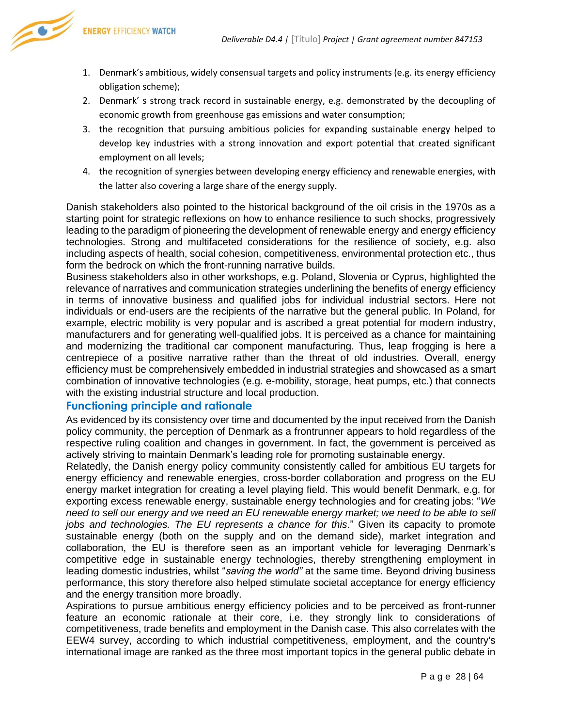

- 1. Denmark's ambitious, widely consensual targets and policy instruments (e.g. its energy efficiency obligation scheme);
- 2. Denmark' s strong track record in sustainable energy, e.g. demonstrated by the decoupling of economic growth from greenhouse gas emissions and water consumption;
- 3. the recognition that pursuing ambitious policies for expanding sustainable energy helped to develop key industries with a strong innovation and export potential that created significant employment on all levels;
- 4. the recognition of synergies between developing energy efficiency and renewable energies, with the latter also covering a large share of the energy supply.

Danish stakeholders also pointed to the historical background of the oil crisis in the 1970s as a starting point for strategic reflexions on how to enhance resilience to such shocks, progressively leading to the paradigm of pioneering the development of renewable energy and energy efficiency technologies. Strong and multifaceted considerations for the resilience of society, e.g. also including aspects of health, social cohesion, competitiveness, environmental protection etc., thus form the bedrock on which the front-running narrative builds.

Business stakeholders also in other workshops, e.g. Poland, Slovenia or Cyprus, highlighted the relevance of narratives and communication strategies underlining the benefits of energy efficiency in terms of innovative business and qualified jobs for individual industrial sectors. Here not individuals or end-users are the recipients of the narrative but the general public. In Poland, for example, electric mobility is very popular and is ascribed a great potential for modern industry, manufacturers and for generating well-qualified jobs. It is perceived as a chance for maintaining and modernizing the traditional car component manufacturing. Thus, leap frogging is here a centrepiece of a positive narrative rather than the threat of old industries. Overall, energy efficiency must be comprehensively embedded in industrial strategies and showcased as a smart combination of innovative technologies (e.g. e-mobility, storage, heat pumps, etc.) that connects with the existing industrial structure and local production.

# <span id="page-27-0"></span>**Functioning principle and rationale**

As evidenced by its consistency over time and documented by the input received from the Danish policy community, the perception of Denmark as a frontrunner appears to hold regardless of the respective ruling coalition and changes in government. In fact, the government is perceived as actively striving to maintain Denmark's leading role for promoting sustainable energy.

Relatedly, the Danish energy policy community consistently called for ambitious EU targets for energy efficiency and renewable energies, cross-border collaboration and progress on the EU energy market integration for creating a level playing field. This would benefit Denmark, e.g. for exporting excess renewable energy, sustainable energy technologies and for creating jobs: "*We need to sell our energy and we need an EU renewable energy market; we need to be able to sell jobs and technologies. The EU represents a chance for this*." Given its capacity to promote sustainable energy (both on the supply and on the demand side), market integration and collaboration, the EU is therefore seen as an important vehicle for leveraging Denmark's competitive edge in sustainable energy technologies, thereby strengthening employment in leading domestic industries, whilst "*saving the world"* at the same time. Beyond driving business performance, this story therefore also helped stimulate societal acceptance for energy efficiency and the energy transition more broadly.

Aspirations to pursue ambitious energy efficiency policies and to be perceived as front-runner feature an economic rationale at their core, i.e. they strongly link to considerations of competitiveness, trade benefits and employment in the Danish case. This also correlates with the EEW4 survey, according to which industrial competitiveness, employment, and the country's international image are ranked as the three most important topics in the general public debate in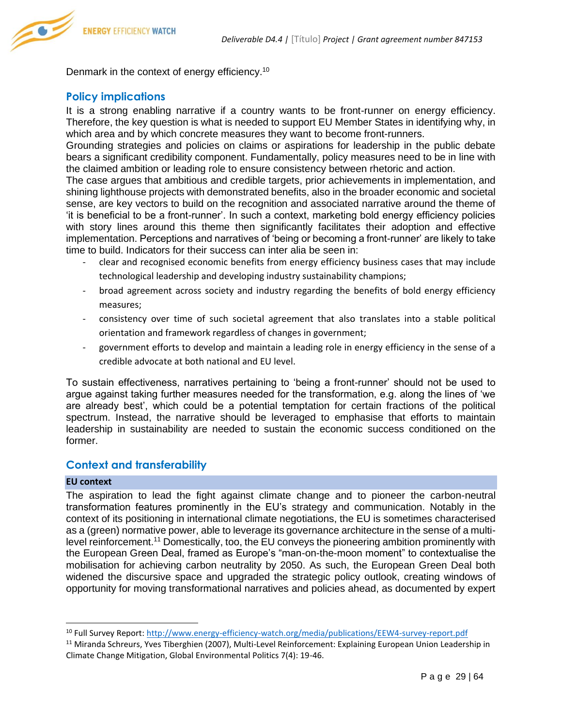

Denmark in the context of energy efficiency.<sup>10</sup>

# <span id="page-28-0"></span>**Policy implications**

It is a strong enabling narrative if a country wants to be front-runner on energy efficiency. Therefore, the key question is what is needed to support EU Member States in identifying why, in which area and by which concrete measures they want to become front-runners.

Grounding strategies and policies on claims or aspirations for leadership in the public debate bears a significant credibility component. Fundamentally, policy measures need to be in line with the claimed ambition or leading role to ensure consistency between rhetoric and action.

The case argues that ambitious and credible targets, prior achievements in implementation, and shining lighthouse projects with demonstrated benefits, also in the broader economic and societal sense, are key vectors to build on the recognition and associated narrative around the theme of 'it is beneficial to be a front-runner'. In such a context, marketing bold energy efficiency policies with story lines around this theme then significantly facilitates their adoption and effective implementation. Perceptions and narratives of 'being or becoming a front-runner' are likely to take time to build. Indicators for their success can inter alia be seen in:

- clear and recognised economic benefits from energy efficiency business cases that may include technological leadership and developing industry sustainability champions;
- broad agreement across society and industry regarding the benefits of bold energy efficiency measures;
- consistency over time of such societal agreement that also translates into a stable political orientation and framework regardless of changes in government;
- government efforts to develop and maintain a leading role in energy efficiency in the sense of a credible advocate at both national and EU level.

To sustain effectiveness, narratives pertaining to 'being a front-runner' should not be used to argue against taking further measures needed for the transformation, e.g. along the lines of 'we are already best', which could be a potential temptation for certain fractions of the political spectrum. Instead, the narrative should be leveraged to emphasise that efforts to maintain leadership in sustainability are needed to sustain the economic success conditioned on the former.

# <span id="page-28-1"></span>**Context and transferability**

#### <span id="page-28-2"></span>**EU context**

The aspiration to lead the fight against climate change and to pioneer the carbon-neutral transformation features prominently in the EU's strategy and communication. Notably in the context of its positioning in international climate negotiations, the EU is sometimes characterised as a (green) normative power, able to leverage its governance architecture in the sense of a multilevel reinforcement.<sup>11</sup> Domestically, too, the EU conveys the pioneering ambition prominently with the European Green Deal, framed as Europe's "man-on-the-moon moment" to contextualise the mobilisation for achieving carbon neutrality by 2050. As such, the European Green Deal both widened the discursive space and upgraded the strategic policy outlook, creating windows of opportunity for moving transformational narratives and policies ahead, as documented by expert

<sup>10</sup> Full Survey Report:<http://www.energy-efficiency-watch.org/media/publications/EEW4-survey-report.pdf>

<sup>&</sup>lt;sup>11</sup> Miranda Schreurs, Yves Tiberghien (2007), Multi-Level Reinforcement: Explaining European Union Leadership in Climate Change Mitigation, Global Environmental Politics 7(4): 19-46.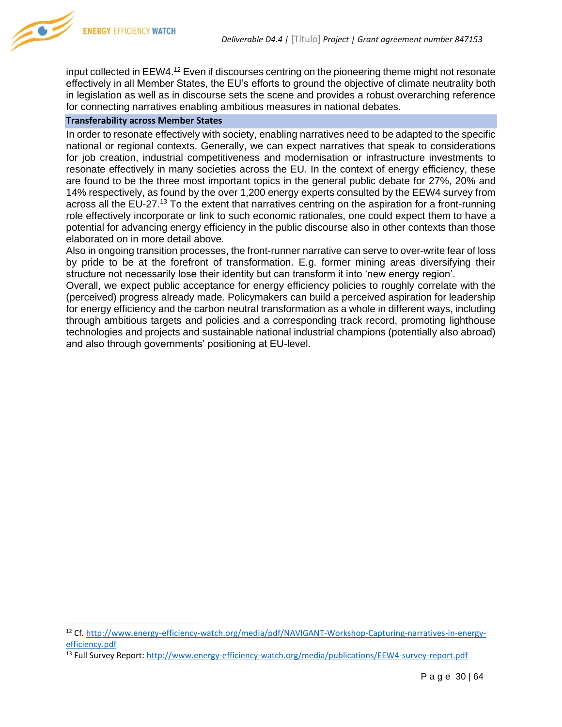

input collected in EEW4.<sup>12</sup> Even if discourses centring on the pioneering theme might not resonate effectively in all Member States, the EU's efforts to ground the objective of climate neutrality both in legislation as well as in discourse sets the scene and provides a robust overarching reference for connecting narratives enabling ambitious measures in national debates.

#### <span id="page-29-0"></span>**Transferability across Member States**

In order to resonate effectively with society, enabling narratives need to be adapted to the specific national or regional contexts. Generally, we can expect narratives that speak to considerations for job creation, industrial competitiveness and modernisation or infrastructure investments to resonate effectively in many societies across the EU. In the context of energy efficiency, these are found to be the three most important topics in the general public debate for 27%, 20% and 14% respectively, as found by the over 1,200 energy experts consulted by the EEW4 survey from across all the EU-27.<sup>13</sup> To the extent that narratives centring on the aspiration for a front-running role effectively incorporate or link to such economic rationales, one could expect them to have a potential for advancing energy efficiency in the public discourse also in other contexts than those elaborated on in more detail above.

Also in ongoing transition processes, the front-runner narrative can serve to over-write fear of loss by pride to be at the forefront of transformation. E.g. former mining areas diversifying their structure not necessarily lose their identity but can transform it into 'new energy region'.

Overall, we expect public acceptance for energy efficiency policies to roughly correlate with the (perceived) progress already made. Policymakers can build a perceived aspiration for leadership for energy efficiency and the carbon neutral transformation as a whole in different ways, including through ambitious targets and policies and a corresponding track record, promoting lighthouse technologies and projects and sustainable national industrial champions (potentially also abroad) and also through governments' positioning at EU-level.

<sup>12</sup> Cf. [http://www.energy-efficiency-watch.org/media/pdf/NAVIGANT-Workshop-Capturing-narratives-in-energy](http://www.energy-efficiency-watch.org/media/pdf/NAVIGANT-Workshop-Capturing-narratives-in-energy-efficiency.pdf)[efficiency.pdf](http://www.energy-efficiency-watch.org/media/pdf/NAVIGANT-Workshop-Capturing-narratives-in-energy-efficiency.pdf)

<sup>13</sup> Full Survey Report:<http://www.energy-efficiency-watch.org/media/publications/EEW4-survey-report.pdf>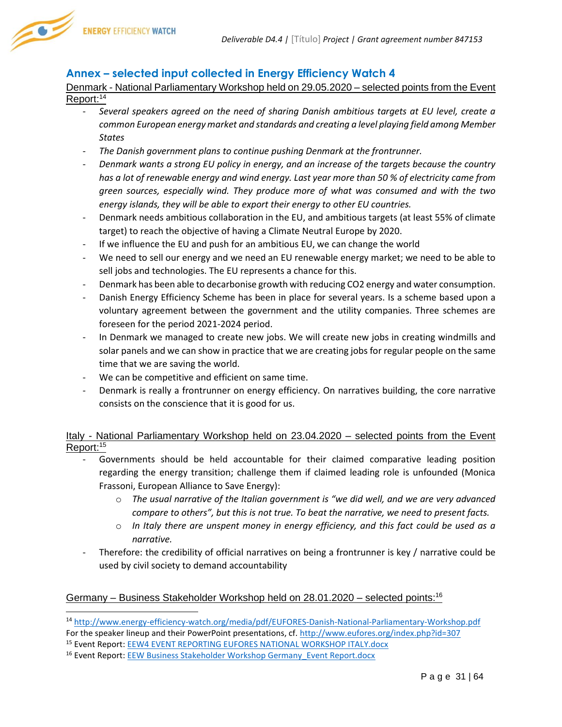

# <span id="page-30-0"></span>**Annex – selected input collected in Energy Efficiency Watch 4**

Denmark - National Parliamentary Workshop held on 29.05.2020 – selected points from the Event Report:<sup>14</sup>

- *Several speakers agreed on the need of sharing Danish ambitious targets at EU level, create a common European energy market and standards and creating a level playing field among Member States*
- *The Danish government plans to continue pushing Denmark at the frontrunner.*
- *Denmark wants a strong EU policy in energy, and an increase of the targets because the country has a lot of renewable energy and wind energy. Last year more than 50 % of electricity came from green sources, especially wind. They produce more of what was consumed and with the two energy islands, they will be able to export their energy to other EU countries.*
- Denmark needs ambitious collaboration in the EU, and ambitious targets (at least 55% of climate target) to reach the objective of having a Climate Neutral Europe by 2020.
- If we influence the EU and push for an ambitious EU, we can change the world
- We need to sell our energy and we need an EU renewable energy market; we need to be able to sell jobs and technologies. The EU represents a chance for this.
- Denmark has been able to decarbonise growth with reducing CO2 energy and water consumption.
- Danish Energy Efficiency Scheme has been in place for several years. Is a scheme based upon a voluntary agreement between the government and the utility companies. Three schemes are foreseen for the period 2021-2024 period.
- In Denmark we managed to create new jobs. We will create new jobs in creating windmills and solar panels and we can show in practice that we are creating jobs for regular people on the same time that we are saving the world.
- We can be competitive and efficient on same time.
- Denmark is really a frontrunner on energy efficiency. On narratives building, the core narrative consists on the conscience that it is good for us.

# Italy - National Parliamentary Workshop held on 23.04.2020 – selected points from the Event Report:<sup>15</sup>

- Governments should be held accountable for their claimed comparative leading position regarding the energy transition; challenge them if claimed leading role is unfounded (Monica Frassoni, European Alliance to Save Energy):
	- o *The usual narrative of the Italian government is "we did well, and we are very advanced compare to others", but this is not true. To beat the narrative, we need to present facts.*
	- o *In Italy there are unspent money in energy efficiency, and this fact could be used as a narrative.*
- Therefore: the credibility of official narratives on being a frontrunner is key / narrative could be used by civil society to demand accountability

# Germany – Business Stakeholder Workshop held on 28.01.2020 – selected points:<sup>16</sup>

<sup>14</sup> <http://www.energy-efficiency-watch.org/media/pdf/EUFORES-Danish-National-Parliamentary-Workshop.pdf>

For the speaker lineup and their PowerPoint presentations, cf.<http://www.eufores.org/index.php?id=307>

<sup>&</sup>lt;sup>15</sup> Event Report: [EEW4 EVENT REPORTING EUFORES NATIONAL WORKSHOP ITALY.docx](https://naviganteur.sharepoint.com/:w:/s/S052/207068/EZ1ij5A6MTNCgDRvjmZY6YYBLQsOojcDzuHYEUS5jdB88g?e=af9nO7)

<sup>&</sup>lt;sup>16</sup> Event Report: EEW Business Stakeholder Workshop Germany Event Report.docx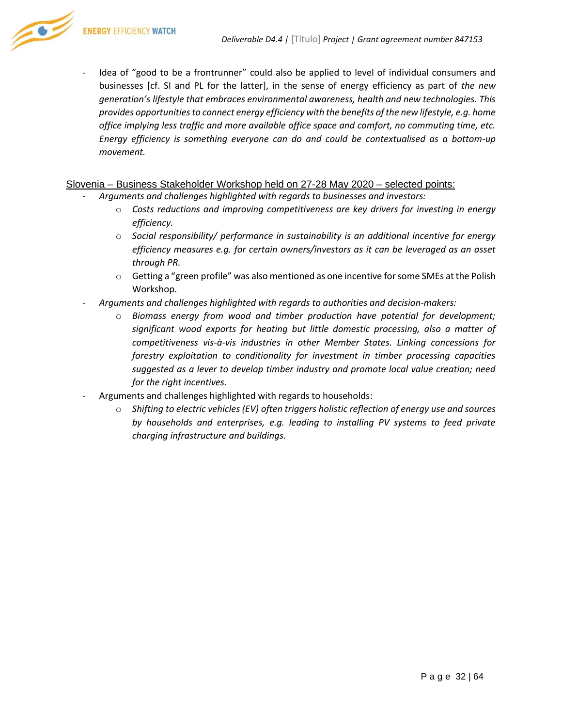Idea of "good to be a frontrunner" could also be applied to level of individual consumers and businesses [cf. SI and PL for the latter], in the sense of energy efficiency as part of *the new generation's lifestyle that embraces environmental awareness, health and new technologies. This provides opportunities to connect energy efficiency with the benefits of the new lifestyle, e.g. home office implying less traffic and more available office space and comfort, no commuting time, etc. Energy efficiency is something everyone can do and could be contextualised as a bottom-up movement.*

# Slovenia – Business Stakeholder Workshop held on 27-28 May 2020 – selected points:

- *Arguments and challenges highlighted with regards to businesses and investors:*
	- o *Costs reductions and improving competitiveness are key drivers for investing in energy efficiency.*
	- o *Social responsibility/ performance in sustainability is an additional incentive for energy efficiency measures e.g. for certain owners/investors as it can be leveraged as an asset through PR.*
	- $\circ$  Getting a "green profile" was also mentioned as one incentive for some SMEs at the Polish Workshop.
- *Arguments and challenges highlighted with regards to authorities and decision-makers:*
	- o *Biomass energy from wood and timber production have potential for development; significant wood exports for heating but little domestic processing, also a matter of competitiveness vis-à-vis industries in other Member States. Linking concessions for forestry exploitation to conditionality for investment in timber processing capacities suggested as a lever to develop timber industry and promote local value creation; need for the right incentives.*
- Arguments and challenges highlighted with regards to households:
	- o *Shifting to electric vehicles (EV) often triggers holistic reflection of energy use and sources by households and enterprises, e.g. leading to installing PV systems to feed private charging infrastructure and buildings.*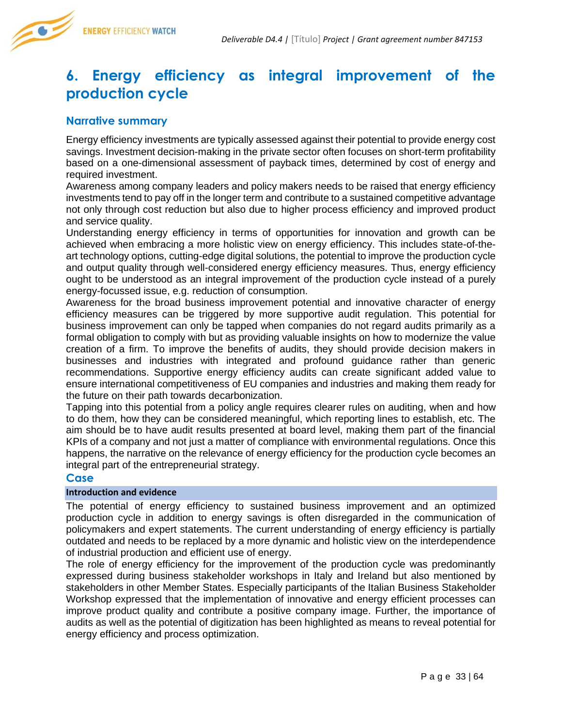

# <span id="page-32-0"></span>**6. Energy efficiency as integral improvement of the production cycle**

# <span id="page-32-1"></span>**Narrative summary**

Energy efficiency investments are typically assessed against their potential to provide energy cost savings. Investment decision-making in the private sector often focuses on short-term profitability based on a one-dimensional assessment of payback times, determined by cost of energy and required investment.

Awareness among company leaders and policy makers needs to be raised that energy efficiency investments tend to pay off in the longer term and contribute to a sustained competitive advantage not only through cost reduction but also due to higher process efficiency and improved product and service quality.

Understanding energy efficiency in terms of opportunities for innovation and growth can be achieved when embracing a more holistic view on energy efficiency. This includes state-of-theart technology options, cutting-edge digital solutions, the potential to improve the production cycle and output quality through well-considered energy efficiency measures. Thus, energy efficiency ought to be understood as an integral improvement of the production cycle instead of a purely energy-focussed issue, e.g. reduction of consumption.

Awareness for the broad business improvement potential and innovative character of energy efficiency measures can be triggered by more supportive audit regulation. This potential for business improvement can only be tapped when companies do not regard audits primarily as a formal obligation to comply with but as providing valuable insights on how to modernize the value creation of a firm. To improve the benefits of audits, they should provide decision makers in businesses and industries with integrated and profound guidance rather than generic recommendations. Supportive energy efficiency audits can create significant added value to ensure international competitiveness of EU companies and industries and making them ready for the future on their path towards decarbonization.

Tapping into this potential from a policy angle requires clearer rules on auditing, when and how to do them, how they can be considered meaningful, which reporting lines to establish, etc. The aim should be to have audit results presented at board level, making them part of the financial KPIs of a company and not just a matter of compliance with environmental regulations. Once this happens, the narrative on the relevance of energy efficiency for the production cycle becomes an integral part of the entrepreneurial strategy.

#### **Case**

#### <span id="page-32-2"></span>**Introduction and evidence**

The potential of energy efficiency to sustained business improvement and an optimized production cycle in addition to energy savings is often disregarded in the communication of policymakers and expert statements. The current understanding of energy efficiency is partially outdated and needs to be replaced by a more dynamic and holistic view on the interdependence of industrial production and efficient use of energy.

The role of energy efficiency for the improvement of the production cycle was predominantly expressed during business stakeholder workshops in Italy and Ireland but also mentioned by stakeholders in other Member States. Especially participants of the Italian Business Stakeholder Workshop expressed that the implementation of innovative and energy efficient processes can improve product quality and contribute a positive company image. Further, the importance of audits as well as the potential of digitization has been highlighted as means to reveal potential for energy efficiency and process optimization.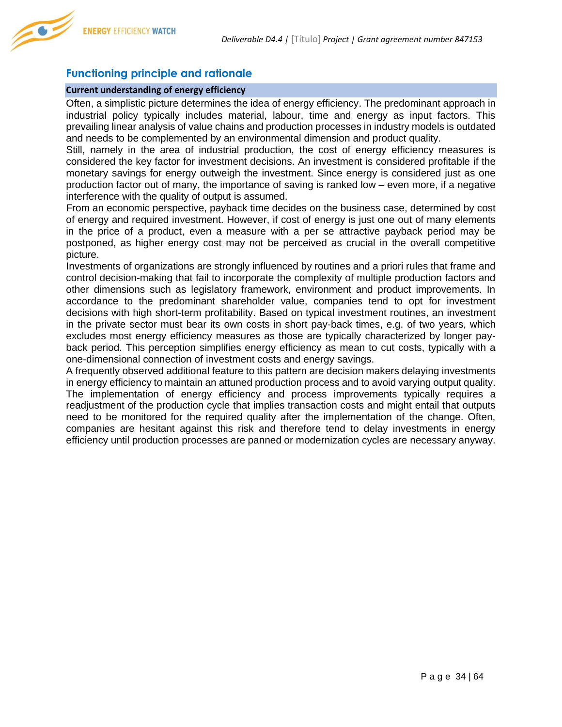

# <span id="page-33-0"></span>**Functioning principle and rationale**

#### <span id="page-33-1"></span>**Current understanding of energy efficiency**

Often, a simplistic picture determines the idea of energy efficiency. The predominant approach in industrial policy typically includes material, labour, time and energy as input factors. This prevailing linear analysis of value chains and production processes in industry models is outdated and needs to be complemented by an environmental dimension and product quality.

Still, namely in the area of industrial production, the cost of energy efficiency measures is considered the key factor for investment decisions. An investment is considered profitable if the monetary savings for energy outweigh the investment. Since energy is considered just as one production factor out of many, the importance of saving is ranked low – even more, if a negative interference with the quality of output is assumed.

From an economic perspective, payback time decides on the business case, determined by cost of energy and required investment. However, if cost of energy is just one out of many elements in the price of a product, even a measure with a per se attractive payback period may be postponed, as higher energy cost may not be perceived as crucial in the overall competitive picture.

Investments of organizations are strongly influenced by routines and a priori rules that frame and control decision-making that fail to incorporate the complexity of multiple production factors and other dimensions such as legislatory framework, environment and product improvements. In accordance to the predominant shareholder value, companies tend to opt for investment decisions with high short-term profitability. Based on typical investment routines, an investment in the private sector must bear its own costs in short pay-back times, e.g. of two years, which excludes most energy efficiency measures as those are typically characterized by longer payback period. This perception simplifies energy efficiency as mean to cut costs, typically with a one-dimensional connection of investment costs and energy savings.

A frequently observed additional feature to this pattern are decision makers delaying investments in energy efficiency to maintain an attuned production process and to avoid varying output quality. The implementation of energy efficiency and process improvements typically requires a readjustment of the production cycle that implies transaction costs and might entail that outputs need to be monitored for the required quality after the implementation of the change. Often, companies are hesitant against this risk and therefore tend to delay investments in energy efficiency until production processes are panned or modernization cycles are necessary anyway.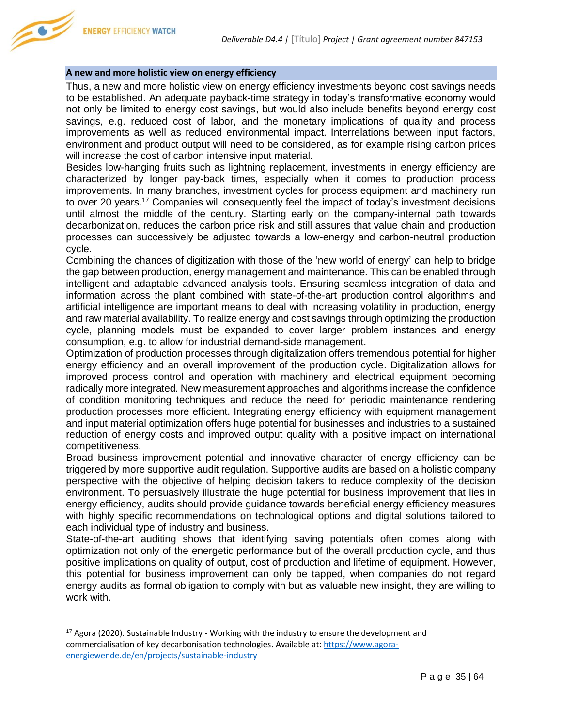

#### <span id="page-34-0"></span>**A new and more holistic view on energy efficiency**

Thus, a new and more holistic view on energy efficiency investments beyond cost savings needs to be established. An adequate payback-time strategy in today's transformative economy would not only be limited to energy cost savings, but would also include benefits beyond energy cost savings, e.g. reduced cost of labor, and the monetary implications of quality and process improvements as well as reduced environmental impact. Interrelations between input factors, environment and product output will need to be considered, as for example rising carbon prices will increase the cost of carbon intensive input material.

Besides low-hanging fruits such as lightning replacement, investments in energy efficiency are characterized by longer pay-back times, especially when it comes to production process improvements. In many branches, investment cycles for process equipment and machinery run to over 20 years.<sup>17</sup> Companies will consequently feel the impact of today's investment decisions until almost the middle of the century. Starting early on the company-internal path towards decarbonization, reduces the carbon price risk and still assures that value chain and production processes can successively be adjusted towards a low-energy and carbon-neutral production cycle.

Combining the chances of digitization with those of the 'new world of energy' can help to bridge the gap between production, energy management and maintenance. This can be enabled through intelligent and adaptable advanced analysis tools. Ensuring seamless integration of data and information across the plant combined with state-of-the-art production control algorithms and artificial intelligence are important means to deal with increasing volatility in production, energy and raw material availability. To realize energy and cost savings through optimizing the production cycle, planning models must be expanded to cover larger problem instances and energy consumption, e.g. to allow for industrial demand-side management.

Optimization of production processes through digitalization offers tremendous potential for higher energy efficiency and an overall improvement of the production cycle. Digitalization allows for improved process control and operation with machinery and electrical equipment becoming radically more integrated. New measurement approaches and algorithms increase the confidence of condition monitoring techniques and reduce the need for periodic maintenance rendering production processes more efficient. Integrating energy efficiency with equipment management and input material optimization offers huge potential for businesses and industries to a sustained reduction of energy costs and improved output quality with a positive impact on international competitiveness.

Broad business improvement potential and innovative character of energy efficiency can be triggered by more supportive audit regulation. Supportive audits are based on a holistic company perspective with the objective of helping decision takers to reduce complexity of the decision environment. To persuasively illustrate the huge potential for business improvement that lies in energy efficiency, audits should provide guidance towards beneficial energy efficiency measures with highly specific recommendations on technological options and digital solutions tailored to each individual type of industry and business.

State-of-the-art auditing shows that identifying saving potentials often comes along with optimization not only of the energetic performance but of the overall production cycle, and thus positive implications on quality of output, cost of production and lifetime of equipment. However, this potential for business improvement can only be tapped, when companies do not regard energy audits as formal obligation to comply with but as valuable new insight, they are willing to work with.

 $17$  Agora (2020). Sustainable Industry - Working with the industry to ensure the development and commercialisation of key decarbonisation technologies. Available at: [https://www.agora](https://www.agora-energiewende.de/en/projects/sustainable-industry)[energiewende.de/en/projects/sustainable-industry](https://www.agora-energiewende.de/en/projects/sustainable-industry)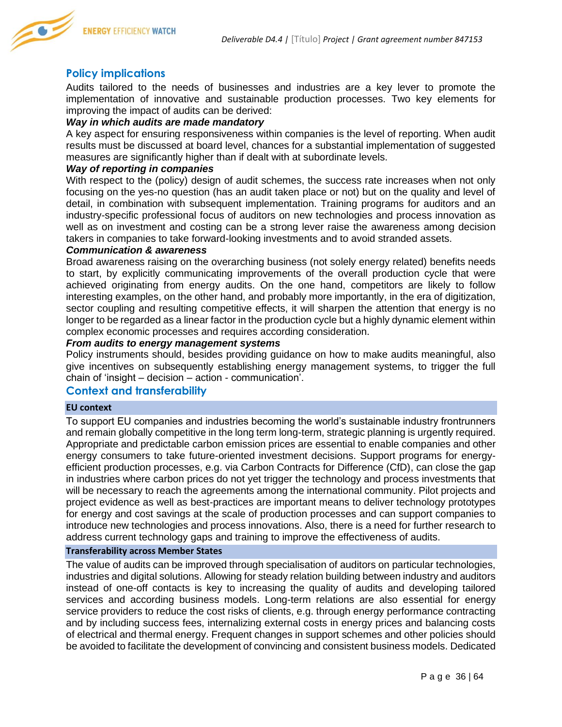

# <span id="page-35-0"></span>**Policy implications**

Audits tailored to the needs of businesses and industries are a key lever to promote the implementation of innovative and sustainable production processes. Two key elements for improving the impact of audits can be derived:

#### *Way in which audits are made mandatory*

A key aspect for ensuring responsiveness within companies is the level of reporting. When audit results must be discussed at board level, chances for a substantial implementation of suggested measures are significantly higher than if dealt with at subordinate levels.

#### *Way of reporting in companies*

With respect to the (policy) design of audit schemes, the success rate increases when not only focusing on the yes-no question (has an audit taken place or not) but on the quality and level of detail, in combination with subsequent implementation. Training programs for auditors and an industry-specific professional focus of auditors on new technologies and process innovation as well as on investment and costing can be a strong lever raise the awareness among decision takers in companies to take forward-looking investments and to avoid stranded assets.

#### *Communication & awareness*

Broad awareness raising on the overarching business (not solely energy related) benefits needs to start, by explicitly communicating improvements of the overall production cycle that were achieved originating from energy audits. On the one hand, competitors are likely to follow interesting examples, on the other hand, and probably more importantly, in the era of digitization, sector coupling and resulting competitive effects, it will sharpen the attention that energy is no longer to be regarded as a linear factor in the production cycle but a highly dynamic element within complex economic processes and requires according consideration.

#### *From audits to energy management systems*

Policy instruments should, besides providing guidance on how to make audits meaningful, also give incentives on subsequently establishing energy management systems, to trigger the full chain of 'insight – decision – action - communication'.

#### <span id="page-35-1"></span>**Context and transferability**

#### <span id="page-35-2"></span>**EU context**

To support EU companies and industries becoming the world's sustainable industry frontrunners and remain globally competitive in the long term long-term, strategic planning is urgently required. Appropriate and predictable carbon emission prices are essential to enable companies and other energy consumers to take future-oriented investment decisions. Support programs for energyefficient production processes, e.g. via Carbon Contracts for Difference (CfD), can close the gap in industries where carbon prices do not yet trigger the technology and process investments that will be necessary to reach the agreements among the international community. Pilot projects and project evidence as well as best-practices are important means to deliver technology prototypes for energy and cost savings at the scale of production processes and can support companies to introduce new technologies and process innovations. Also, there is a need for further research to address current technology gaps and training to improve the effectiveness of audits.

#### <span id="page-35-3"></span>**Transferability across Member States**

The value of audits can be improved through specialisation of auditors on particular technologies, industries and digital solutions. Allowing for steady relation building between industry and auditors instead of one-off contacts is key to increasing the quality of audits and developing tailored services and according business models. Long-term relations are also essential for energy service providers to reduce the cost risks of clients, e.g. through energy performance contracting and by including success fees, internalizing external costs in energy prices and balancing costs of electrical and thermal energy. Frequent changes in support schemes and other policies should be avoided to facilitate the development of convincing and consistent business models. Dedicated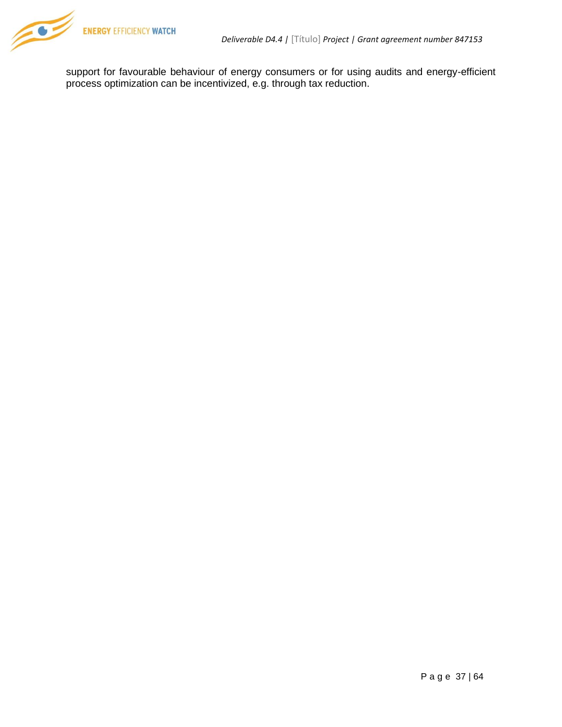

support for favourable behaviour of energy consumers or for using audits and energy-efficient process optimization can be incentivized, e.g. through tax reduction.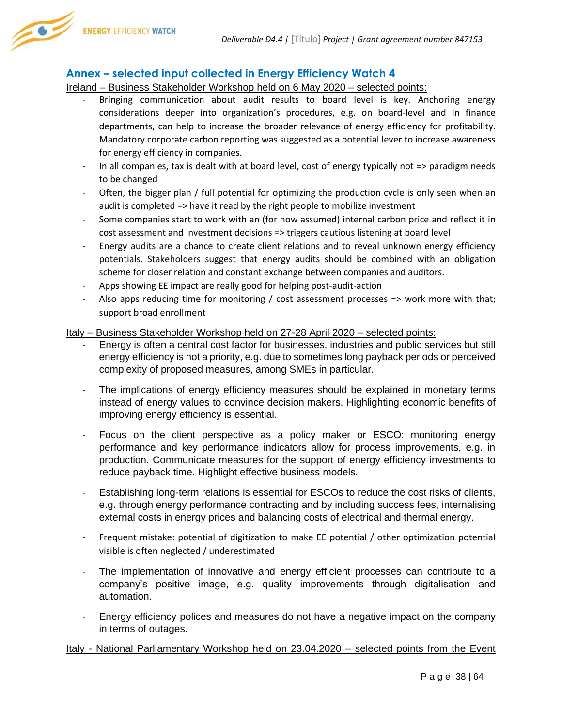

# <span id="page-37-0"></span>**Annex – selected input collected in Energy Efficiency Watch 4**

# Ireland – Business Stakeholder Workshop held on 6 May 2020 – selected points:

- Bringing communication about audit results to board level is key. Anchoring energy considerations deeper into organization's procedures, e.g. on board-level and in finance departments, can help to increase the broader relevance of energy efficiency for profitability. Mandatory corporate carbon reporting was suggested as a potential lever to increase awareness for energy efficiency in companies.
- In all companies, tax is dealt with at board level, cost of energy typically not => paradigm needs to be changed
- Often, the bigger plan / full potential for optimizing the production cycle is only seen when an audit is completed => have it read by the right people to mobilize investment
- Some companies start to work with an (for now assumed) internal carbon price and reflect it in cost assessment and investment decisions => triggers cautious listening at board level
- Energy audits are a chance to create client relations and to reveal unknown energy efficiency potentials. Stakeholders suggest that energy audits should be combined with an obligation scheme for closer relation and constant exchange between companies and auditors.
- Apps showing EE impact are really good for helping post-audit-action
- Also apps reducing time for monitoring / cost assessment processes => work more with that; support broad enrollment

#### Italy – Business Stakeholder Workshop held on 27-28 April 2020 – selected points:

- Energy is often a central cost factor for businesses, industries and public services but still energy efficiency is not a priority, e.g. due to sometimes long payback periods or perceived complexity of proposed measures, among SMEs in particular.
- The implications of energy efficiency measures should be explained in monetary terms instead of energy values to convince decision makers. Highlighting economic benefits of improving energy efficiency is essential.
- Focus on the client perspective as a policy maker or ESCO: monitoring energy performance and key performance indicators allow for process improvements, e.g. in production. Communicate measures for the support of energy efficiency investments to reduce payback time. Highlight effective business models.
- Establishing long-term relations is essential for ESCOs to reduce the cost risks of clients, e.g. through energy performance contracting and by including success fees, internalising external costs in energy prices and balancing costs of electrical and thermal energy.
- Frequent mistake: potential of digitization to make EE potential / other optimization potential visible is often neglected / underestimated
- The implementation of innovative and energy efficient processes can contribute to a company's positive image, e.g. quality improvements through digitalisation and automation.
- Energy efficiency polices and measures do not have a negative impact on the company in terms of outages.

Italy - National Parliamentary Workshop held on 23.04.2020 – selected points from the Event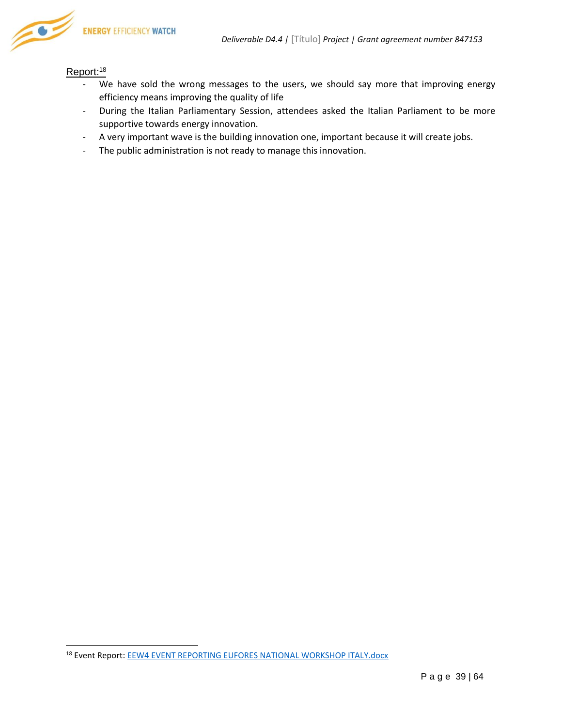# Report:<sup>18</sup>

- We have sold the wrong messages to the users, we should say more that improving energy efficiency means improving the quality of life
- During the Italian Parliamentary Session, attendees asked the Italian Parliament to be more supportive towards energy innovation.
- A very important wave is the building innovation one, important because it will create jobs.
- The public administration is not ready to manage this innovation.

<sup>18</sup> Event Report: [EEW4 EVENT REPORTING EUFORES NATIONAL WORKSHOP ITALY.docx](https://naviganteur.sharepoint.com/:w:/s/S052/207068/EZ1ij5A6MTNCgDRvjmZY6YYBLQsOojcDzuHYEUS5jdB88g?e=af9nO7)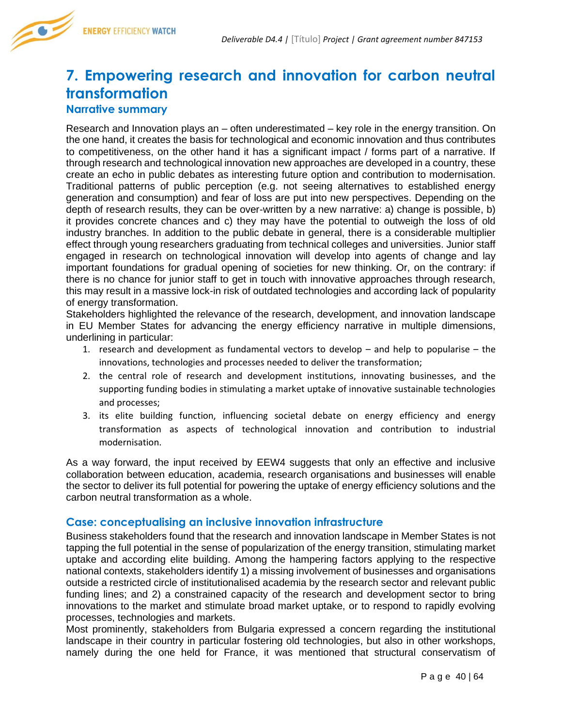

# <span id="page-39-0"></span>**7. Empowering research and innovation for carbon neutral transformation Narrative summary**

<span id="page-39-1"></span>Research and Innovation plays an – often underestimated – key role in the energy transition. On the one hand, it creates the basis for technological and economic innovation and thus contributes to competitiveness, on the other hand it has a significant impact / forms part of a narrative. If through research and technological innovation new approaches are developed in a country, these create an echo in public debates as interesting future option and contribution to modernisation. Traditional patterns of public perception (e.g. not seeing alternatives to established energy generation and consumption) and fear of loss are put into new perspectives. Depending on the depth of research results, they can be over-written by a new narrative: a) change is possible, b) it provides concrete chances and c) they may have the potential to outweigh the loss of old industry branches. In addition to the public debate in general, there is a considerable multiplier effect through young researchers graduating from technical colleges and universities. Junior staff engaged in research on technological innovation will develop into agents of change and lay important foundations for gradual opening of societies for new thinking. Or, on the contrary: if there is no chance for junior staff to get in touch with innovative approaches through research, this may result in a massive lock-in risk of outdated technologies and according lack of popularity of energy transformation.

Stakeholders highlighted the relevance of the research, development, and innovation landscape in EU Member States for advancing the energy efficiency narrative in multiple dimensions, underlining in particular:

- 1. research and development as fundamental vectors to develop and help to popularise the innovations, technologies and processes needed to deliver the transformation;
- 2. the central role of research and development institutions, innovating businesses, and the supporting funding bodies in stimulating a market uptake of innovative sustainable technologies and processes;
- 3. its elite building function, influencing societal debate on energy efficiency and energy transformation as aspects of technological innovation and contribution to industrial modernisation.

As a way forward, the input received by EEW4 suggests that only an effective and inclusive collaboration between education, academia, research organisations and businesses will enable the sector to deliver its full potential for powering the uptake of energy efficiency solutions and the carbon neutral transformation as a whole.

# <span id="page-39-2"></span>**Case: conceptualising an inclusive innovation infrastructure**

Business stakeholders found that the research and innovation landscape in Member States is not tapping the full potential in the sense of popularization of the energy transition, stimulating market uptake and according elite building. Among the hampering factors applying to the respective national contexts, stakeholders identify 1) a missing involvement of businesses and organisations outside a restricted circle of institutionalised academia by the research sector and relevant public funding lines; and 2) a constrained capacity of the research and development sector to bring innovations to the market and stimulate broad market uptake, or to respond to rapidly evolving processes, technologies and markets.

Most prominently, stakeholders from Bulgaria expressed a concern regarding the institutional landscape in their country in particular fostering old technologies, but also in other workshops, namely during the one held for France, it was mentioned that structural conservatism of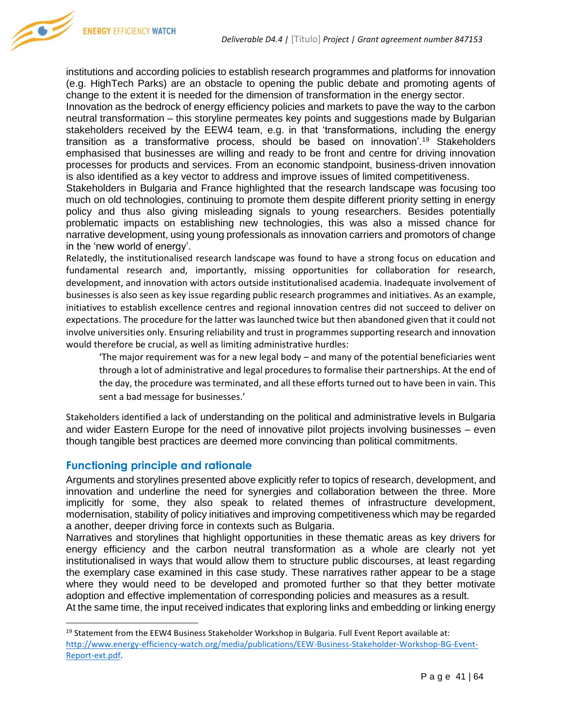

institutions and according policies to establish research programmes and platforms for innovation (e.g. HighTech Parks) are an obstacle to opening the public debate and promoting agents of change to the extent it is needed for the dimension of transformation in the energy sector.

Innovation as the bedrock of energy efficiency policies and markets to pave the way to the carbon neutral transformation – this storyline permeates key points and suggestions made by Bulgarian stakeholders received by the EEW4 team, e.g. in that 'transformations, including the energy transition as a transformative process, should be based on innovation'.<sup>19</sup> Stakeholders emphasised that businesses are willing and ready to be front and centre for driving innovation processes for products and services. From an economic standpoint, business-driven innovation is also identified as a key vector to address and improve issues of limited competitiveness.

Stakeholders in Bulgaria and France highlighted that the research landscape was focusing too much on old technologies, continuing to promote them despite different priority setting in energy policy and thus also giving misleading signals to young researchers. Besides potentially problematic impacts on establishing new technologies, this was also a missed chance for narrative development, using young professionals as innovation carriers and promotors of change in the 'new world of energy'.

Relatedly, the institutionalised research landscape was found to have a strong focus on education and fundamental research and, importantly, missing opportunities for collaboration for research, development, and innovation with actors outside institutionalised academia. Inadequate involvement of businesses is also seen as key issue regarding public research programmes and initiatives. As an example, initiatives to establish excellence centres and regional innovation centres did not succeed to deliver on expectations. The procedure for the latter was launched twice but then abandoned given that it could not involve universities only. Ensuring reliability and trust in programmes supporting research and innovation would therefore be crucial, as well as limiting administrative hurdles:

'The major requirement was for a new legal body – and many of the potential beneficiaries went through a lot of administrative and legal procedures to formalise their partnerships. At the end of the day, the procedure was terminated, and all these efforts turned out to have been in vain. This sent a bad message for businesses.'

Stakeholders identified a lack of understanding on the political and administrative levels in Bulgaria and wider Eastern Europe for the need of innovative pilot projects involving businesses – even though tangible best practices are deemed more convincing than political commitments.

# <span id="page-40-0"></span>**Functioning principle and rationale**

Arguments and storylines presented above explicitly refer to topics of research, development, and innovation and underline the need for synergies and collaboration between the three. More implicitly for some, they also speak to related themes of infrastructure development, modernisation, stability of policy initiatives and improving competitiveness which may be regarded a another, deeper driving force in contexts such as Bulgaria.

Narratives and storylines that highlight opportunities in these thematic areas as key drivers for energy efficiency and the carbon neutral transformation as a whole are clearly not yet institutionalised in ways that would allow them to structure public discourses, at least regarding the exemplary case examined in this case study. These narratives rather appear to be a stage where they would need to be developed and promoted further so that they better motivate adoption and effective implementation of corresponding policies and measures as a result. At the same time, the input received indicates that exploring links and embedding or linking energy

<sup>&</sup>lt;sup>19</sup> Statement from the EEW4 Business Stakeholder Workshop in Bulgaria. Full Event Report available at: [http://www.energy-efficiency-watch.org/media/publications/EEW-Business-Stakeholder-Workshop-BG-Event-](http://www.energy-efficiency-watch.org/media/publications/EEW-Business-Stakeholder-Workshop-BG-Event-Report-ext.pdf)[Report-ext.pdf.](http://www.energy-efficiency-watch.org/media/publications/EEW-Business-Stakeholder-Workshop-BG-Event-Report-ext.pdf)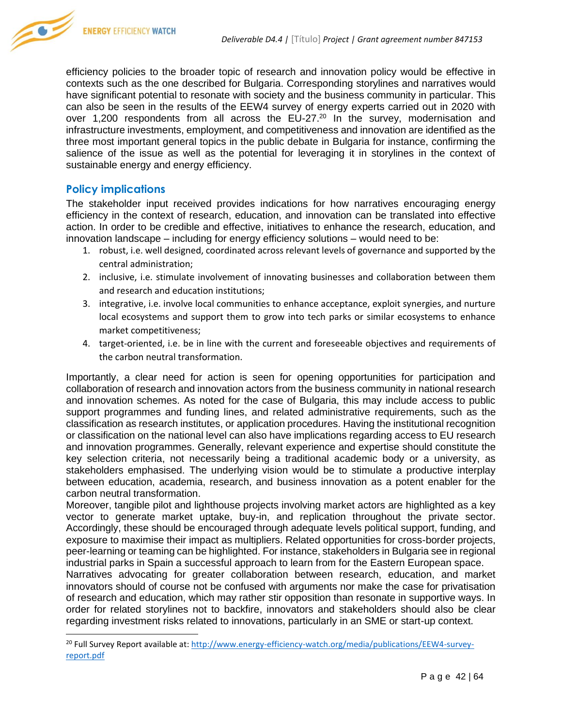

efficiency policies to the broader topic of research and innovation policy would be effective in contexts such as the one described for Bulgaria. Corresponding storylines and narratives would have significant potential to resonate with society and the business community in particular. This can also be seen in the results of the EEW4 survey of energy experts carried out in 2020 with over 1,200 respondents from all across the  $E\dot{\mathsf{U}}$ -27.<sup>20</sup> In the survey, modernisation and infrastructure investments, employment, and competitiveness and innovation are identified as the three most important general topics in the public debate in Bulgaria for instance, confirming the salience of the issue as well as the potential for leveraging it in storylines in the context of sustainable energy and energy efficiency.

# <span id="page-41-0"></span>**Policy implications**

The stakeholder input received provides indications for how narratives encouraging energy efficiency in the context of research, education, and innovation can be translated into effective action. In order to be credible and effective, initiatives to enhance the research, education, and innovation landscape – including for energy efficiency solutions – would need to be:

- 1. robust, i.e. well designed, coordinated across relevant levels of governance and supported by the central administration;
- 2. inclusive, i.e. stimulate involvement of innovating businesses and collaboration between them and research and education institutions;
- 3. integrative, i.e. involve local communities to enhance acceptance, exploit synergies, and nurture local ecosystems and support them to grow into tech parks or similar ecosystems to enhance market competitiveness;
- 4. target-oriented, i.e. be in line with the current and foreseeable objectives and requirements of the carbon neutral transformation.

Importantly, a clear need for action is seen for opening opportunities for participation and collaboration of research and innovation actors from the business community in national research and innovation schemes. As noted for the case of Bulgaria, this may include access to public support programmes and funding lines, and related administrative requirements, such as the classification as research institutes, or application procedures. Having the institutional recognition or classification on the national level can also have implications regarding access to EU research and innovation programmes. Generally, relevant experience and expertise should constitute the key selection criteria, not necessarily being a traditional academic body or a university, as stakeholders emphasised. The underlying vision would be to stimulate a productive interplay between education, academia, research, and business innovation as a potent enabler for the carbon neutral transformation.

Moreover, tangible pilot and lighthouse projects involving market actors are highlighted as a key vector to generate market uptake, buy-in, and replication throughout the private sector. Accordingly, these should be encouraged through adequate levels political support, funding, and exposure to maximise their impact as multipliers. Related opportunities for cross-border projects, peer-learning or teaming can be highlighted. For instance, stakeholders in Bulgaria see in regional industrial parks in Spain a successful approach to learn from for the Eastern European space.

Narratives advocating for greater collaboration between research, education, and market innovators should of course not be confused with arguments nor make the case for privatisation of research and education, which may rather stir opposition than resonate in supportive ways. In order for related storylines not to backfire, innovators and stakeholders should also be clear regarding investment risks related to innovations, particularly in an SME or start-up context.

<sup>&</sup>lt;sup>20</sup> Full Survey Report available at[: http://www.energy-efficiency-watch.org/media/publications/EEW4-survey](http://www.energy-efficiency-watch.org/media/publications/EEW4-survey-report.pdf)[report.pdf](http://www.energy-efficiency-watch.org/media/publications/EEW4-survey-report.pdf)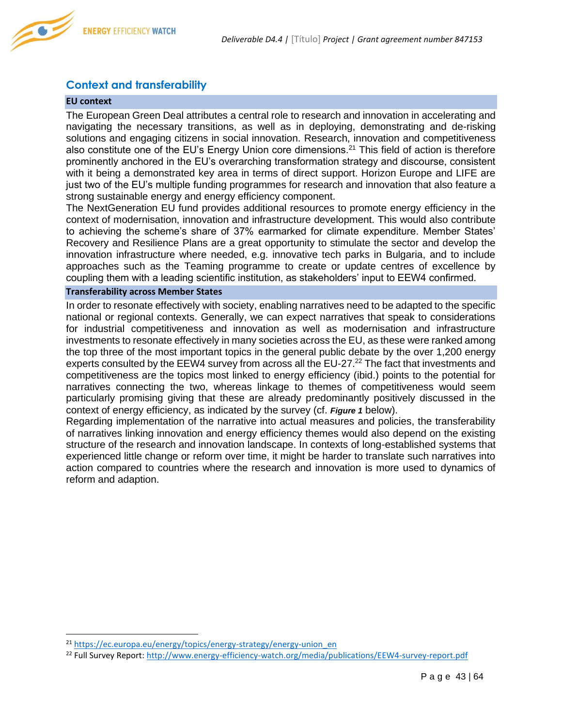

# <span id="page-42-0"></span>**Context and transferability**

#### <span id="page-42-1"></span>**EU context**

The European Green Deal attributes a central role to research and innovation in accelerating and navigating the necessary transitions, as well as in deploying, demonstrating and de-risking solutions and engaging citizens in social innovation. Research, innovation and competitiveness also constitute one of the EU's Energy Union core dimensions.<sup>21</sup> This field of action is therefore prominently anchored in the EU's overarching transformation strategy and discourse, consistent with it being a demonstrated key area in terms of direct support. Horizon Europe and LIFE are just two of the EU's multiple funding programmes for research and innovation that also feature a strong sustainable energy and energy efficiency component.

The NextGeneration EU fund provides additional resources to promote energy efficiency in the context of modernisation, innovation and infrastructure development. This would also contribute to achieving the scheme's share of 37% earmarked for climate expenditure. Member States' Recovery and Resilience Plans are a great opportunity to stimulate the sector and develop the innovation infrastructure where needed, e.g. innovative tech parks in Bulgaria, and to include approaches such as the Teaming programme to create or update centres of excellence by coupling them with a leading scientific institution, as stakeholders' input to EEW4 confirmed.

#### <span id="page-42-2"></span>**Transferability across Member States**

In order to resonate effectively with society, enabling narratives need to be adapted to the specific national or regional contexts. Generally, we can expect narratives that speak to considerations for industrial competitiveness and innovation as well as modernisation and infrastructure investments to resonate effectively in many societies across the EU, as these were ranked among the top three of the most important topics in the general public debate by the over 1,200 energy experts consulted by the EEW4 survey from across all the EU-27.<sup>22</sup> The fact that investments and competitiveness are the topics most linked to energy efficiency (ibid.) points to the potential for narratives connecting the two, whereas linkage to themes of competitiveness would seem particularly promising giving that these are already predominantly positively discussed in the context of energy efficiency, as indicated by the survey (cf. *[Figure 1](#page-43-1)* below).

Regarding implementation of the narrative into actual measures and policies, the transferability of narratives linking innovation and energy efficiency themes would also depend on the existing structure of the research and innovation landscape. In contexts of long-established systems that experienced little change or reform over time, it might be harder to translate such narratives into action compared to countries where the research and innovation is more used to dynamics of reform and adaption.

<sup>&</sup>lt;sup>21</sup> [https://ec.europa.eu/energy/topics/energy-strategy/energy-union\\_en](https://ec.europa.eu/energy/topics/energy-strategy/energy-union_en)

<sup>&</sup>lt;sup>22</sup> Full Survey Report:<http://www.energy-efficiency-watch.org/media/publications/EEW4-survey-report.pdf>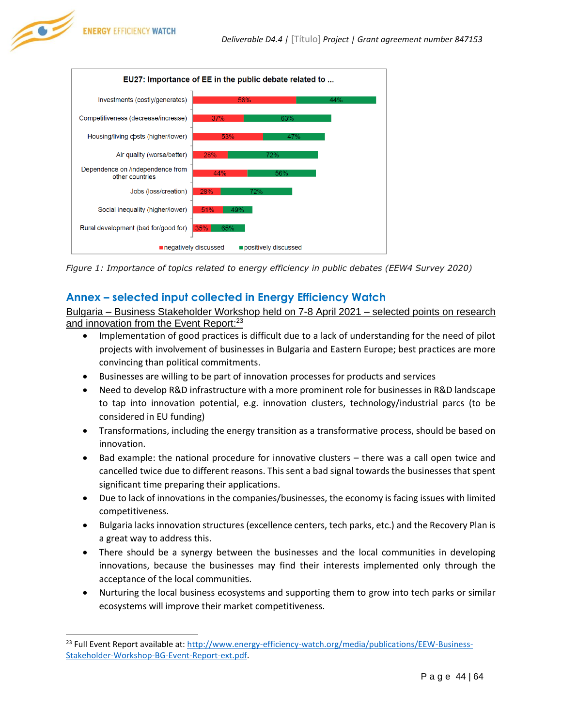

<span id="page-43-1"></span>*Figure 1: Importance of topics related to energy efficiency in public debates (EEW4 Survey 2020)*

# <span id="page-43-0"></span>**Annex – selected input collected in Energy Efficiency Watch**

Bulgaria – Business Stakeholder Workshop held on 7-8 April 2021 – selected points on research and innovation from the Event Report:<sup>23</sup>

- Implementation of good practices is difficult due to a lack of understanding for the need of pilot projects with involvement of businesses in Bulgaria and Eastern Europe; best practices are more convincing than political commitments.
- Businesses are willing to be part of innovation processes for products and services
- Need to develop R&D infrastructure with a more prominent role for businesses in R&D landscape to tap into innovation potential, e.g. innovation clusters, technology/industrial parcs (to be considered in EU funding)
- Transformations, including the energy transition as a transformative process, should be based on innovation.
- Bad example: the national procedure for innovative clusters there was a call open twice and cancelled twice due to different reasons. This sent a bad signal towards the businesses that spent significant time preparing their applications.
- Due to lack of innovations in the companies/businesses, the economy is facing issues with limited competitiveness.
- Bulgaria lacks innovation structures (excellence centers, tech parks, etc.) and the Recovery Plan is a great way to address this.
- There should be a synergy between the businesses and the local communities in developing innovations, because the businesses may find their interests implemented only through the acceptance of the local communities.
- Nurturing the local business ecosystems and supporting them to grow into tech parks or similar ecosystems will improve their market competitiveness.

<sup>&</sup>lt;sup>23</sup> Full Event Report available at: [http://www.energy-efficiency-watch.org/media/publications/EEW-Business-](http://www.energy-efficiency-watch.org/media/publications/EEW-Business-Stakeholder-Workshop-BG-Event-Report-ext.pdf)[Stakeholder-Workshop-BG-Event-Report-ext.pdf.](http://www.energy-efficiency-watch.org/media/publications/EEW-Business-Stakeholder-Workshop-BG-Event-Report-ext.pdf)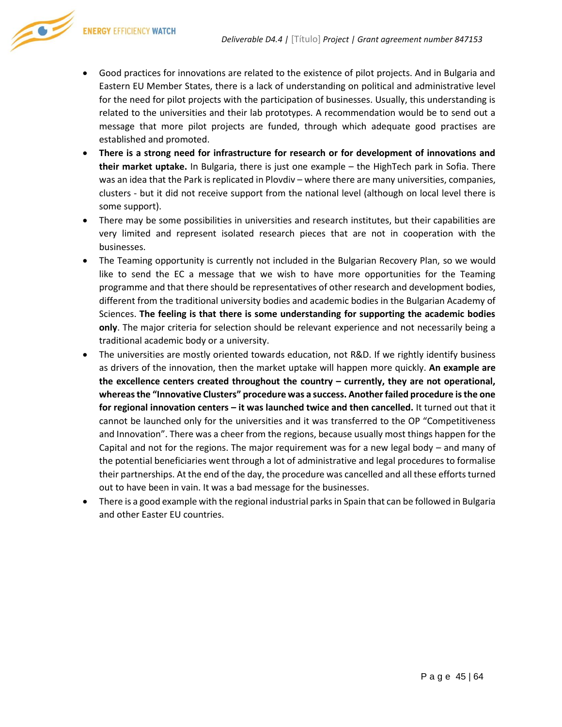- Good practices for innovations are related to the existence of pilot projects. And in Bulgaria and Eastern EU Member States, there is a lack of understanding on political and administrative level for the need for pilot projects with the participation of businesses. Usually, this understanding is related to the universities and their lab prototypes. A recommendation would be to send out a message that more pilot projects are funded, through which adequate good practises are established and promoted.
- **There is a strong need for infrastructure for research or for development of innovations and their market uptake.** In Bulgaria, there is just one example – the HighTech park in Sofia. There was an idea that the Park is replicated in Plovdiv – where there are many universities, companies, clusters - but it did not receive support from the national level (although on local level there is some support).
- There may be some possibilities in universities and research institutes, but their capabilities are very limited and represent isolated research pieces that are not in cooperation with the businesses.
- The Teaming opportunity is currently not included in the Bulgarian Recovery Plan, so we would like to send the EC a message that we wish to have more opportunities for the Teaming programme and that there should be representatives of other research and development bodies, different from the traditional university bodies and academic bodies in the Bulgarian Academy of Sciences. **The feeling is that there is some understanding for supporting the academic bodies only**. The major criteria for selection should be relevant experience and not necessarily being a traditional academic body or a university.
- The universities are mostly oriented towards education, not R&D. If we rightly identify business as drivers of the innovation, then the market uptake will happen more quickly. **An example are the excellence centers created throughout the country – currently, they are not operational, whereas the "Innovative Clusters" procedure was a success. Another failed procedure is the one for regional innovation centers – it was launched twice and then cancelled.** It turned out that it cannot be launched only for the universities and it was transferred to the OP "Competitiveness and Innovation". There was a cheer from the regions, because usually most things happen for the Capital and not for the regions. The major requirement was for a new legal body – and many of the potential beneficiaries went through a lot of administrative and legal procedures to formalise their partnerships. At the end of the day, the procedure was cancelled and all these efforts turned out to have been in vain. It was a bad message for the businesses.
- There is a good example with the regional industrial parks in Spain that can be followed in Bulgaria and other Easter EU countries.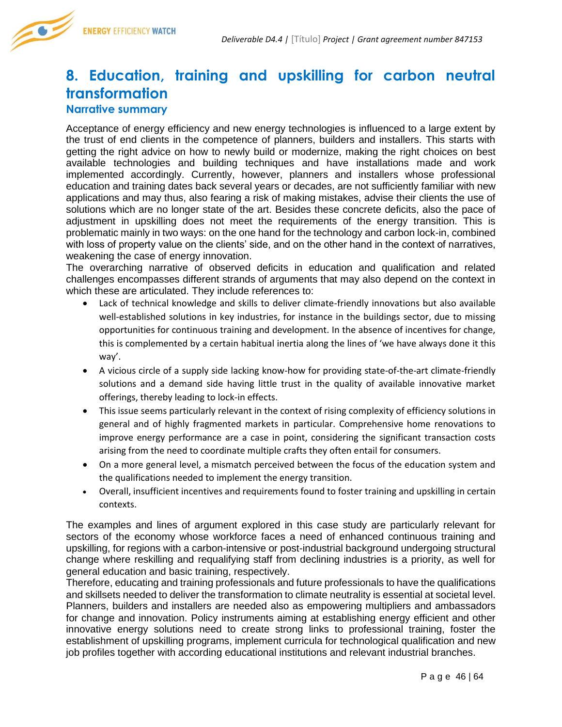

# <span id="page-45-0"></span>**8. Education, training and upskilling for carbon neutral transformation Narrative summary**

<span id="page-45-1"></span>Acceptance of energy efficiency and new energy technologies is influenced to a large extent by the trust of end clients in the competence of planners, builders and installers. This starts with getting the right advice on how to newly build or modernize, making the right choices on best available technologies and building techniques and have installations made and work implemented accordingly. Currently, however, planners and installers whose professional education and training dates back several years or decades, are not sufficiently familiar with new applications and may thus, also fearing a risk of making mistakes, advise their clients the use of solutions which are no longer state of the art. Besides these concrete deficits, also the pace of adjustment in upskilling does not meet the requirements of the energy transition. This is problematic mainly in two ways: on the one hand for the technology and carbon lock-in, combined with loss of property value on the clients' side, and on the other hand in the context of narratives, weakening the case of energy innovation.

The overarching narrative of observed deficits in education and qualification and related challenges encompasses different strands of arguments that may also depend on the context in which these are articulated. They include references to:

- Lack of technical knowledge and skills to deliver climate-friendly innovations but also available well-established solutions in key industries, for instance in the buildings sector, due to missing opportunities for continuous training and development. In the absence of incentives for change, this is complemented by a certain habitual inertia along the lines of 'we have always done it this way'.
- A vicious circle of a supply side lacking know-how for providing state-of-the-art climate-friendly solutions and a demand side having little trust in the quality of available innovative market offerings, thereby leading to lock-in effects.
- This issue seems particularly relevant in the context of rising complexity of efficiency solutions in general and of highly fragmented markets in particular. Comprehensive home renovations to improve energy performance are a case in point, considering the significant transaction costs arising from the need to coordinate multiple crafts they often entail for consumers.
- On a more general level, a mismatch perceived between the focus of the education system and the qualifications needed to implement the energy transition.
- Overall, insufficient incentives and requirements found to foster training and upskilling in certain contexts.

The examples and lines of argument explored in this case study are particularly relevant for sectors of the economy whose workforce faces a need of enhanced continuous training and upskilling, for regions with a carbon-intensive or post-industrial background undergoing structural change where reskilling and requalifying staff from declining industries is a priority, as well for general education and basic training, respectively.

Therefore, educating and training professionals and future professionals to have the qualifications and skillsets needed to deliver the transformation to climate neutrality is essential at societal level. Planners, builders and installers are needed also as empowering multipliers and ambassadors for change and innovation. Policy instruments aiming at establishing energy efficient and other innovative energy solutions need to create strong links to professional training, foster the establishment of upskilling programs, implement curricula for technological qualification and new job profiles together with according educational institutions and relevant industrial branches.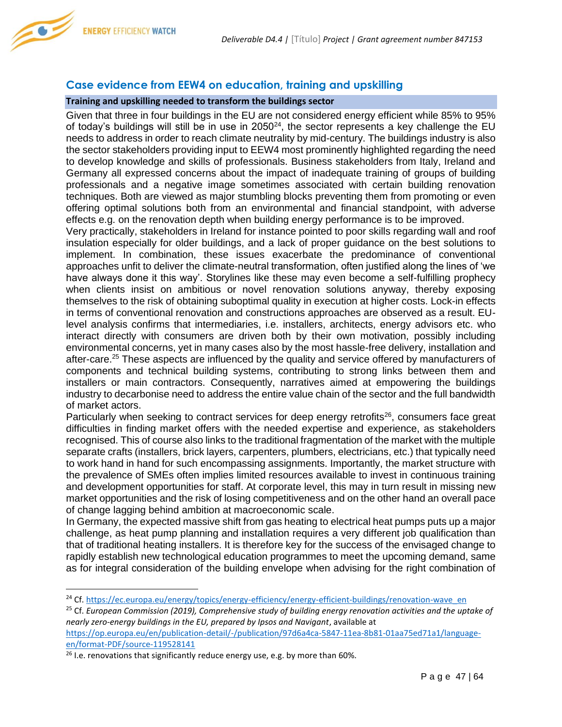

# <span id="page-46-0"></span>**Case evidence from EEW4 on education, training and upskilling**

#### <span id="page-46-1"></span>**Training and upskilling needed to transform the buildings sector**

Given that three in four buildings in the EU are not considered energy efficient while 85% to 95% of today's buildings will still be in use in 2050<sup>24</sup>, the sector represents a key challenge the EU needs to address in order to reach climate neutrality by mid-century. The buildings industry is also the sector stakeholders providing input to EEW4 most prominently highlighted regarding the need to develop knowledge and skills of professionals. Business stakeholders from Italy, Ireland and Germany all expressed concerns about the impact of inadequate training of groups of building professionals and a negative image sometimes associated with certain building renovation techniques. Both are viewed as major stumbling blocks preventing them from promoting or even offering optimal solutions both from an environmental and financial standpoint, with adverse effects e.g. on the renovation depth when building energy performance is to be improved.

Very practically, stakeholders in Ireland for instance pointed to poor skills regarding wall and roof insulation especially for older buildings, and a lack of proper guidance on the best solutions to implement. In combination, these issues exacerbate the predominance of conventional approaches unfit to deliver the climate-neutral transformation, often justified along the lines of 'we have always done it this way'. Storylines like these may even become a self-fulfilling prophecy when clients insist on ambitious or novel renovation solutions anyway, thereby exposing themselves to the risk of obtaining suboptimal quality in execution at higher costs. Lock-in effects in terms of conventional renovation and constructions approaches are observed as a result. EUlevel analysis confirms that intermediaries, i.e. installers, architects, energy advisors etc. who interact directly with consumers are driven both by their own motivation, possibly including environmental concerns, yet in many cases also by the most hassle-free delivery, installation and after-care.<sup>25</sup> These aspects are influenced by the quality and service offered by manufacturers of components and technical building systems, contributing to strong links between them and installers or main contractors. Consequently, narratives aimed at empowering the buildings industry to decarbonise need to address the entire value chain of the sector and the full bandwidth of market actors.

Particularly when seeking to contract services for deep energy retrofits<sup>26</sup>, consumers face great difficulties in finding market offers with the needed expertise and experience, as stakeholders recognised. This of course also links to the traditional fragmentation of the market with the multiple separate crafts (installers, brick layers, carpenters, plumbers, electricians, etc.) that typically need to work hand in hand for such encompassing assignments. Importantly, the market structure with the prevalence of SMEs often implies limited resources available to invest in continuous training and development opportunities for staff. At corporate level, this may in turn result in missing new market opportunities and the risk of losing competitiveness and on the other hand an overall pace of change lagging behind ambition at macroeconomic scale.

In Germany, the expected massive shift from gas heating to electrical heat pumps puts up a major challenge, as heat pump planning and installation requires a very different job qualification than that of traditional heating installers. It is therefore key for the success of the envisaged change to rapidly establish new technological education programmes to meet the upcoming demand, same as for integral consideration of the building envelope when advising for the right combination of

<sup>25</sup> Cf. *European Commission (2019), Comprehensive study of building energy renovation activities and the uptake of nearly zero-energy buildings in the EU, prepared by Ipsos and Navigant*, available at

[https://op.europa.eu/en/publication-detail/-/publication/97d6a4ca-5847-11ea-8b81-01aa75ed71a1/language](https://op.europa.eu/en/publication-detail/-/publication/97d6a4ca-5847-11ea-8b81-01aa75ed71a1/language-en/format-PDF/source-119528141)[en/format-PDF/source-119528141](https://op.europa.eu/en/publication-detail/-/publication/97d6a4ca-5847-11ea-8b81-01aa75ed71a1/language-en/format-PDF/source-119528141)

<sup>&</sup>lt;sup>24</sup> Cf. [https://ec.europa.eu/energy/topics/energy-efficiency/energy-efficient-buildings/renovation-wave\\_en](https://ec.europa.eu/energy/topics/energy-efficiency/energy-efficient-buildings/renovation-wave_en)

<sup>&</sup>lt;sup>26</sup> I.e. renovations that significantly reduce energy use, e.g. by more than 60%.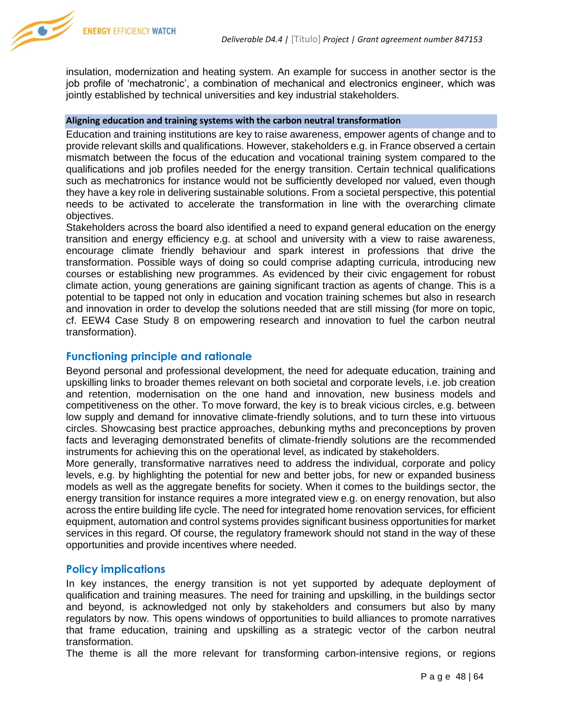

insulation, modernization and heating system. An example for success in another sector is the job profile of 'mechatronic', a combination of mechanical and electronics engineer, which was jointly established by technical universities and key industrial stakeholders.

#### <span id="page-47-0"></span>**Aligning education and training systems with the carbon neutral transformation**

Education and training institutions are key to raise awareness, empower agents of change and to provide relevant skills and qualifications. However, stakeholders e.g. in France observed a certain mismatch between the focus of the education and vocational training system compared to the qualifications and job profiles needed for the energy transition. Certain technical qualifications such as mechatronics for instance would not be sufficiently developed nor valued, even though they have a key role in delivering sustainable solutions. From a societal perspective, this potential needs to be activated to accelerate the transformation in line with the overarching climate objectives.

Stakeholders across the board also identified a need to expand general education on the energy transition and energy efficiency e.g. at school and university with a view to raise awareness, encourage climate friendly behaviour and spark interest in professions that drive the transformation. Possible ways of doing so could comprise adapting curricula, introducing new courses or establishing new programmes. As evidenced by their civic engagement for robust climate action, young generations are gaining significant traction as agents of change. This is a potential to be tapped not only in education and vocation training schemes but also in research and innovation in order to develop the solutions needed that are still missing (for more on topic, cf. EEW4 Case Study 8 on empowering research and innovation to fuel the carbon neutral transformation).

### <span id="page-47-1"></span>**Functioning principle and rationale**

Beyond personal and professional development, the need for adequate education, training and upskilling links to broader themes relevant on both societal and corporate levels, i.e. job creation and retention, modernisation on the one hand and innovation, new business models and competitiveness on the other. To move forward, the key is to break vicious circles, e.g. between low supply and demand for innovative climate-friendly solutions, and to turn these into virtuous circles. Showcasing best practice approaches, debunking myths and preconceptions by proven facts and leveraging demonstrated benefits of climate-friendly solutions are the recommended instruments for achieving this on the operational level, as indicated by stakeholders.

More generally, transformative narratives need to address the individual, corporate and policy levels, e.g. by highlighting the potential for new and better jobs, for new or expanded business models as well as the aggregate benefits for society. When it comes to the buildings sector, the energy transition for instance requires a more integrated view e.g. on energy renovation, but also across the entire building life cycle. The need for integrated home renovation services, for efficient equipment, automation and control systems provides significant business opportunities for market services in this regard. Of course, the regulatory framework should not stand in the way of these opportunities and provide incentives where needed.

#### <span id="page-47-2"></span>**Policy implications**

In key instances, the energy transition is not yet supported by adequate deployment of qualification and training measures. The need for training and upskilling, in the buildings sector and beyond, is acknowledged not only by stakeholders and consumers but also by many regulators by now. This opens windows of opportunities to build alliances to promote narratives that frame education, training and upskilling as a strategic vector of the carbon neutral transformation.

The theme is all the more relevant for transforming carbon-intensive regions, or regions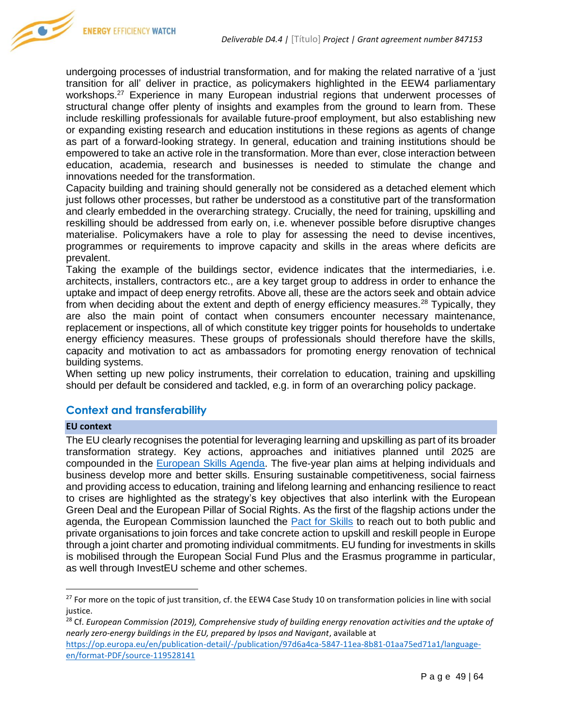

undergoing processes of industrial transformation, and for making the related narrative of a 'just transition for all' deliver in practice, as policymakers highlighted in the EEW4 parliamentary workshops.<sup>27</sup> Experience in many European industrial regions that underwent processes of structural change offer plenty of insights and examples from the ground to learn from. These include reskilling professionals for available future-proof employment, but also establishing new or expanding existing research and education institutions in these regions as agents of change as part of a forward-looking strategy. In general, education and training institutions should be empowered to take an active role in the transformation. More than ever, close interaction between education, academia, research and businesses is needed to stimulate the change and innovations needed for the transformation.

Capacity building and training should generally not be considered as a detached element which just follows other processes, but rather be understood as a constitutive part of the transformation and clearly embedded in the overarching strategy. Crucially, the need for training, upskilling and reskilling should be addressed from early on, i.e. whenever possible before disruptive changes materialise. Policymakers have a role to play for assessing the need to devise incentives, programmes or requirements to improve capacity and skills in the areas where deficits are prevalent.

Taking the example of the buildings sector, evidence indicates that the intermediaries, i.e. architects, installers, contractors etc., are a key target group to address in order to enhance the uptake and impact of deep energy retrofits. Above all, these are the actors seek and obtain advice from when deciding about the extent and depth of energy efficiency measures.<sup>28</sup> Typically, they are also the main point of contact when consumers encounter necessary maintenance, replacement or inspections, all of which constitute key trigger points for households to undertake energy efficiency measures. These groups of professionals should therefore have the skills, capacity and motivation to act as ambassadors for promoting energy renovation of technical building systems.

When setting up new policy instruments, their correlation to education, training and upskilling should per default be considered and tackled, e.g. in form of an overarching policy package.

# <span id="page-48-0"></span>**Context and transferability**

#### <span id="page-48-1"></span>**EU context**

The EU clearly recognises the potential for leveraging learning and upskilling as part of its broader transformation strategy. Key actions, approaches and initiatives planned until 2025 are compounded in the [European Skills Agenda.](https://ec.europa.eu/social/main.jsp?catId=1223&langId=en) The five-year plan aims at helping individuals and business develop more and better skills. Ensuring sustainable competitiveness, social fairness and providing access to education, training and lifelong learning and enhancing resilience to react to crises are highlighted as the strategy's key objectives that also interlink with the European Green Deal and the European Pillar of Social Rights. As the first of the flagship actions under the agenda, the European Commission launched the [Pact for Skills](https://ec.europa.eu/social/main.jsp?catId=1517&langId=en) to reach out to both public and private organisations to join forces and take concrete action to upskill and reskill people in Europe through a joint charter and promoting individual commitments. EU funding for investments in skills is mobilised through the European Social Fund Plus and the Erasmus programme in particular, as well through InvestEU scheme and other schemes.

<sup>28</sup> Cf. *European Commission (2019), Comprehensive study of building energy renovation activities and the uptake of nearly zero-energy buildings in the EU, prepared by Ipsos and Navigant*, available at [https://op.europa.eu/en/publication-detail/-/publication/97d6a4ca-5847-11ea-8b81-01aa75ed71a1/language-](https://op.europa.eu/en/publication-detail/-/publication/97d6a4ca-5847-11ea-8b81-01aa75ed71a1/language-en/format-PDF/source-119528141)

[en/format-PDF/source-119528141](https://op.europa.eu/en/publication-detail/-/publication/97d6a4ca-5847-11ea-8b81-01aa75ed71a1/language-en/format-PDF/source-119528141)

<sup>&</sup>lt;sup>27</sup> For more on the topic of just transition, cf. the EEW4 Case Study 10 on transformation policies in line with social justice.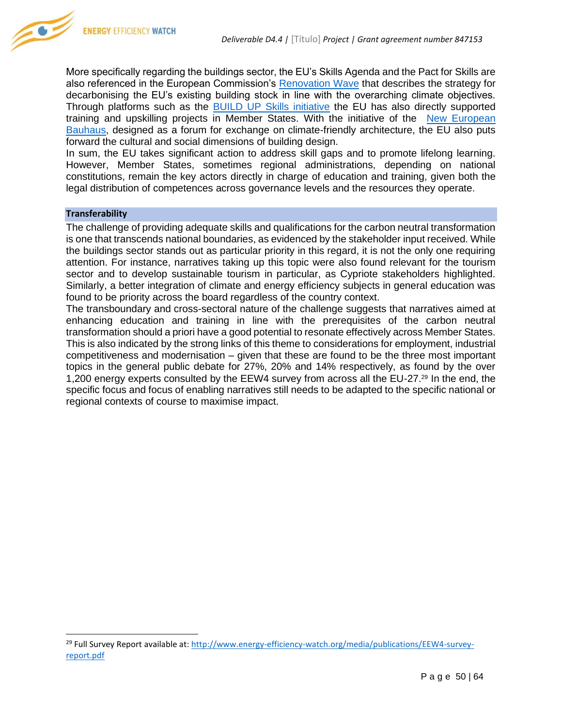

More specifically regarding the buildings sector, the EU's Skills Agenda and the Pact for Skills are also referenced in the European Commission's [Renovation Wave](https://ec.europa.eu/energy/topics/energy-efficiency/energy-efficient-buildings/renovation-wave_en) that describes the strategy for decarbonising the EU's existing building stock in line with the overarching climate objectives. Through platforms such as the **BUILD UP Skills initiative** the EU has also directly supported training and upskilling projects in Member States. With the initiative of the [New European](https://europa.eu/new-european-bauhaus/index_en)  [Bauhaus,](https://europa.eu/new-european-bauhaus/index_en) designed as a forum for exchange on climate-friendly architecture, the EU also puts forward the cultural and social dimensions of building design.

In sum, the EU takes significant action to address skill gaps and to promote lifelong learning. However, Member States, sometimes regional administrations, depending on national constitutions, remain the key actors directly in charge of education and training, given both the legal distribution of competences across governance levels and the resources they operate.

#### <span id="page-49-0"></span>**Transferability**

The challenge of providing adequate skills and qualifications for the carbon neutral transformation is one that transcends national boundaries, as evidenced by the stakeholder input received. While the buildings sector stands out as particular priority in this regard, it is not the only one requiring attention. For instance, narratives taking up this topic were also found relevant for the tourism sector and to develop sustainable tourism in particular, as Cypriote stakeholders highlighted. Similarly, a better integration of climate and energy efficiency subjects in general education was found to be priority across the board regardless of the country context.

The transboundary and cross-sectoral nature of the challenge suggests that narratives aimed at enhancing education and training in line with the prerequisites of the carbon neutral transformation should a priori have a good potential to resonate effectively across Member States. This is also indicated by the strong links of this theme to considerations for employment, industrial competitiveness and modernisation – given that these are found to be the three most important topics in the general public debate for 27%, 20% and 14% respectively, as found by the over 1,200 energy experts consulted by the EEW4 survey from across all the EU-27.<sup>29</sup> In the end, the specific focus and focus of enabling narratives still needs to be adapted to the specific national or regional contexts of course to maximise impact.

<sup>&</sup>lt;sup>29</sup> Full Survey Report available at[: http://www.energy-efficiency-watch.org/media/publications/EEW4-survey](http://www.energy-efficiency-watch.org/media/publications/EEW4-survey-report.pdf)[report.pdf](http://www.energy-efficiency-watch.org/media/publications/EEW4-survey-report.pdf)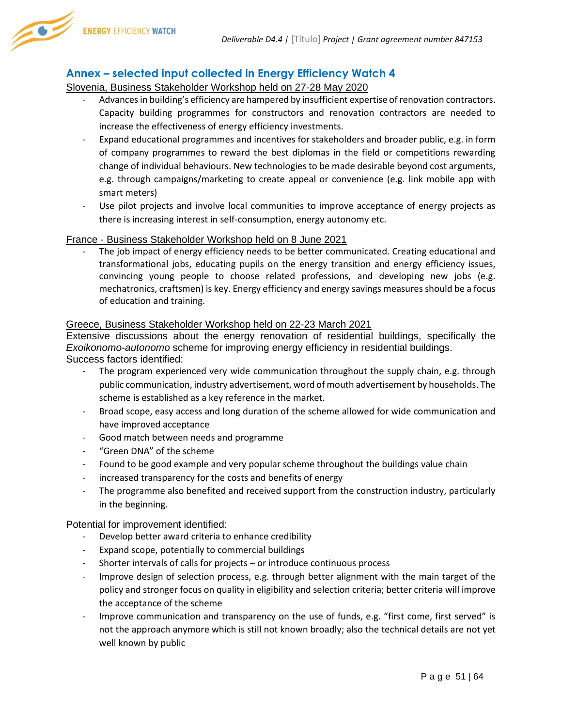

### <span id="page-50-0"></span>**Annex – selected input collected in Energy Efficiency Watch 4**

### Slovenia, Business Stakeholder Workshop held on 27-28 May 2020

- Advances in building's efficiency are hampered by insufficient expertise of renovation contractors. Capacity building programmes for constructors and renovation contractors are needed to increase the effectiveness of energy efficiency investments.
- Expand educational programmes and incentives for stakeholders and broader public, e.g. in form of company programmes to reward the best diplomas in the field or competitions rewarding change of individual behaviours. New technologies to be made desirable beyond cost arguments, e.g. through campaigns/marketing to create appeal or convenience (e.g. link mobile app with smart meters)
- Use pilot projects and involve local communities to improve acceptance of energy projects as there is increasing interest in self-consumption, energy autonomy etc.

#### France - Business Stakeholder Workshop held on 8 June 2021

The job impact of energy efficiency needs to be better communicated. Creating educational and transformational jobs, educating pupils on the energy transition and energy efficiency issues, convincing young people to choose related professions, and developing new jobs (e.g. mechatronics, craftsmen) is key. Energy efficiency and energy savings measures should be a focus of education and training.

#### Greece, Business Stakeholder Workshop held on 22-23 March 2021

Extensive discussions about the energy renovation of residential buildings, specifically the *Exoikonomo-autonomo* scheme for improving energy efficiency in residential buildings. Success factors identified:

- The program experienced very wide communication throughout the supply chain, e.g. through public communication, industry advertisement, word of mouth advertisement by households. The scheme is established as a key reference in the market.
- Broad scope, easy access and long duration of the scheme allowed for wide communication and have improved acceptance
- Good match between needs and programme
- "Green DNA" of the scheme
- Found to be good example and very popular scheme throughout the buildings value chain
- increased transparency for the costs and benefits of energy
- The programme also benefited and received support from the construction industry, particularly in the beginning.

Potential for improvement identified:

- Develop better award criteria to enhance credibility
- Expand scope, potentially to commercial buildings
- Shorter intervals of calls for projects or introduce continuous process
- Improve design of selection process, e.g. through better alignment with the main target of the policy and stronger focus on quality in eligibility and selection criteria; better criteria will improve the acceptance of the scheme
- Improve communication and transparency on the use of funds, e.g. "first come, first served" is not the approach anymore which is still not known broadly; also the technical details are not yet well known by public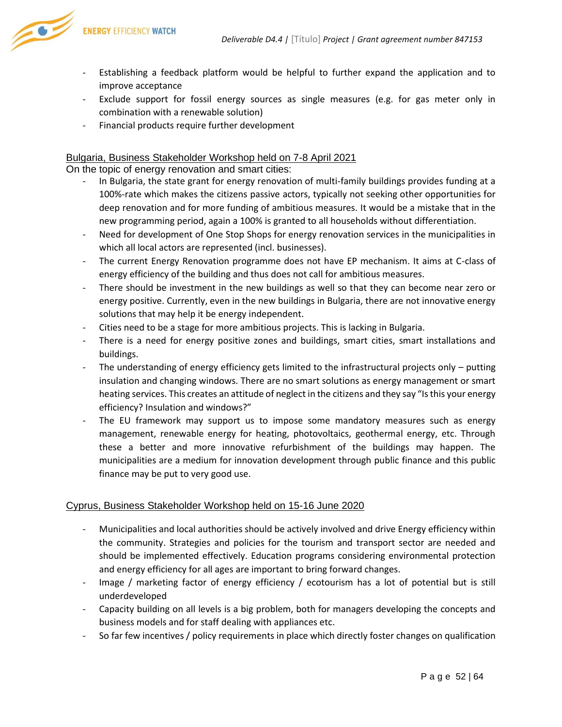

- Establishing a feedback platform would be helpful to further expand the application and to improve acceptance
- Exclude support for fossil energy sources as single measures (e.g. for gas meter only in combination with a renewable solution)
- Financial products require further development

#### Bulgaria, Business Stakeholder Workshop held on 7-8 April 2021

On the topic of energy renovation and smart cities:

- In Bulgaria, the state grant for energy renovation of multi-family buildings provides funding at a 100%-rate which makes the citizens passive actors, typically not seeking other opportunities for deep renovation and for more funding of ambitious measures. It would be a mistake that in the new programming period, again a 100% is granted to all households without differentiation.
- Need for development of One Stop Shops for energy renovation services in the municipalities in which all local actors are represented (incl. businesses).
- The current Energy Renovation programme does not have EP mechanism. It aims at C-class of energy efficiency of the building and thus does not call for ambitious measures.
- There should be investment in the new buildings as well so that they can become near zero or energy positive. Currently, even in the new buildings in Bulgaria, there are not innovative energy solutions that may help it be energy independent.
- Cities need to be a stage for more ambitious projects. This is lacking in Bulgaria.
- There is a need for energy positive zones and buildings, smart cities, smart installations and buildings.
- The understanding of energy efficiency gets limited to the infrastructural projects only putting insulation and changing windows. There are no smart solutions as energy management or smart heating services. This creates an attitude of neglect in the citizens and they say "Is this your energy efficiency? Insulation and windows?"
- The EU framework may support us to impose some mandatory measures such as energy management, renewable energy for heating, photovoltaics, geothermal energy, etc. Through these a better and more innovative refurbishment of the buildings may happen. The municipalities are a medium for innovation development through public finance and this public finance may be put to very good use.

#### Cyprus, Business Stakeholder Workshop held on 15-16 June 2020

- Municipalities and local authorities should be actively involved and drive Energy efficiency within the community. Strategies and policies for the tourism and transport sector are needed and should be implemented effectively. Education programs considering environmental protection and energy efficiency for all ages are important to bring forward changes.
- Image / marketing factor of energy efficiency / ecotourism has a lot of potential but is still underdeveloped
- Capacity building on all levels is a big problem, both for managers developing the concepts and business models and for staff dealing with appliances etc.
- So far few incentives / policy requirements in place which directly foster changes on qualification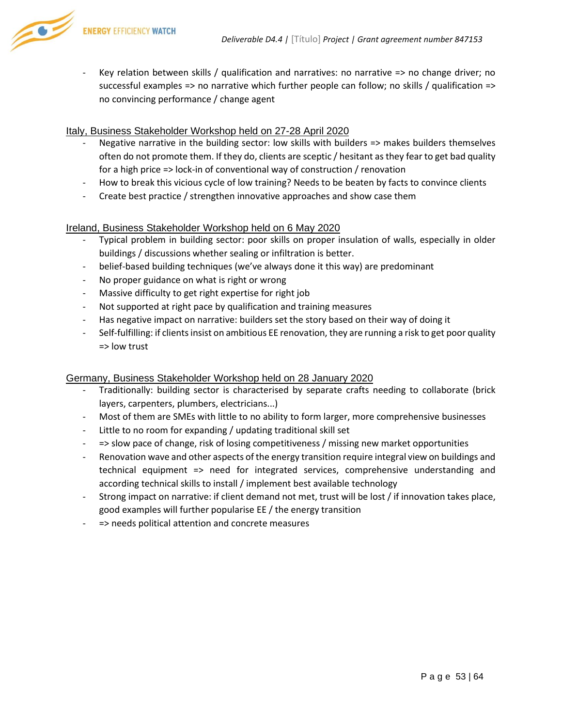Key relation between skills / qualification and narratives: no narrative  $\Rightarrow$  no change driver; no successful examples => no narrative which further people can follow; no skills / qualification => no convincing performance / change agent

#### Italy, Business Stakeholder Workshop held on 27-28 April 2020

- Negative narrative in the building sector: low skills with builders => makes builders themselves often do not promote them. If they do, clients are sceptic / hesitant as they fear to get bad quality for a high price => lock-in of conventional way of construction / renovation
- How to break this vicious cycle of low training? Needs to be beaten by facts to convince clients
- Create best practice / strengthen innovative approaches and show case them

#### Ireland, Business Stakeholder Workshop held on 6 May 2020

- Typical problem in building sector: poor skills on proper insulation of walls, especially in older buildings / discussions whether sealing or infiltration is better.
- belief-based building techniques (we've always done it this way) are predominant
- No proper guidance on what is right or wrong
- Massive difficulty to get right expertise for right job
- Not supported at right pace by qualification and training measures
- Has negative impact on narrative: builders set the story based on their way of doing it
- Self-fulfilling: if clients insist on ambitious EE renovation, they are running a risk to get poor quality => low trust

#### Germany, Business Stakeholder Workshop held on 28 January 2020

- Traditionally: building sector is characterised by separate crafts needing to collaborate (brick layers, carpenters, plumbers, electricians...)
- Most of them are SMEs with little to no ability to form larger, more comprehensive businesses
- Little to no room for expanding / updating traditional skill set
- => slow pace of change, risk of losing competitiveness / missing new market opportunities
- Renovation wave and other aspects of the energy transition require integral view on buildings and technical equipment => need for integrated services, comprehensive understanding and according technical skills to install / implement best available technology
- Strong impact on narrative: if client demand not met, trust will be lost / if innovation takes place, good examples will further popularise EE / the energy transition
- => needs political attention and concrete measures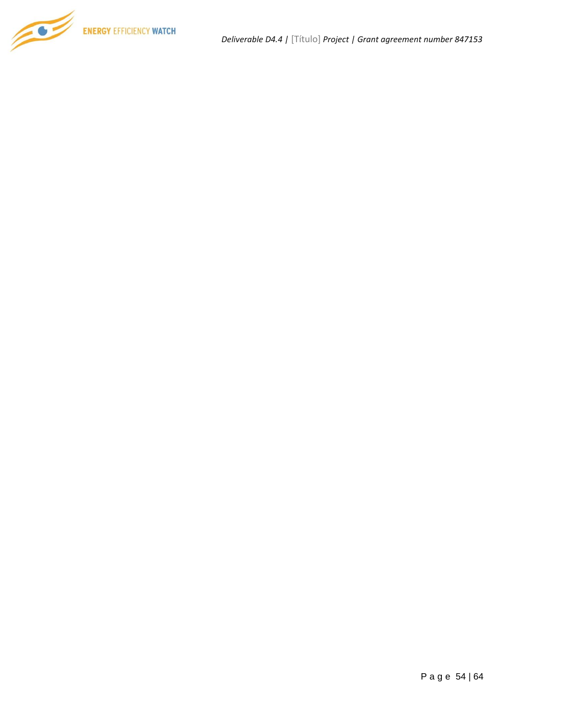

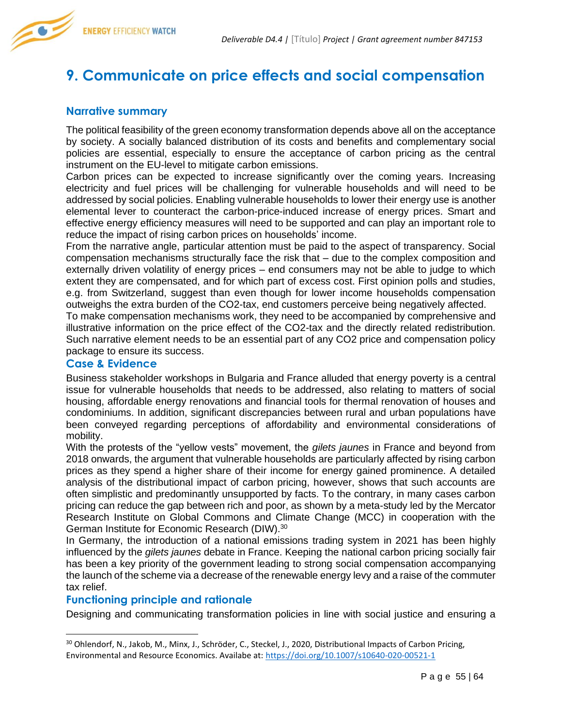

# <span id="page-54-0"></span>**9. Communicate on price effects and social compensation**

### <span id="page-54-1"></span>**Narrative summary**

The political feasibility of the green economy transformation depends above all on the acceptance by society. A socially balanced distribution of its costs and benefits and complementary social policies are essential, especially to ensure the acceptance of carbon pricing as the central instrument on the EU-level to mitigate carbon emissions.

Carbon prices can be expected to increase significantly over the coming years. Increasing electricity and fuel prices will be challenging for vulnerable households and will need to be addressed by social policies. Enabling vulnerable households to lower their energy use is another elemental lever to counteract the carbon-price-induced increase of energy prices. Smart and effective energy efficiency measures will need to be supported and can play an important role to reduce the impact of rising carbon prices on households' income.

From the narrative angle, particular attention must be paid to the aspect of transparency. Social compensation mechanisms structurally face the risk that – due to the complex composition and externally driven volatility of energy prices – end consumers may not be able to judge to which extent they are compensated, and for which part of excess cost. First opinion polls and studies, e.g. from Switzerland, suggest than even though for lower income households compensation outweighs the extra burden of the CO2-tax, end customers perceive being negatively affected.

To make compensation mechanisms work, they need to be accompanied by comprehensive and illustrative information on the price effect of the CO2-tax and the directly related redistribution. Such narrative element needs to be an essential part of any CO2 price and compensation policy package to ensure its success.

#### <span id="page-54-2"></span>**Case & Evidence**

Business stakeholder workshops in Bulgaria and France alluded that energy poverty is a central issue for vulnerable households that needs to be addressed, also relating to matters of social housing, affordable energy renovations and financial tools for thermal renovation of houses and condominiums. In addition, significant discrepancies between rural and urban populations have been conveyed regarding perceptions of affordability and environmental considerations of mobility.

With the protests of the "yellow vests" movement, the *gilets jaunes* in France and beyond from 2018 onwards, the argument that vulnerable households are particularly affected by rising carbon prices as they spend a higher share of their income for energy gained prominence. A detailed analysis of the distributional impact of carbon pricing, however, shows that such accounts are often simplistic and predominantly unsupported by facts. To the contrary, in many cases carbon pricing can reduce the gap between rich and poor, as shown by a meta-study led by the Mercator Research Institute on Global Commons and Climate Change (MCC) in cooperation with the German Institute for Economic Research (DIW).<sup>30</sup>

In Germany, the introduction of a national emissions trading system in 2021 has been highly influenced by the *gilets jaunes* debate in France. Keeping the national carbon pricing socially fair has been a key priority of the government leading to strong social compensation accompanying the launch of the scheme via a decrease of the renewable energy levy and a raise of the commuter tax relief.

#### <span id="page-54-3"></span>**Functioning principle and rationale**

Designing and communicating transformation policies in line with social justice and ensuring a

<sup>&</sup>lt;sup>30</sup> Ohlendorf, N., Jakob, M., Minx, J., Schröder, C., Steckel, J., 2020, Distributional Impacts of Carbon Pricing, Environmental and Resource Economics. Availabe at:<https://doi.org/10.1007/s10640-020-00521-1>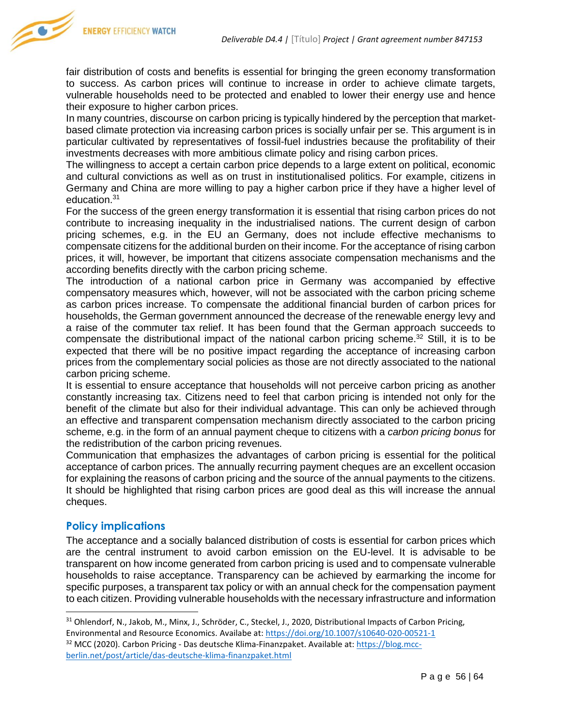

fair distribution of costs and benefits is essential for bringing the green economy transformation to success. As carbon prices will continue to increase in order to achieve climate targets, vulnerable households need to be protected and enabled to lower their energy use and hence their exposure to higher carbon prices.

In many countries, discourse on carbon pricing is typically hindered by the perception that marketbased climate protection via increasing carbon prices is socially unfair per se. This argument is in particular cultivated by representatives of fossil-fuel industries because the profitability of their investments decreases with more ambitious climate policy and rising carbon prices.

The willingness to accept a certain carbon price depends to a large extent on political, economic and cultural convictions as well as on trust in institutionalised politics. For example, citizens in Germany and China are more willing to pay a higher carbon price if they have a higher level of education.<sup>31</sup>

For the success of the green energy transformation it is essential that rising carbon prices do not contribute to increasing inequality in the industrialised nations. The current design of carbon pricing schemes, e.g. in the EU an Germany, does not include effective mechanisms to compensate citizens for the additional burden on their income. For the acceptance of rising carbon prices, it will, however, be important that citizens associate compensation mechanisms and the according benefits directly with the carbon pricing scheme.

The introduction of a national carbon price in Germany was accompanied by effective compensatory measures which, however, will not be associated with the carbon pricing scheme as carbon prices increase. To compensate the additional financial burden of carbon prices for households, the German government announced the decrease of the renewable energy levy and a raise of the commuter tax relief. It has been found that the German approach succeeds to compensate the distributional impact of the national carbon pricing scheme.<sup>32</sup> Still, it is to be expected that there will be no positive impact regarding the acceptance of increasing carbon prices from the complementary social policies as those are not directly associated to the national carbon pricing scheme.

It is essential to ensure acceptance that households will not perceive carbon pricing as another constantly increasing tax. Citizens need to feel that carbon pricing is intended not only for the benefit of the climate but also for their individual advantage. This can only be achieved through an effective and transparent compensation mechanism directly associated to the carbon pricing scheme, e.g. in the form of an annual payment cheque to citizens with a *carbon pricing bonus* for the redistribution of the carbon pricing revenues.

Communication that emphasizes the advantages of carbon pricing is essential for the political acceptance of carbon prices. The annually recurring payment cheques are an excellent occasion for explaining the reasons of carbon pricing and the source of the annual payments to the citizens. It should be highlighted that rising carbon prices are good deal as this will increase the annual cheques.

# <span id="page-55-0"></span>**Policy implications**

The acceptance and a socially balanced distribution of costs is essential for carbon prices which are the central instrument to avoid carbon emission on the EU-level. It is advisable to be transparent on how income generated from carbon pricing is used and to compensate vulnerable households to raise acceptance. Transparency can be achieved by earmarking the income for specific purposes, a transparent tax policy or with an annual check for the compensation payment to each citizen. Providing vulnerable households with the necessary infrastructure and information

<sup>&</sup>lt;sup>31</sup> Ohlendorf, N., Jakob, M., Minx, J., Schröder, C., Steckel, J., 2020, Distributional Impacts of Carbon Pricing, Environmental and Resource Economics. Availabe at: <https://doi.org/10.1007/s10640-020-00521-1> <sup>32</sup> MCC (2020). Carbon Pricing - Das deutsche Klima-Finanzpaket. Available at[: https://blog.mcc](https://blog.mcc-berlin.net/post/article/das-deutsche-klima-finanzpaket.html)[berlin.net/post/article/das-deutsche-klima-finanzpaket.html](https://blog.mcc-berlin.net/post/article/das-deutsche-klima-finanzpaket.html)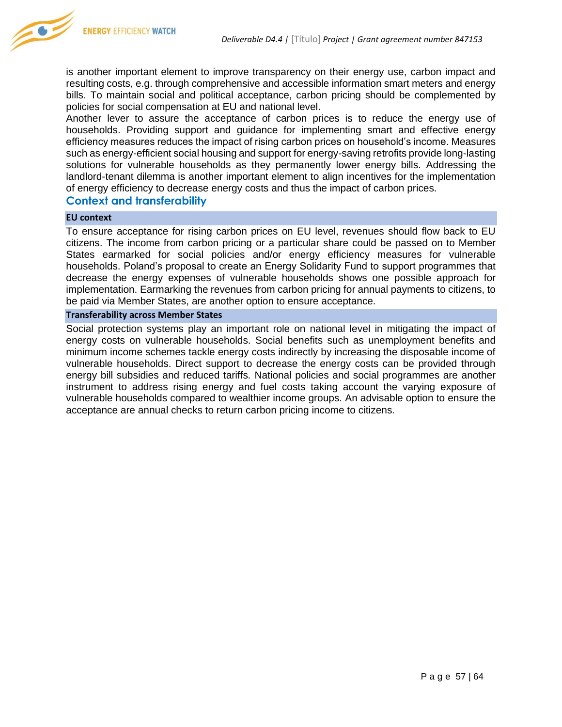

is another important element to improve transparency on their energy use, carbon impact and resulting costs, e.g. through comprehensive and accessible information smart meters and energy bills. To maintain social and political acceptance, carbon pricing should be complemented by policies for social compensation at EU and national level.

Another lever to assure the acceptance of carbon prices is to reduce the energy use of households. Providing support and guidance for implementing smart and effective energy efficiency measures reduces the impact of rising carbon prices on household's income. Measures such as energy-efficient social housing and support for energy-saving retrofits provide long-lasting solutions for vulnerable households as they permanently lower energy bills. Addressing the landlord-tenant dilemma is another important element to align incentives for the implementation of energy efficiency to decrease energy costs and thus the impact of carbon prices.

### <span id="page-56-0"></span>**Context and transferability**

#### <span id="page-56-1"></span>**EU context**

To ensure acceptance for rising carbon prices on EU level, revenues should flow back to EU citizens. The income from carbon pricing or a particular share could be passed on to Member States earmarked for social policies and/or energy efficiency measures for vulnerable households. Poland's proposal to create an Energy Solidarity Fund to support programmes that decrease the energy expenses of vulnerable households shows one possible approach for implementation. Earmarking the revenues from carbon pricing for annual payments to citizens, to be paid via Member States, are another option to ensure acceptance.

#### <span id="page-56-2"></span>**Transferability across Member States**

Social protection systems play an important role on national level in mitigating the impact of energy costs on vulnerable households. Social benefits such as unemployment benefits and minimum income schemes tackle energy costs indirectly by increasing the disposable income of vulnerable households. Direct support to decrease the energy costs can be provided through energy bill subsidies and reduced tariffs. National policies and social programmes are another instrument to address rising energy and fuel costs taking account the varying exposure of vulnerable households compared to wealthier income groups. An advisable option to ensure the acceptance are annual checks to return carbon pricing income to citizens.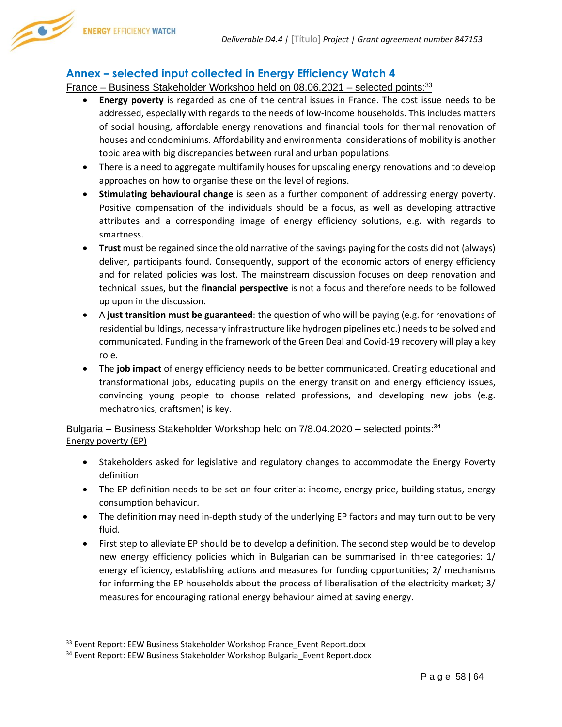

# <span id="page-57-0"></span>**Annex – selected input collected in Energy Efficiency Watch 4**

#### France – Business Stakeholder Workshop held on  $08.06.2021$  – selected points:<sup>33</sup>

- **Energy poverty** is regarded as one of the central issues in France. The cost issue needs to be addressed, especially with regards to the needs of low-income households. This includes matters of social housing, affordable energy renovations and financial tools for thermal renovation of houses and condominiums. Affordability and environmental considerations of mobility is another topic area with big discrepancies between rural and urban populations.
- There is a need to aggregate multifamily houses for upscaling energy renovations and to develop approaches on how to organise these on the level of regions.
- **Stimulating behavioural change** is seen as a further component of addressing energy poverty. Positive compensation of the individuals should be a focus, as well as developing attractive attributes and a corresponding image of energy efficiency solutions, e.g. with regards to smartness.
- **Trust** must be regained since the old narrative of the savings paying for the costs did not (always) deliver, participants found. Consequently, support of the economic actors of energy efficiency and for related policies was lost. The mainstream discussion focuses on deep renovation and technical issues, but the **financial perspective** is not a focus and therefore needs to be followed up upon in the discussion.
- A **just transition must be guaranteed**: the question of who will be paying (e.g. for renovations of residential buildings, necessary infrastructure like hydrogen pipelines etc.) needs to be solved and communicated. Funding in the framework of the Green Deal and Covid-19 recovery will play a key role.
- The **job impact** of energy efficiency needs to be better communicated. Creating educational and transformational jobs, educating pupils on the energy transition and energy efficiency issues, convincing young people to choose related professions, and developing new jobs (e.g. mechatronics, craftsmen) is key.

### Bulgaria – Business Stakeholder Workshop held on  $7/8.04.2020$  – selected points: $34$ Energy poverty (EP)

- Stakeholders asked for legislative and regulatory changes to accommodate the Energy Poverty definition
- The EP definition needs to be set on four criteria: income, energy price, building status, energy consumption behaviour.
- The definition may need in-depth study of the underlying EP factors and may turn out to be very fluid.
- First step to alleviate EP should be to develop a definition. The second step would be to develop new energy efficiency policies which in Bulgarian can be summarised in three categories: 1/ energy efficiency, establishing actions and measures for funding opportunities; 2/ mechanisms for informing the EP households about the process of liberalisation of the electricity market; 3/ measures for encouraging rational energy behaviour aimed at saving energy.

<sup>&</sup>lt;sup>33</sup> Event Report: EEW Business Stakeholder Workshop France Event Report.docx

<sup>&</sup>lt;sup>34</sup> Event Report: EEW Business Stakeholder Workshop Bulgaria\_Event Report.docx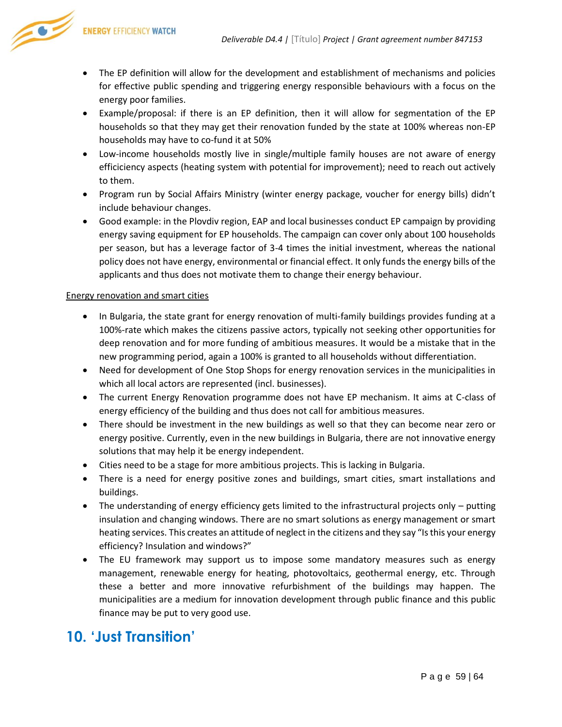

- The EP definition will allow for the development and establishment of mechanisms and policies for effective public spending and triggering energy responsible behaviours with a focus on the energy poor families.
- Example/proposal: if there is an EP definition, then it will allow for segmentation of the EP households so that they may get their renovation funded by the state at 100% whereas non-EP households may have to co-fund it at 50%
- Low-income households mostly live in single/multiple family houses are not aware of energy efficiciency aspects (heating system with potential for improvement); need to reach out actively to them.
- Program run by Social Affairs Ministry (winter energy package, voucher for energy bills) didn't include behaviour changes.
- Good example: in the Plovdiv region, EAP and local businesses conduct EP campaign by providing energy saving equipment for EP households. The campaign can cover only about 100 households per season, but has a leverage factor of 3-4 times the initial investment, whereas the national policy does not have energy, environmental or financial effect. It only funds the energy bills of the applicants and thus does not motivate them to change their energy behaviour.

#### Energy renovation and smart cities

- In Bulgaria, the state grant for energy renovation of multi-family buildings provides funding at a 100%-rate which makes the citizens passive actors, typically not seeking other opportunities for deep renovation and for more funding of ambitious measures. It would be a mistake that in the new programming period, again a 100% is granted to all households without differentiation.
- Need for development of One Stop Shops for energy renovation services in the municipalities in which all local actors are represented (incl. businesses).
- The current Energy Renovation programme does not have EP mechanism. It aims at C-class of energy efficiency of the building and thus does not call for ambitious measures.
- There should be investment in the new buildings as well so that they can become near zero or energy positive. Currently, even in the new buildings in Bulgaria, there are not innovative energy solutions that may help it be energy independent.
- Cities need to be a stage for more ambitious projects. This is lacking in Bulgaria.
- There is a need for energy positive zones and buildings, smart cities, smart installations and buildings.
- The understanding of energy efficiency gets limited to the infrastructural projects only putting insulation and changing windows. There are no smart solutions as energy management or smart heating services. This creates an attitude of neglect in the citizens and they say "Is this your energy efficiency? Insulation and windows?"
- The EU framework may support us to impose some mandatory measures such as energy management, renewable energy for heating, photovoltaics, geothermal energy, etc. Through these a better and more innovative refurbishment of the buildings may happen. The municipalities are a medium for innovation development through public finance and this public finance may be put to very good use.

# <span id="page-58-0"></span>**10. 'Just Transition'**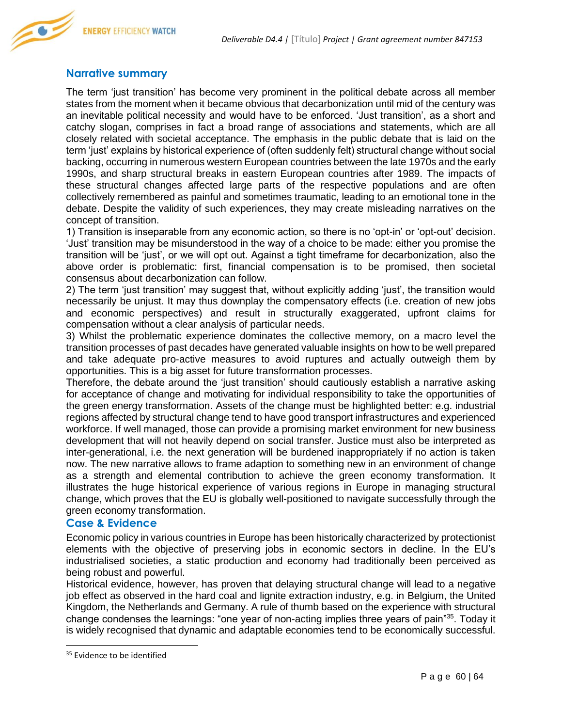

# <span id="page-59-0"></span>**Narrative summary**

The term 'just transition' has become very prominent in the political debate across all member states from the moment when it became obvious that decarbonization until mid of the century was an inevitable political necessity and would have to be enforced. 'Just transition', as a short and catchy slogan, comprises in fact a broad range of associations and statements, which are all closely related with societal acceptance. The emphasis in the public debate that is laid on the term 'just' explains by historical experience of (often suddenly felt) structural change without social backing, occurring in numerous western European countries between the late 1970s and the early 1990s, and sharp structural breaks in eastern European countries after 1989. The impacts of these structural changes affected large parts of the respective populations and are often collectively remembered as painful and sometimes traumatic, leading to an emotional tone in the debate. Despite the validity of such experiences, they may create misleading narratives on the concept of transition.

1) Transition is inseparable from any economic action, so there is no 'opt-in' or 'opt-out' decision. 'Just' transition may be misunderstood in the way of a choice to be made: either you promise the transition will be 'just', or we will opt out. Against a tight timeframe for decarbonization, also the above order is problematic: first, financial compensation is to be promised, then societal consensus about decarbonization can follow.

2) The term 'just transition' may suggest that, without explicitly adding 'just', the transition would necessarily be unjust. It may thus downplay the compensatory effects (i.e. creation of new jobs and economic perspectives) and result in structurally exaggerated, upfront claims for compensation without a clear analysis of particular needs.

3) Whilst the problematic experience dominates the collective memory, on a macro level the transition processes of past decades have generated valuable insights on how to be well prepared and take adequate pro-active measures to avoid ruptures and actually outweigh them by opportunities. This is a big asset for future transformation processes.

Therefore, the debate around the 'just transition' should cautiously establish a narrative asking for acceptance of change and motivating for individual responsibility to take the opportunities of the green energy transformation. Assets of the change must be highlighted better: e.g. industrial regions affected by structural change tend to have good transport infrastructures and experienced workforce. If well managed, those can provide a promising market environment for new business development that will not heavily depend on social transfer. Justice must also be interpreted as inter-generational, i.e. the next generation will be burdened inappropriately if no action is taken now. The new narrative allows to frame adaption to something new in an environment of change as a strength and elemental contribution to achieve the green economy transformation. It illustrates the huge historical experience of various regions in Europe in managing structural change, which proves that the EU is globally well-positioned to navigate successfully through the green economy transformation.

#### <span id="page-59-1"></span>**Case & Evidence**

Economic policy in various countries in Europe has been historically characterized by protectionist elements with the objective of preserving jobs in economic sectors in decline. In the EU's industrialised societies, a static production and economy had traditionally been perceived as being robust and powerful.

Historical evidence, however, has proven that delaying structural change will lead to a negative job effect as observed in the hard coal and lignite extraction industry, e.g. in Belgium, the United Kingdom, the Netherlands and Germany. A rule of thumb based on the experience with structural change condenses the learnings: "one year of non-acting implies three years of pain"<sup>35</sup>. Today it is widely recognised that dynamic and adaptable economies tend to be economically successful.

<sup>&</sup>lt;sup>35</sup> Evidence to be identified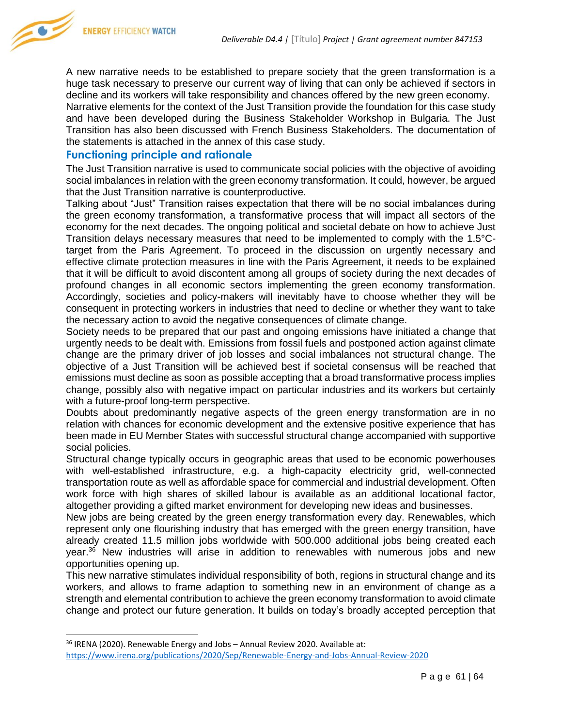

A new narrative needs to be established to prepare society that the green transformation is a huge task necessary to preserve our current way of living that can only be achieved if sectors in decline and its workers will take responsibility and chances offered by the new green economy. Narrative elements for the context of the Just Transition provide the foundation for this case study

and have been developed during the Business Stakeholder Workshop in Bulgaria. The Just Transition has also been discussed with French Business Stakeholders. The documentation of the statements is attached in the annex of this case study.

#### <span id="page-60-0"></span>**Functioning principle and rationale**

The Just Transition narrative is used to communicate social policies with the objective of avoiding social imbalances in relation with the green economy transformation. It could, however, be argued that the Just Transition narrative is counterproductive.

Talking about "Just" Transition raises expectation that there will be no social imbalances during the green economy transformation, a transformative process that will impact all sectors of the economy for the next decades. The ongoing political and societal debate on how to achieve Just Transition delays necessary measures that need to be implemented to comply with the 1.5°Ctarget from the Paris Agreement. To proceed in the discussion on urgently necessary and effective climate protection measures in line with the Paris Agreement, it needs to be explained that it will be difficult to avoid discontent among all groups of society during the next decades of profound changes in all economic sectors implementing the green economy transformation. Accordingly, societies and policy-makers will inevitably have to choose whether they will be consequent in protecting workers in industries that need to decline or whether they want to take the necessary action to avoid the negative consequences of climate change.

Society needs to be prepared that our past and ongoing emissions have initiated a change that urgently needs to be dealt with. Emissions from fossil fuels and postponed action against climate change are the primary driver of job losses and social imbalances not structural change. The objective of a Just Transition will be achieved best if societal consensus will be reached that emissions must decline as soon as possible accepting that a broad transformative process implies change, possibly also with negative impact on particular industries and its workers but certainly with a future-proof long-term perspective.

Doubts about predominantly negative aspects of the green energy transformation are in no relation with chances for economic development and the extensive positive experience that has been made in EU Member States with successful structural change accompanied with supportive social policies.

Structural change typically occurs in geographic areas that used to be economic powerhouses with well-established infrastructure, e.g. a high-capacity electricity grid, well-connected transportation route as well as affordable space for commercial and industrial development. Often work force with high shares of skilled labour is available as an additional locational factor, altogether providing a gifted market environment for developing new ideas and businesses.

New jobs are being created by the green energy transformation every day. Renewables, which represent only one flourishing industry that has emerged with the green energy transition, have already created 11.5 million jobs worldwide with 500.000 additional jobs being created each year.<sup>36</sup> New industries will arise in addition to renewables with numerous jobs and new opportunities opening up.

This new narrative stimulates individual responsibility of both, regions in structural change and its workers, and allows to frame adaption to something new in an environment of change as a strength and elemental contribution to achieve the green economy transformation to avoid climate change and protect our future generation. It builds on today's broadly accepted perception that

<sup>&</sup>lt;sup>36</sup> IRENA (2020). Renewable Energy and Jobs – Annual Review 2020. Available at: <https://www.irena.org/publications/2020/Sep/Renewable-Energy-and-Jobs-Annual-Review-2020>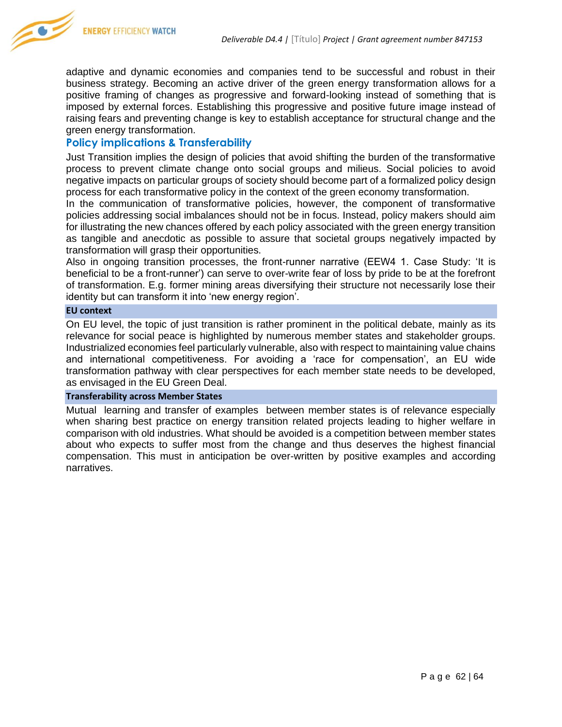

adaptive and dynamic economies and companies tend to be successful and robust in their business strategy. Becoming an active driver of the green energy transformation allows for a positive framing of changes as progressive and forward-looking instead of something that is imposed by external forces. Establishing this progressive and positive future image instead of raising fears and preventing change is key to establish acceptance for structural change and the green energy transformation.

# <span id="page-61-0"></span>**Policy implications & Transferability**

Just Transition implies the design of policies that avoid shifting the burden of the transformative process to prevent climate change onto social groups and milieus. Social policies to avoid negative impacts on particular groups of society should become part of a formalized policy design process for each transformative policy in the context of the green economy transformation.

In the communication of transformative policies, however, the component of transformative policies addressing social imbalances should not be in focus. Instead, policy makers should aim for illustrating the new chances offered by each policy associated with the green energy transition as tangible and anecdotic as possible to assure that societal groups negatively impacted by transformation will grasp their opportunities.

Also in ongoing transition processes, the front-runner narrative (EEW4 1. Case Study: 'It is beneficial to be a front-runner') can serve to over-write fear of loss by pride to be at the forefront of transformation. E.g. former mining areas diversifying their structure not necessarily lose their identity but can transform it into 'new energy region'.

#### <span id="page-61-1"></span>**EU context**

On EU level, the topic of just transition is rather prominent in the political debate, mainly as its relevance for social peace is highlighted by numerous member states and stakeholder groups. Industrialized economies feel particularly vulnerable, also with respect to maintaining value chains and international competitiveness. For avoiding a 'race for compensation', an EU wide transformation pathway with clear perspectives for each member state needs to be developed, as envisaged in the EU Green Deal.

#### <span id="page-61-2"></span>**Transferability across Member States**

Mutual learning and transfer of examples between member states is of relevance especially when sharing best practice on energy transition related projects leading to higher welfare in comparison with old industries. What should be avoided is a competition between member states about who expects to suffer most from the change and thus deserves the highest financial compensation. This must in anticipation be over-written by positive examples and according narratives.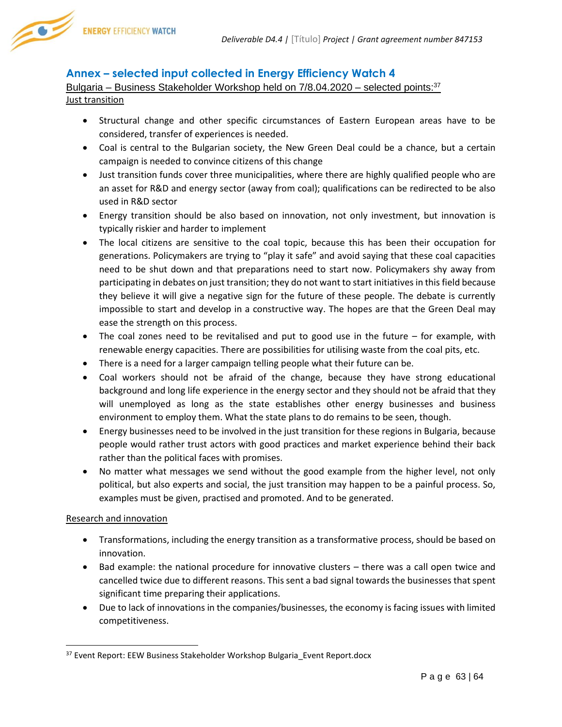

### <span id="page-62-0"></span>**Annex – selected input collected in Energy Efficiency Watch 4**

Bulgaria – Business Stakeholder Workshop held on  $7/8.04.2020$  – selected points:<sup>37</sup> Just transition

- Structural change and other specific circumstances of Eastern European areas have to be considered, transfer of experiences is needed.
- Coal is central to the Bulgarian society, the New Green Deal could be a chance, but a certain campaign is needed to convince citizens of this change
- Just transition funds cover three municipalities, where there are highly qualified people who are an asset for R&D and energy sector (away from coal); qualifications can be redirected to be also used in R&D sector
- Energy transition should be also based on innovation, not only investment, but innovation is typically riskier and harder to implement
- The local citizens are sensitive to the coal topic, because this has been their occupation for generations. Policymakers are trying to "play it safe" and avoid saying that these coal capacities need to be shut down and that preparations need to start now. Policymakers shy away from participating in debates on just transition; they do not want to start initiatives in this field because they believe it will give a negative sign for the future of these people. The debate is currently impossible to start and develop in a constructive way. The hopes are that the Green Deal may ease the strength on this process.
- The coal zones need to be revitalised and put to good use in the future for example, with renewable energy capacities. There are possibilities for utilising waste from the coal pits, etc.
- There is a need for a larger campaign telling people what their future can be.
- Coal workers should not be afraid of the change, because they have strong educational background and long life experience in the energy sector and they should not be afraid that they will unemployed as long as the state establishes other energy businesses and business environment to employ them. What the state plans to do remains to be seen, though.
- Energy businesses need to be involved in the just transition for these regions in Bulgaria, because people would rather trust actors with good practices and market experience behind their back rather than the political faces with promises.
- No matter what messages we send without the good example from the higher level, not only political, but also experts and social, the just transition may happen to be a painful process. So, examples must be given, practised and promoted. And to be generated.

#### Research and innovation

- Transformations, including the energy transition as a transformative process, should be based on innovation.
- Bad example: the national procedure for innovative clusters there was a call open twice and cancelled twice due to different reasons. This sent a bad signal towards the businesses that spent significant time preparing their applications.
- Due to lack of innovations in the companies/businesses, the economy is facing issues with limited competitiveness.

<sup>37</sup> Event Report: EEW Business Stakeholder Workshop Bulgaria\_Event Report.docx